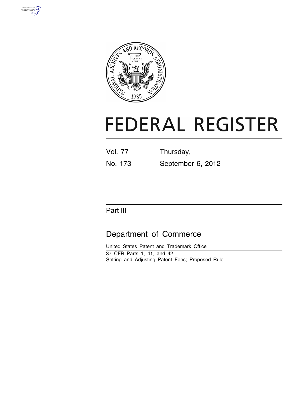



# **FEDERAL REGISTER**

| <b>Vol. 77</b> | Thursday,         |
|----------------|-------------------|
| No. 173        | September 6, 2012 |

## Part III

## Department of Commerce

United States Patent and Trademark Office 37 CFR Parts 1, 41, and 42 Setting and Adjusting Patent Fees; Proposed Rule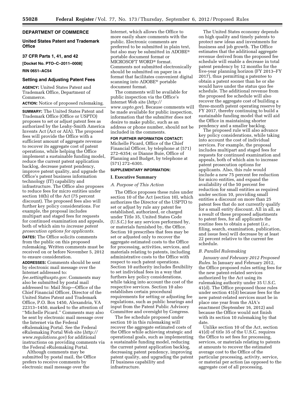#### **DEPARTMENT OF COMMERCE**

#### **United States Patent and Trademark Office**

#### **37 CFR Parts 1, 41, and 42**

**[Docket No. PTO–C–2011–0008]** 

#### **RIN 0651–AC54**

#### **Setting and Adjusting Patent Fees**

**AGENCY:** United States Patent and Trademark Office, Department of Commerce.

**ACTION:** Notice of proposed rulemaking.

**SUMMARY:** The United States Patent and Trademark Office (Office or USPTO) proposes to set or adjust patent fees as authorized by the Leahy-Smith America Invents Act (Act or AIA). The proposed fees will provide the Office with a sufficient amount of aggregate revenue to recover its aggregate cost of patent operations, while helping the Office implement a sustainable funding model, reduce the current patent application backlog, decrease patent pendency, improve patent quality, and upgrade the Office's patent business information technology (IT) capability and infrastructure. The Office also proposes to reduce fees for micro entities under section 10(b) of the Act (75 percent discount). The proposed fees also will further key policy considerations. For example, the proposal includes multipart and staged fees for requests for continued examination and appeals, both of which aim to *increase patent prosecution options for applicants.* 

**DATES:** The Office solicits comments from the public on this proposed rulemaking. Written comments must be received on or before November 5, 2012 to ensure consideration.

**ADDRESSES:** Comments should be sent by electronic mail message over the Internet addressed to: *[fee.setting@uspto.gov.](mailto:fee.setting@uspto.gov)* Comments may also be submitted by postal mail addressed to: Mail Stop—Office of the Chief Financial Officer, Director of the

United States Patent and Trademark Office, P.O. Box 1450, Alexandria, VA 22313–1450, marked to the attention of ''Michelle Picard.'' Comments may also be sent by electronic mail message over the Internet via the Federal eRulemaking Portal. See the Federal eRulemaking Portal Web site (*[http://](http://www.regulations.gov)  [www.regulations.gov](http://www.regulations.gov)*) for additional instructions on providing comments via the Federal eRulemaking Portal.

Although comments may be submitted by postal mail, the Office prefers to receive comments by electronic mail message over the

Internet, which allows the Office to more easily share comments with the public. Electronic comments are preferred to be submitted in plain text, but also may be submitted in ADOBE® portable document format or MICROSOFT WORD® format. Comments not submitted electronically should be submitted on paper in a format that facilitates convenient digital scanning into ADOBE® portable document format.

The comments will be available for public inspection via the Office's Internet Web site (*[http://](http://www.uspto.gov) [www.uspto.gov](http://www.uspto.gov)*). Because comments will be made available for public inspection, information that the submitter does not desire to make public, such as an address or phone number, should not be included in the comments.

#### **FOR FURTHER INFORMATION CONTACT:**

Michelle Picard, Office of the Chief Financial Officer, by telephone at (571) 272–6354; or Dianne Buie, Office of Planning and Budget, by telephone at (571) 272–6301.

#### **SUPPLEMENTARY INFORMATION:**

#### **I. Executive Summary**

#### *A. Purpose of This Action*

The Office proposes these rules under section 10 of the Act (section 10), which authorizes the Director of the USPTO to set or adjust by rule any patent fee established, authorized, or charged under Title 35, United States Code (U.S.C.) for any services performed by, or materials furnished by, the Office. Section 10 prescribes that fees may be set or adjusted only to recover the aggregate estimated costs to the Office for processing, activities, services, and materials relating to patents, including administrative costs to the Office with respect to such patent operations. Section 10 authority includes flexibility to set individual fees in a way that furthers key policy considerations, while taking into account the cost of the respective services. Section 10 also establishes certain procedural requirements for setting or adjusting fee regulations, such as public hearings and input from the Patent Public Advisory Committee and oversight by Congress.

The fee schedule proposed under section 10 in this rulemaking will recover the aggregate estimated costs of the Office while achieving strategic and operational goals, such as implementing a sustainable funding model, reducing the current patent application backlog, decreasing patent pendency, improving patent quality, and upgrading the patent IT business capability and infrastructure.

The United States economy depends on high quality and timely patents to protect new ideas and investments for business and job growth. The Office estimates that the additional aggregate revenue derived from the proposed fee schedule will enable a decrease in total patent pendency by 12 months for the five-year planning horizon (FY 2013–FY 2017), thus permitting a patentee to obtain a patent sooner than he or she would have under the status quo fee schedule. The additional revenue from the proposed fee schedule will also recover the aggregate cost of building a three-month patent operating reserve by FY 2017, thereby continuing to build a sustainable funding model that will aid the Office in maintaining shorter pendency and a smaller backlog.

The proposed rule will also advance key policy considerations, while taking into account the cost of individual services. For example, the proposal includes multipart and staged fees for requests for continued examination and appeals, both of which aim to increase patent prosecution options for applicants. Also, this rule would include a new 75 percent fee reduction for micro entities, and expand the availability of the 50 percent fee reduction for small entities as required under section 10, providing small entities a discount on more than 25 patent fees that do not currently qualify for a small entity discount. All in all, as a result of these proposed adjustments to patent fees, for all applicants the routine fees to obtain a patent (*i.e.,*  filing, search, examination, publication, and issue fees) will decrease by at least 22 percent relative to the current fee schedule.

#### *B. Parallel Rulemaking*

*January and February 2012 Proposed Rules.* In January and February 2012, the Office proposed rules setting fees for the new patent-related services authorized by the Act using its rulemaking authority under 35 U.S.C. 41(d). The Office proposed those rules under section 41(d) because fees for the new patent-related services must be in place one year from the AIA's enactment (September 16, 2012) and because the Office would not finish with its section 10 rulemaking by that date.

Unlike section 10 of the Act, section 41(d) of title 35 of the U.S.C. requires the Office to set fees for processing, services, or materials relating to patents at amounts to recover the estimated average cost to the Office of the particular processing, activity, service, or material per action (as opposed to the aggregate cost of all processing,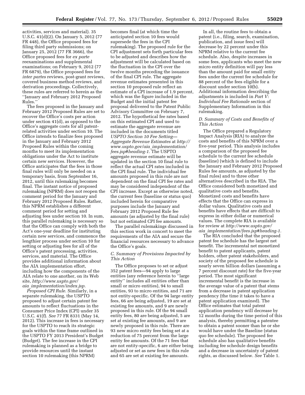activities, services and material). 35 U.S.C. 41(d)(2). On January 5, 2012 (77 FR 448), the Office proposed fees for filing third party submissions; on January 25, 2012 (77 FR 3666), the Office proposed fees for *ex parte*  reexaminations and supplemental examinations; on February 9, 2012 (77 FR 6879), the Office proposed fees for *inter partes* reviews, post-grant reviews, covered business method reviews, and derivation proceedings. Collectively, these rules are referred to herein as the ''January and February 2012 Proposed Rules.''

The fees proposed in the January and February 2012 Proposed Rules are set to recover the Office's costs per action under section 41(d), as opposed to the Office's aggregate costs for all patentrelated activities under section 10. The Office intends to finalize fees proposed in the January and February 2012 Proposed Rules within the coming months to meet its implementation obligations under the Act to institute certain new services. However, the Office anticipates that the fees in those final rules will only be needed on a temporary basis, from September 16, 2012, until this rulemaking becomes final. The instant notice of proposed rulemaking (NPRM) does not reopen the comment period for the January and February 2012 Proposed Rules. Rather, this NPRM establishes a different comment period for setting and adjusting fees under section 10. In sum, this parallel rulemaking is necessary so that the Office can comply with both the Act's one-year deadline for instituting certain new services, and commence the lengthier process under section 10 for setting or adjusting fees for all of the Office's patent processing, activities, services, and material. The Office provides additional information about the AIA implementation effort, including how the components of the AIA relate to one another, on its Web site, *[http://www.uspto.gov/](http://www.uspto.gov/aia_implementation/index.jsp)  aia*\_*[implementation/index.jsp.](http://www.uspto.gov/aia_implementation/index.jsp)* 

*Proposed CPI Rule.* Similarly, in a separate rulemaking, the USPTO proposed to adjust certain patent fee amounts to reflect fluctuations in the Consumer Price Index (CPI) under 35 U.S.C. 41(f). *See* 77 FR 8331 (May 14, 2012). This increase in fees is necessary for the USPTO to reach its strategic goals within the time frame outlined in the USPTO FY 2013 President's Budget (Budget). The fee increase in the CPI rulemaking is planned as a bridge to provide resources until the instant section 10 rulemaking (this NPRM)

becomes final (at which time the anticipated section 10 fees would supersede the fees in the CPI rulemaking). The proposed rule for the CPI adjustment sets forth particular fees to be adjusted and describes how the adjustment will be calculated based on the fluctuation in the CPI over the twelve months preceding the issuance of the final CPI rule. The aggregate revenue estimates presented in this section 10 proposed rule reflect an estimate of a CPI increase of 1.9 percent, which was the figure included in the Budget and the initial patent fee proposal delivered to the Patent Public Advisory Committee on February 7, 2012. The hypothetical fee rates based on this estimated CPI and used to estimate the aggregate revenue are included in the documents titled *USPTO Section 10 Fee Setting— Aggregate Revenue Estimates* at *[http://](http://www.uspto.gov/aia_implementation/fees.jsp#heading-1)  [www.uspto.gov/aia](http://www.uspto.gov/aia_implementation/fees.jsp#heading-1)*\_*implementation/ [fees.jsp#heading-1.](http://www.uspto.gov/aia_implementation/fees.jsp#heading-1)* The USPTO aggregate revenue estimate will be updated in the section 10 final rule to reflect the actual CPI rates included in the CPI final rule. The individual fee amounts proposed in this rule are not dependent on the final CPI fee rates and may be considered independent of the CPI increase. Except as otherwise noted, the current fees (baseline or status quo) included herein for comparative purposes include the January and February 2012 Proposed Rule fee amounts (as adjusted by the final rule) but not estimated CPI fee amounts.

The parallel rulemakings discussed in this section work in concert to meet the requirements of the AIA and secure the financial resources necessary to advance the Office's goals.

#### *C. Summary of Provisions Impacted by This Action*

The Office proposes to set or adjust 352 patent fees—94 apply to large entities (any reference herein to ''large entity'' includes all entities other than small or micro entities), 94 to small entities, 93 to micro entities, and 71 are not entity-specific. Of the 94 large entity fees, 66 are being adjusted, 19 are set at existing fee amounts, and 9 are newly proposed in this rule. Of the 94 small entity fees, 80 are being adjusted, 5 are set at existing fee amounts, and 9 are newly proposed in this rule. There are 93 new micro entity fees being set at a reduction of 75 percent from the large entity fee amounts. Of the 71 fees that are not entity-specific, 6 are either being adjusted or set as new fees in this rule and 65 are set at existing fee amounts.

In all, the routine fees to obtain a patent (i.e., filing, search, examination, publication, and issue fees) will decrease by 22 percent under this NPRM relative to the current fee schedule. Also, despite increases in some fees, applicants who meet the new micro entity definition will pay less than the amount paid for small entity fees under the current fee schedule for 88 percent of the fees eligible for a discount under section 10(b). Additional information describing the adjustments is included in *Part V: Individual Fee Rationale* section of Supplementary Information in this rulemaking.

#### *D. Summary of Costs and Benefits of This Action*

The Office prepared a Regulatory Impact Analysis (RIA) to analyze the costs and benefits of this NPRM over a five-year period. This analysis includes a comparison of the proposed fee schedule to the current fee schedule (baseline) (which is defined to include the January and February 2012 Proposed Rules fee amounts, as adjusted by the final rules) and to three other alternatives described in the RIA. The Office considered both monetized and qualitative costs and benefits. Monetized costs and benefits have effects that the Office can express in dollar values. Qualitative costs and benefits have effects that are difficult to express in either dollar or numerical values. The complete RIA is available for review at *[http://www.uspto.gov/](http://www.uspto.gov/aia_implementation/fees.jsp#heading-1) aia*\_*[implementation/fees.jsp#heading-1.](http://www.uspto.gov/aia_implementation/fees.jsp#heading-1)* 

The RIA concluded that the proposed patent fee schedule has the largest net benefit. The incremental net monetized benefit to patent applicants, patent holders, other patent stakeholders, and society of the proposed fee schedule is nearly seven billion dollars (assuming a 7 percent discount rate) for the five-year period. The most significant incremental benefit is the increase in the average value of a patent that stems from a decrease in patent application pendency (the time it takes to have a patent application examined). The Office estimates that total patent application pendency will decrease by 12 months during the time period of this analysis, thereby permitting a patentee to obtain a patent sooner than he or she would have under the Baseline (status quo fee schedule). The proposed fee schedule also has qualitative benefits including fee schedule design benefits and a decrease in uncertainty of patent rights, as discussed below. *See* Table 1.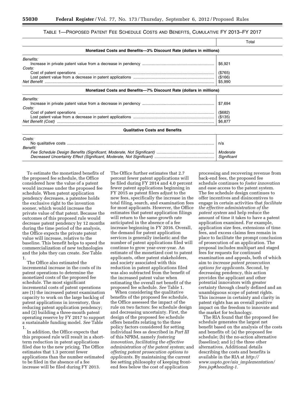#### TABLE 1—PROPOSED PATENT FEE SCHEDULE COSTS AND BENEFITS, CUMULATIVE FY 2013–FY 2017

|                                                                     | Total                                    |  |  |  |
|---------------------------------------------------------------------|------------------------------------------|--|--|--|
| Monetized Costs and Benefits-3% Discount Rate (dollars in millions) |                                          |  |  |  |
| Benefits:<br>Costs:                                                 | \$6,921<br>(\$765)<br>(\$166)<br>\$5,990 |  |  |  |
| Monetized Costs and Benefits-7% Discount Rate (dollars in millions) |                                          |  |  |  |
| Benefits:<br>Costs:                                                 | \$7,694<br>(\$682)<br>(\$135)<br>\$6,877 |  |  |  |
| <b>Qualitative Costs and Benefits</b>                               |                                          |  |  |  |
| Costs:<br>Benefit:                                                  | n/a<br>Moderate<br>Significant           |  |  |  |

To estimate the monetized benefits of the proposed fee schedule, the Office considered how the value of a patent would increase under the proposed fee schedule. When patent application pendency decreases, a patentee holds the exclusive right to the invention sooner, which would increase the private value of that patent. Because the outcomes of this proposed rule would decrease patent pendency by 12 months during the time period of the analysis, the Office expects the private patent value will increase, relative to the baseline. This benefit helps to speed the commercialization of new technologies and the jobs they can create. *See* Table 1.

The Office also estimated the incremental increase in the costs of its patent operations to determine the monetized costs of the proposed fee schedule. The most significant incremental costs of patent operations are (1) the increased patent examination capacity to work on the large backlog of patent applications in inventory, thus reducing patent application pendency; and (2) building a three-month patent operating reserve by FY 2017 to support a sustainable funding model. *See* Table 1.

In addition, the Office expects that this proposed rule will result in a shortterm reduction in patent applications filed due to the new pricing. The Office estimates that 1.3 percent fewer applications than the number estimated to be filed in the absence of a fee increase will be filed during FY 2013.

The Office further estimates that 2.7 percent fewer patent applications will be filed during FY 2014 and 4.0 percent fewer patent applications beginning in FY 2015 as patent filers adjust to the new fees, specifically the increase in the total filing, search, and examination fees for most applicants. However, the Office estimates that patent application filings will return to the same growth rate anticipated in the absence of a fee increase beginning in FY 2016. Overall, the demand for patent application services is generally inelastic and the number of patent applications filed will continue to grow year-over-year. An estimate of the monetized cost to patent applicants, other patent stakeholders, and society associated with this reduction in patent applications filed was also subtracted from the benefit of the increased patent value when estimating the overall net benefit of the proposed fee schedule. *See* Table 1.

When considering the qualitative benefits of the proposed fee schedule, the Office assessed the impact of the rule on two factors: fee schedule design and decreasing uncertainty. First, the design of the proposed fee schedule offers benefits relating to the three policy factors considered for setting individual fees as described in *Part III*  of this NPRM, namely *fostering innovation, facilitating the effective administration of the patent system;* and *offering patent prosecution options to applicants.* By maintaining the current fee setting philosophy of keeping frontend fees below the cost of application

processing and recovering revenue from back-end fees, the proposed fee schedule continues to *foster innovation*  and ease access to the patent system. The fee schedule design continues to offer incentives and disincentives to engage in certain activities that *facilitate the effective administration of the patent system* and help reduce the amount of time it takes to have a patent application examined. For example, application size fees, extensions of time fees, and excess claims fees remain in place to facilitate the prompt conclusion of prosecution of an application. The proposal includes multipart and staged fees for requests for continued examination and appeals, both of which aim to *increase patent prosecution options for applicants.* Second, by decreasing pendency, this action provides the applicant and other potential innovators with greater certainty through clearly defined and an unambiguous scope of patent rights. This increase in certainty and clarity in patent rights has an overall positive impact on the freedom to innovate and the market for technology.

The RIA found that the proposed fee schedule generates the largest net benefit based on the analysis of the costs and benefits of: (a) the proposed fee schedule; (b) the no-action alternative (baseline); and (c) the three other alternatives. Additional details describing the costs and benefits is available in the RIA at *[http://](http://www.uspto.gov/aia_implementation/fees.jsp#heading-1)  [www.uspto.gov/aia](http://www.uspto.gov/aia_implementation/fees.jsp#heading-1)*\_*implementation/ [fees.jsp#heading-1.](http://www.uspto.gov/aia_implementation/fees.jsp#heading-1)*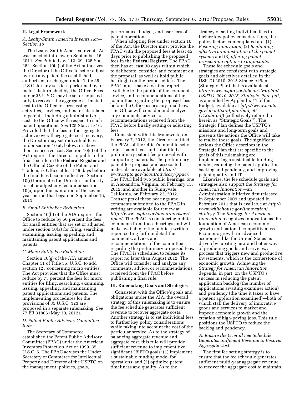#### **II. Legal Framework**

#### *A. Leahy-Smith America Invents Act— Section 10*

The Leahy-Smith America Invents Act was enacted into law on September 16, 2011. *See* Public Law 112–29, 125 Stat. 284. Section 10(a) of the Act authorizes the Director of the Office to set or adjust by rule any patent fee established, authorized, or charged under Title 35, U.S.C. for any services performed by, or materials furnished by, the Office. Fees under 35 U.S.C. may be set or adjusted only to recover the aggregate estimated cost to the Office for processing, activities, services, and materials related to patents, including administrative costs to the Office with respect to such patent operations. *See* 125 Stat. at 316. Provided that the fees in the aggregate achieve overall aggregate cost recovery, the Director may set individual fees under section 10 at, below, or above their respective cost. Section 10(e) of the Act requires the Director to publish the final fee rule in the **Federal Register** and the Official Gazette of the Patent and Trademark Office at least 45 days before the final fees become effective. Section 10(i) terminates the Director's authority to set or adjust any fee under section 10(a) upon the expiration of the sevenyear period that began on September 16, 2011.

#### *B. Small Entity Fee Reduction*

Section 10(b) of the AIA requires the Office to reduce by 50 percent the fees for small entities that are set or adjusted under section 10(a) for filing, searching, examining, issuing, appealing, and maintaining patent applications and patents.

#### *C. Micro Entity Fee Reduction*

Section 10(g) of the AIA amends Chapter 11 of Title 35, U.S.C. to add section 123 concerning micro entities. The Act provides that the Office must reduce by 75 percent the fees for micro entities for filing, searching, examining, issuing, appealing, and maintaining patent applications and patents. The implementing procedures for the provisions of 35 U.S.C. 123 are proposed in a separate rulemaking. *See*  77 FR 31806 (May 30, 2012).

#### *D. Patent Public Advisory Committee Role*

The Secretary of Commerce established the Patent Public Advisory Committee (PPAC) under the American Inventors Protection Act of 1999. 35 U.S.C. 5. The PPAC advises the Under Secretary of Commerce for Intellectual Property and Director of the USPTO on the management, policies, goals,

performance, budget, and user fees of patent operations.

When adopting fees under section 10 of the Act, the Director must provide the PPAC with the proposed fees at least 45 days prior to publishing the proposed fees in the **Federal Register**. The PPAC then has at least 30 days within which to deliberate, consider, and comment on the proposal, as well as hold public hearing(s) on the proposed fees. The PPAC must make a written report available to the public of the comments, advice, and recommendations of the committee regarding the proposed fees before the Office issues any final fees. The Office will consider and analyze any comments, advice, or recommendations received from the PPAC before finally setting or adjusting fees.

Consistent with this framework, on February 7, 2012, the Director notified the PPAC of the Office's intent to set or adjust patent fees and submitted a preliminary patent fee proposal with supporting materials. The preliminary patent fee proposal and associated materials are available at *[http://](http://www.uspto.gov/about/advisory/ppac/) [www.uspto.gov/about/advisory/ppac/](http://www.uspto.gov/about/advisory/ppac/)*. The PPAC held two public hearings: one in Alexandria, Virginia, on February 15, 2012; and another in Sunnyvale, California, on February 23, 2012. Transcripts of these hearings and comments submitted to the PPAC in writing are available for review at *[http://www.uspto.gov/about/advisory/](http://www.uspto.gov/about/advisory/ppac/) [ppac/](http://www.uspto.gov/about/advisory/ppac/)*. The PPAC is considering public comments from these hearings and will make available to the public a written report setting forth in detail the comments, advice, and recommendations of the committee regarding the preliminary proposed fees. The PPAC is scheduled to release its report no later than August 2012. The Office will consider and analyze any comments, advice, or recommendations received from the PPAC before publishing a final rule.

#### **III. Rulemaking Goals and Strategies**

Consistent with the Office's goals and obligations under the AIA, the overall strategy of this rulemaking is to ensure the fee schedule generates sufficient revenue to recover aggregate costs. Another strategy is to set individual fees to further key policy considerations while taking into account the cost of the particular service. As to the strategy of balancing aggregate revenue and aggregate cost, this rule will provide sufficient revenue to implement two significant USPTO goals: (1) Implement a sustainable funding model for operations; and (2) optimize patent timeliness and quality. As to the

strategy of setting individual fees to further key policy considerations, the policy factors contemplated are: (1) *Fostering innovation;* (2) *facilitating effective administration of the patent system;* and (3) *offering patent prosecution options to applicants.* 

These fee schedule goals and strategies are consistent with strategic goals and objectives detailed in the USPTO 2010–2015 Strategic Plan (Strategic Plan) that is available at *[http://www.uspto.gov/about/stratplan/](http://www.uspto.gov/about/stratplan/USPTO_2010-2015_Strategic_Plan.pdf) USPTO*\_*[2010–2015](http://www.uspto.gov/about/stratplan/USPTO_2010-2015_Strategic_Plan.pdf)*\_*Strategic*\_*Plan.pdf*, as amended by Appendix #1 of the Budget, available at *[http://www.uspto.](http://www.uspto.gov/about/stratplan/budget/fy13pbr.pdf) [gov/about/stratplan/budget/](http://www.uspto.gov/about/stratplan/budget/fy13pbr.pdf) [fy13pbr.pdf](http://www.uspto.gov/about/stratplan/budget/fy13pbr.pdf)*) (collectively referred to herein as ''Strategic Goals''). The Strategic Plan defines the USPTO's missions and long-term goals and presents the actions the Office will take to realize those goals. The significant actions the Office describes in the Strategic Plan that are specific to the goals of this rulemaking are implementing a sustainable funding model, reducing the patent application backlog and pendency, and improving patent quality and IT.

Likewise, the fee schedule goals and strategies also support the *Strategy for American Innovation—*an Administration initiative first released in September 2009 and updated in February 2011 that is available at *[http://](http://www.whitehouse.gov/innovation/strategy)  [www.whitehouse.gov/innovation/](http://www.whitehouse.gov/innovation/strategy) [strategy](http://www.whitehouse.gov/innovation/strategy)*. The *Strategy for American Innovation* recognizes innovation as the foundation of American economic growth and national competitiveness. Economic growth in advanced economies like the United States' is driven by creating new and better ways of producing goods and services, a process that triggers new and productive investments, which is the cornerstone of economic growth. Achieving the *Strategy for American Innovation*  depends, in part, on the USPTO's success in reducing the patent application backlog (the number of applications awaiting examiner action) and pendency (the time it takes to have a patent application examined)—both of which stall the delivery of innovative goods and services to market and impede economic growth and the creation of high-paying jobs. This rule positions the USPTO to reduce the backlog and pendency.

#### *A. Ensure the Overall Fee Schedule Generates Sufficient Revenue to Recover Aggregate Cost*

The first fee setting strategy is to ensure that the fee schedule generates sufficient multi-year aggregate revenue to recover the aggregate cost to maintain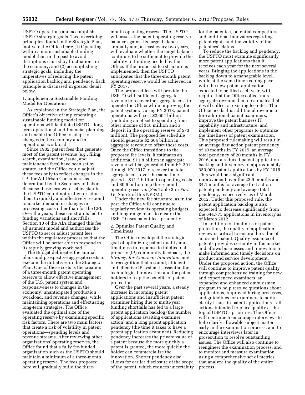USPTO operations and accomplish USPTO strategic goals. Two overriding principles, found in the Strategic Plan, motivate the Office here: (1) Operating within a more sustainable funding model than in the past to avoid disruptions caused by fluctuations in the economy; and (2) accomplishing strategic goals, including the imperatives of reducing the patent application backlog and pendency. Each principle is discussed in greater detail below.

1. Implement a Sustainable Funding Model for Operations

As explained in the Strategic Plan, the Office's objective of implementing a sustainable funding model for operations will facilitate USPTO's longterm operational and financial planning and enable the Office to adapt to changes in the economy and in operational workload.

Since 1982, patent fees that generate most of the patent revenue (e.g., filing, search, examination, issue, and maintenance fees) have been set by statute, and the Office could adjust these fees only to reflect changes in the CPI for All Urban Consumers, as determined by the Secretary of Labor. Because these fees were set by statute, the USPTO could not realign or adjust them to quickly and effectively respond to market demand or changes in processing costs other than for the CPI. Over the years, these constraints led to funding variations and shortfalls. Section 10 of the AIA changed this fee adjustment model and authorizes the USPTO to set or adjust patent fees within the regulatory process so that the Office will be better able to respond to its rapidly growing workload.

The Budget delineates the annual plans and prospective aggregate costs to execute the initiatives in the Strategic Plan. One of these costs is the creation of a three-month patent operating reserve to allow effective management of the U.S. patent system and responsiveness to changes in the economy, unanticipated production workload, and revenue changes, while maintaining operations and effectuating long-term strategies. The Office evaluated the optimal size of the operating reserve by examining specific risk factors. There are two main factors that create a risk of volatility in patent operations—spending levels and revenue streams. After reviewing other organizations' operating reserves, the Office found that a fully fee-funded organization such as the USPTO should maintain a minimum of a three-month operating reserve. The fees proposed here will gradually build the three-

month operating reserve. The USPTO will assess the patent operating reserve balance against its target balance annually and, at least every two years, will evaluate whether the target balance continues to be sufficient to provide the stability in funding needed by the Office. If the proposed fee structure is implemented, then the USPTO anticipates that the three-month patent operating reserve would be achieved in FY 2017.

The proposed fees will provide the USPTO with sufficient aggregate revenue to recover the aggregate cost to operate the Office while improving the patent system. During FY 2013, patent operations will cost \$2.604 billion (including an offset to spending from other income of \$18 million and a deposit in the operating reserve of \$73 million). The proposed fee schedule should generate \$2.604 billion in aggregate revenue to offset these costs. Once the Office transitions to the proposed fee levels, it estimates an additional \$11.8 billion in aggregate revenue will be generated from FY 2014 through FY 2017 to recover the total aggregate cost over the same time period—\$11.2 billion in operating costs and \$0.6 billion in a three-month operating reserve. (*See* Table 3 in *Part IV,* Step 2 of this NPRM.)

Under the new fee structure, as in the past, the Office will continue to regularly review its operating budgets and long-range plans to ensure the USPTO uses patent fees prudently.

#### 2. Optimize Patent Quality and Timeliness

The Office developed the strategic goal of optimizing patent quality and timeliness in response to intellectual property (IP) community feedback, the *Strategy for American Innovation,* and in recognition that a sound, efficient, and effective IP system is essential for technological innovation and for patent holders to reap the benefits of patent protection.

Over the past several years, a steady increase in incoming patent applications and insufficient patent examiner hiring due to multi-year funding shortfalls has led to a large patent application backlog (the number of applications awaiting examiner action) and a long patent application pendency (the time it takes to have a patent application examined). Reducing pendency increases the private value of a patent because the more quickly a patent is granted, the more quickly the holder can commercialize the innovation. Shorter pendency also allows for earlier disclosure of the scope of the patent, which reduces uncertainty for the patentee, potential competitors, and additional innovators regarding patent rights and the validity of the patentees' claims.

To reduce the backlog and pendency, the USPTO must examine significantly more patent applications than it receives each year for the next several years. Bringing the applications in the backlog down to a manageable level, while at the same time keeping pace with the new patent applications expected to be filed each year, will require that the Office collect more aggregate revenue than it estimates that it will collect at existing fee rates. The Office needs this additional revenue to hire additional patent examiners, improve the patent business IT capability and infrastructure, and implement other programs to optimize the timeliness of patent examination. This proposed rulemaking will result in an average first action patent pendency of 10 months in FY 2015, an average total pendency of 20 months in FY 2016, and a reduced patent application backlog and inventory of approximately 350,000 patent applications by FY 2015. This would be a significant improvement over the 22.6 months and 34.1 months for average first action patent pendency and average total pendency, respectively, as of March 2012. Under this proposed rule, the patent application backlog is also expected to decrease significantly from the 644,775 applications in inventory as of March 2012.

In addition to timeliness of patent protection, the quality of application review is critical to ensure the value of an issued patent. Quality issuance of patents provides certainty in the market and allows businesses and innovators to make informed and timely decisions on product and service development. Under the proposed action, the Office will continue to improve patent quality through comprehensive training for new and experienced examiners, an expanded and enhanced ombudsmen program to help resolve questions about applications, improved hiring processes, and guidelines for examiners to address clarity issues in patent applications—all actions intended to place quality at the top of USPTO's priorities. The Office will continue to encourage interviews to help clarify allowable subject matter early in the examination process, and to encourage interviews later in prosecution to resolve outstanding issues. The Office will also continue to reengineer the examination process, and to monitor and measure examination using a comprehensive set of metrics that analyze the quality of the entire process.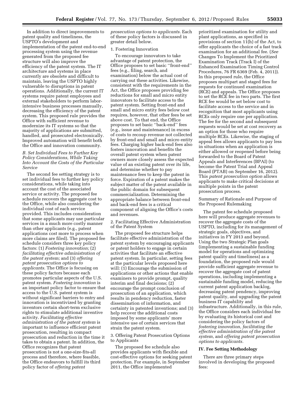In addition to direct improvements to patent quality and timeliness, the USPTO's development and implementation of the patent end-to-end processing system using the revenue generated from the proposed fee structure will also improve the efficiency of the patent system. The IT architecture and systems in place currently are obsolete and difficult to maintain, leaving the USPTO highly vulnerable to disruptions in patent operations. Additionally, the current IT systems require patent employees and external stakeholders to perform laborintensive business processes manually, decreasing the efficiency of the patent system. This proposed rule provides the Office with sufficient revenue to modernize its IT systems so that the majority of applications are submitted, handled, and prosecuted electronically. Improved automation will benefit both the Office and innovation community.

#### *B. Set Individual Fees to Further Key Policy Considerations, While Taking Into Account the Costs of the Particular Service*

The second fee setting strategy is to set individual fees to further key policy considerations, while taking into account the cost of the associated service or activity. The proposed fee schedule recovers the aggregate cost to the Office, while also considering the individual cost of each service provided. This includes consideration that some applicants may use particular services in a much more costly manner than other applicants (e.g., patent applications cost more to process when more claims are filed). The proposed fee schedule considers three key policy factors: (1) *Fostering innovation;* (2) *facilitating effective administration of the patent system;* and (3) *offering patent prosecution options to applicants.* The Office is focusing on these policy factors because each promotes particular aspects of the U.S. patent system. *Fostering innovation* is an important policy factor to ensure that access to the U.S. patent system is without significant barriers to entry and innovation is incentivized by granting inventors certain short-term exclusive rights to stimulate additional inventive activity. *Facilitating effective administration of the patent system* is important to influence efficient patent prosecution, resulting in compact prosecution and reduction in the time it takes to obtain a patent. In addition, the Office recognizes that patent prosecution is not a one-size-fits-all process and therefore, where feasible, the Office endeavors to fulfill its third policy factor of *offering patent* 

*prosecution options to applicants.* Each of these policy factors is discussed in greater detail below.

#### 1. Fostering Innovation

To encourage innovators to take advantage of patent protection, the Office proposes to set basic ''front-end'' fees (e.g., filing, search, and examination) below the actual cost of carrying out these activities. Likewise, consistent with the requirements in the Act, the Office proposes providing fee reductions for small and micro entity innovators to facilitate access to the patent system. Setting front-end and small and micro entity fees below cost requires, however, that other fees be set above cost. To that end, the Office proposes to set basic ''back-end'' fees (e.g., issue and maintenance) in excess of costs to recoup revenue not collected by front-end and small and micro entity fees. Charging higher back-end fees also fosters innovation and benefits the overall patent system when patent owners more closely assess the expected value of an existing patent over its life, and determine whether to pay maintenance fees to keep the patent in force. Expiration of a patent makes the subject matter of the patent available in the public domain for subsequent commercialization. Determining the appropriate balance between front-end and back-end fees is a critical component of aligning the Office's costs and revenues.

2. Facilitating Effective Administration of the Patent System

The proposed fee structure helps facilitate effective administration of the patent system by encouraging applicants or patent holders to engage in certain activities that facilitate an effective patent system. In particular, setting fees at the particular levels proposed here will: (1) Encourage the submission of applications or other actions that enable examiners to provide prompt, quality interim and final decisions; (2) encourage the prompt conclusion of prosecution of an application, which results in pendency reduction, faster dissemination of information, and certainty in patented inventions; and (3) help recover the additional costs imposed by some applicants' more intensive use of certain services that strain the patent system.

3. Offering Patent Prosecution Options to Applicants

The proposed fee schedule also provides applicants with flexible and cost-effective options for seeking patent protection. For example, in September 2011, the Office implemented

prioritized examination for utility and plant applications, as specified in provisions of section 11(h) of the Act, to offer applicants the choice of a fast track examination for an additional fee. (*See*  Changes To Implement the Prioritized Examination Track (Track I) of the Enhanced Examination Timing Control Procedures, 76 FR 6369 (Feb. 4, 2011)). In this proposed rule, the Office proposes multipart and staged fees for requests for continued examination (RCE) and appeals. The Office proposes to set the RCE fee in two parts. The first RCE fee would be set below cost to facilitate access to the service and in recognition that most applicants using RCEs only require one per application. The fee for the second and subsequent requests would be set at cost recovery as an option for those who require multiple RCEs. Likewise, the staging of appeal fees allows applicants to pay less in situations when an application is either allowed or reopened before being forwarded to the Board of Patent Appeals and Interferences (BPAI) (to become the Patent Trial and Appeal Board (PTAB) on September 16, 2012). This *patent prosecution option* allows applicants to make critical decisions at multiple points in the patent prosecution process.

Summary of Rationale and Purpose of the Proposed Rulemaking

The patent fee schedule proposed here will produce aggregate revenues to recover the aggregate costs of the USPTO, including for its management of strategic goals, objectives, and initiatives in FY 2013 and beyond. Using the two Strategic Plan goals (implementing a sustainable funding model for operations and optimizing patent quality and timeliness) as a foundation, the proposed rule would provide sufficient aggregate revenue to recover the aggregate cost of patent operations, including implementing a sustainable funding model, reducing the current patent application backlog, decreasing patent pendency, improving patent quality, and upgrading the patent business IT capability and infrastructure. Additionally, in this rule, the Office considers each individual fee by evaluating its historical cost and considering the policy factors of *fostering innovation, facilitating the effective administration of the patent system,* and *offering patent prosecution options to applicants.* 

#### **IV. Fee Setting Methodology**

There are three primary steps involved in developing the proposed fees: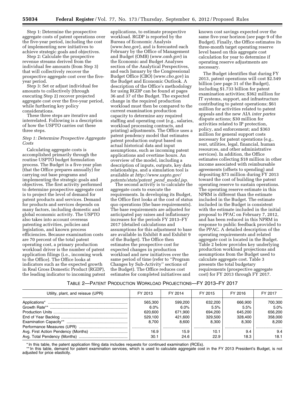Step 1: Determine the prospective aggregate costs of patent operations over the five-year period, including the cost of implementing new initiatives to achieve strategic goals and objectives.

Step 2: Calculate the prospective revenue streams derived from the individual fee amounts (from Step 3) that will collectively recover the prospective aggregate cost over the fiveyear period.

Step 3: Set or adjust individual fee amounts to collectively (through executing Step 2) recover projected aggregate cost over the five-year period, while furthering key policy considerations.

These three steps are iterative and interrelated. Following is a description of how the USPTO carries out these three steps.

#### *Step 1: Determine Prospective Aggregate Costs*

Calculating aggregate costs is accomplished primarily through the routine USPTO budget formulation process. The Budget is a five-year plan (that the Office prepares annually) for carrying out base programs and implementing the strategic goals and objectives. The first activity performed to determine prospective aggregate cost is to project the level of demand for patent products and services. Demand for products and services depends on many factors, including domestic and global economic activity. The USPTO also takes into account overseas patenting activities, policies and legislation, and known process efficiencies. Because examination costs are 70 percent of the total patent operating cost, a primary production workload driver is the number of patent application filings (i.e., incoming work to the Office). The Office looks at indicators such as the expected growth in Real Gross Domestic Product (RGDP), the leading indicator to incoming patent

applications, to estimate prospective workload. RGDP is reported by the Bureau of Economic Analysis (*[www.bea.gov](http://www.bea.gov)*), and is forecasted each February by the Office of Management and Budget (OMB) (*[www.omb.gov](http://www.omb.gov)*) in the Economic and Budget Analyses section of the Analytical Perspectives, and each January by the Congressional Budget Office (CBO) (*[www.cbo.gov](http://www.cbo.gov)*) in the Budget and Economic Outlook. A description of the Office's methodology for using RGDP can be found at pages 36 and 37 of the Budget. The expected change in the required production workload must then be compared to the current examination production capacity to determine any required staffing and operating cost (e.g., salaries, workload processing contracts, and printing) adjustments. The Office uses a patent pendency model that estimates patent production output based on actual historical data and input assumptions, such as incoming patent applications and overtime hours. An overview of the model, including a description of inputs, outputs, key data relationships, and a simulation tool is available at *[http://www.uspto.gov/](http://www.uspto.gov/patents/stats/patent_pend_model.jsp) [patents/stats/patent](http://www.uspto.gov/patents/stats/patent_pend_model.jsp)*\_*pend*\_*model.jsp.* 

The second activity is to calculate the aggregate costs to execute the requirements. In developing its Budget, the Office first looks at the cost of status quo operations (the base requirements). The base requirements are adjusted for anticipated pay raises and inflationary increases for the periods FY 2013–FY 2017 (detailed calculations and assumptions for this adjustment to base are available in Exhibit 8 and Exhibit 9 of the Budget). The Office then estimates the prospective cost for expected changes in production workload and new initiatives over the same period of time (refer to ''Program Changes by Sub-Activity'' sections of the Budget). The Office reduces cost estimates for completed initiatives and

known cost savings expected over the same five-year horizon (*see* page 9 of the Budget). Finally, the Office estimates its three-month target operating reserve level based on this aggregate cost calculation for year to determine if operating reserve adjustments are necessary.

The Budget identifies that during FY 2013, patent operations will cost \$2.549 billion (*see* page 31 of the Budget), including \$1.733 billion for patent examination activities; \$362 million for IT systems, support, and infrastructure contributing to patent operations; \$61 million for activities related to patent appeals and the new AIA *inter partes*  dispute actions; \$30 million for activities related to IP protection, policy, and enforcement; and \$363 million for general support costs necessary for patent operations (e.g., rent, utilities, legal, financial, human resources, and other administrative services). In addition, the Office estimates collecting \$18 million in other income associated with reimbursable agreements (offsets to spending) and depositing \$73 million during FY 2013 toward the cost of building the patent operating reserve to sustain operations. The operating reserve estimate in this NPRM is different than the estimate included in the Budget. The estimate included in the Budget is consistent with the estimate included in the initial proposal to PPAC on February 7, 2012, and has been reduced in this NPRM in response to public feedback provided to the PPAC. A detailed description of the operating requirements and related aggregate cost is located in the Budget. Table 2 below provides key underlying production workload projections and assumptions from the Budget used to calculate aggregate cost. Table 3 presents the total budgetary requirements (prospective aggregate cost) for FY 2013 through FY 2017.

#### TABLE 2—PATENT PRODUCTION WORKLOAD PROJECTIONS—FY 2013–FY 2017

| Utility, plant, and reissue (UPR) | FY 2013 | FY 2014 | FY 2015 | FY 2016 | FY 2017 |
|-----------------------------------|---------|---------|---------|---------|---------|
|                                   | 565.300 | 599.200 | 632.200 | 666.900 | 700,300 |
|                                   | $6.0\%$ | 6.0%    | 5.5%    | 5.5%    | 5.0%    |
|                                   | 620.600 | 671.900 | 694.200 | 645.200 | 656.200 |
|                                   | 529.100 | 421.600 | 329.500 | 328,400 | 358,000 |
|                                   | 8.700   | 8.600   | 8.300   | 8.300   | 8.200   |
|                                   |         |         |         |         |         |
|                                   | 16.9    | 15.9    | 10.1    | 9.4     | 9.4     |
|                                   | 30.1    | 24.6    | 22.9    | 18.3    | 18.1    |

\* In this table, the patent application filing data includes requests for continued examination (RCEs).

\*\* In this table, demand for patent examination services, which is used to calculate aggregate cost in the FY 2013 President's Budget, is not adjusted for price elasticity.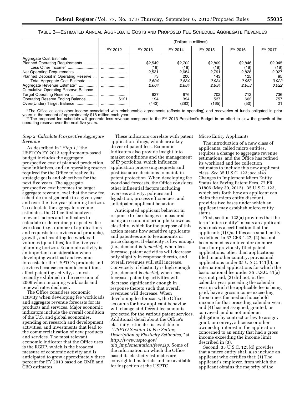|                                             | (Dollars in millions) |         |         |         |         |         |
|---------------------------------------------|-----------------------|---------|---------|---------|---------|---------|
|                                             | FY 2012               | FY 2013 | FY 2014 | FY 2015 | FY 2016 | FY 2017 |
| Aggregate Cost Estimate                     |                       |         |         |         |         |         |
| Planned Operating Requirements              |                       | \$2,549 | \$2.702 | \$2,809 | \$2,846 | \$2,945 |
| Less Other Income <sup>*</sup>              |                       | (18)    | (18)    | (18)    | (18)    | (18)    |
| Net Operating Requirements                  |                       | 2,531   | 2,684   | 2.791   | 2,828   | 2,927   |
| Planned Deposit in Operating Reserve        |                       | 73      | 200     | 143     | 125     | 95      |
| Total Aggregate Cost Estimate               |                       | 2.604   | 2.884   | 2,934   | 2.953   | 3.022   |
| Aggregate Revenue Estimate**                |                       | 2.604   | 2.884   | 2.934   | 2.953   | 3.022   |
| <b>Cumulative Operating Reserve Balance</b> |                       |         |         |         |         |         |
|                                             |                       | 637     | 676     | 702     | 712     | 736     |
| Operating Reserve Ending Balance            | \$121                 | 194     | 394     | 537     | 662     | 757     |
| Over/(Under) Target Balance                 |                       | (443)   | (282)   | (165)   | (50)    | 21      |

\* The Office collects other income associated with reimbursable agreements (offsets to spending) and recoveries of funds obligated in prior years in the amount of approximately \$18 million each year.

The proposed fee schedule will generate less revenue compared to the FY 2013 President's Budget in an effort to slow the growth of the operating reserve over the next five years.

#### *Step 2: Calculate Prospective Aggregate Revenue*

As described in ''*Step 1,''* the USPTO's FY 2013 requirements-based budget includes the aggregate prospective cost of planned production, new initiatives, and an operating reserve required for the Office to realize its strategic goals and objectives for the next five years. The aggregate prospective cost becomes the target aggregate revenue level that the new fee schedule must generate in a given year and over the five-year planning horizon. To calculate the aggregate revenue estimates, the Office first analyzes relevant factors and indicators to calculate or determine prospective fee workload (e.g., number of applications and requests for services and products), growth, and resulting fee workload volumes (quantities) for the five-year planning horizon. Economic activity is an important consideration when developing workload and revenue forecasts for the USPTO's products and services because economic conditions affect patenting activity, as most recently exhibited in the recession of 2009 when incoming workloads and renewal rates declined.

The Office considers economic activity when developing fee workloads and aggregate revenue forecasts for its products and services. Major economic indicators include the overall condition of the U.S. and global economies, spending on research and development activities, and investments that lead to the commercialization of new products and services. The most relevant economic indicator that the Office uses is the RGDP, which is the broadest measure of economic activity and is anticipated to grow approximately three percent for FY 2013 based on OMB and CBO estimates.

These indicators correlate with patent application filings, which are a key driver of patent fees. Economic indicators also provide insight into market conditions and the management of IP portfolios, which influence application processing requests and post-issuance decisions to maintain patent protection. When developing fee workload forecasts, the Office considers other influential factors including overseas activity, policies and legislation, process efficiencies, and anticipated applicant behavior.

Anticipated applicant behavior in response to fee changes is measured using an economic principle known as elasticity, which for the purpose of this action means how sensitive applicants and patentees are to fee amounts or price changes. If elasticity is low enough (i.e., demand is *inelastic*), when fees increase, patent activities will decrease only slightly in response thereto, and overall revenues will still increase. Conversely, if elasticity is high enough (i.e., demand is *elastic*), when fees increase, patenting activities will decrease significantly enough in response thereto such that overall revenues will decrease. When developing fee forecasts, the Office accounts for how applicant behavior will change at different fee amounts projected for the various patent services. Additional detail about the Office's elasticity estimates is available in ''*USPTO Section 10 Fee Setting— Description of Elasticity Estimates,''* at *[http://www.uspto.gov/](http://www.uspto.gov/aia_implementation/fees.jsp)  aia*\_*[implementation/fees.jsp.](http://www.uspto.gov/aia_implementation/fees.jsp)* Some of the information on which the Office based its elasticity estimates are copyrighted materials and are available for inspection at the USPTO.

Micro Entity Applicants

The introduction of a new class of applicants, called micro entities, requires a change to aggregate revenue estimations, and the Office has refined its workload and fee collection estimates to include this new applicant class. *See* 35 U.S.C. 123; *see* also Changes to Implement Micro Entity Status for Paying Patent Fees, 77 FR 31806 (May 30, 2012) . 35 U.S.C. 123, which sets forth how an applicant can claim the micro entity discount, provides two bases under which an applicant may establish micro entity status.

First, section 123(a) provides that the term ''micro entity'' means an applicant who makes a certification that the applicant: (1) Qualifies as a small entity as defined in 37 CFR 1.27; (2) has not been named as an inventor on more than four previously filed patent applications, other than applications filed in another country, provisional applications under 35 U.S.C. 111(b), or international applications for which the basic national fee under 35 U.S.C. 41(a) was not paid; (3) did not, in the calendar year preceding the calendar year in which the applicable fee is being paid, have a gross income exceeding three times the median household income for that preceding calendar year; and (4) has not assigned, granted, or conveyed, and is not under an obligation by contract or law to assign, grant, or convey, a license or other ownership interest in the application concerned to an entity that had a gross income exceeding the income limit described in (3).

Second, 35 U.S.C. 123(d) provides that a micro entity shall also include an applicant who certifies that: (1) The applicant's employer, from which the applicant obtains the majority of the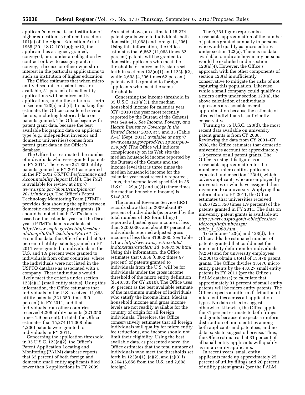applicant's income, is an institution of higher education as defined in section 101(a) of the Higher Education Act of 1965 (20 U.S.C. 1001(a)); or (2) the applicant has assigned, granted, conveyed, or is under an obligation by contract or law, to assign, grant, or convey, a license or other ownership interest in the particular applications to such an institution of higher education.

The Office estimates that when micro entity discounts on patent fees are available, 31 percent of small entity applications will be micro entity applications, under the criteria set forth in section 123(a) and (d). In making this estimate, the Office considered several factors, including historical data on patents granted. The Office began with patent grant data, because the best available biographic data on applicant type (e.g., independent inventor and domestic universities) comes from patent grant data in the Office's database.

The Office first estimated the number of individuals who were granted patents in FY 2011. There were 221,350 utility patents granted in FY 2011 as reported in the *FY 2011 USPTO Performance and Accountability Report* (*PAR*). The *PAR*  is available for review at *[http://](http://www.uspto.gov/about/stratplan/ar/2011/index.jsp)  [www.uspto.gov/about/stratplan/ar/](http://www.uspto.gov/about/stratplan/ar/2011/index.jsp) [2011/index.jsp.](http://www.uspto.gov/about/stratplan/ar/2011/index.jsp)* The Office's Patent Technology Monitoring Team (PTMT) provides data showing the split between domestic and foreign patent grants. (It should be noted that PTMT's data is based on the calendar year not the fiscal year.) PTMT's data is available at *[http://www.uspto.gov/web/offices/ac/](http://www.uspto.gov/web/offices/ac/ido/oeip/taf/all_tech.htm#PartA1_1b) ido/oeip/taf/all*\_*[tech.htm#PartA1](http://www.uspto.gov/web/offices/ac/ido/oeip/taf/all_tech.htm#PartA1_1b)*\_*1b.*  From this data, the Office found that 5.0 percent of utility patents granted in FY 2011 were granted to individuals in the U.S. and 1.9 percent were granted to individuals from other countries, where the individuals were not listed in the USPTO database as associated with a company. These individuals would likely meet the criteria under section 123(a)(1) (small entity status). Using this information, the Office estimates that individuals in the U.S. received 11,068 utility patents (221,350 times 5.0 percent) in FY 2011, and that individuals from other countries received 4,206 utility patents (221,350 times 1.9 percent). In total, the Office estimates that 15,274 (11,068 plus 4,206) patents were granted to individuals in FY 2011.

Concerning the application threshold in 35 U.S.C. 123(a)(2), the Office's Patent Application Locating and Monitoring (PALM) database reports that 62 percent of both foreign and domestic small entity applicants filed fewer than 5 applications in FY 2009.

As stated above, an estimated 15,274 patent grants were to individuals both domestic (11,068) and foreign (4,206). Using this information, the Office estimates that 6,862 (11,068 times 62 percent) patents will be granted to domestic applicants who meet the thresholds for micro entity status set forth in sections 123(a)(1) and 123(a)(2), while 2,608 (4,206 times 62 percent) patents will be granted to foreign applicants who meet the same thresholds.

Concerning the income threshold in 35 U.S.C. 123(a)(3), the median household income for calendar year (CY) 2010 (the year most recently reported by the Bureau of the Census) was \$49,445. *See Income, Poverty, and Health Insurance Coverage in the United States: 2010,* at 5 and 33 (Table A–1) (Sept. 2011) *available at [http://](http://www.census.gov/prod/2011pubs/p60-239.pdf)  [www.census.gov/prod/2011pubs/p60–](http://www.census.gov/prod/2011pubs/p60-239.pdf)  [239.pdf.](http://www.census.gov/prod/2011pubs/p60-239.pdf)* (The Office will indicate conspicuously on its Web site the median household income reported by the Bureau of the Census and the income level that is three times the median household income for the calendar year most recently reported.) Thus, the income level specified in 35 U.S.C. 1.29(a)(3) and (a)(4) (three times the median household income) is \$148,335.

The Internal Revenue Service (IRS) records show that in 2009 about 97 percent of individuals (as proxied by the total number of IRS form filings) reported adjusted gross income of less than \$200,000, and about 87 percent of individuals reported adjusted gross income of less than \$100,000. *See* Table 1.1 at: *[http://www.irs.gov/taxstats/](http://www.irs.gov/taxstats/inditaxstats/article/0,,id=96981,00.html)  [indtaxstats/article/0,,id=96981,00.html.](http://www.irs.gov/taxstats/inditaxstats/article/0,,id=96981,00.html)*  Using this information, the Office estimates that 6,656 (6,862 times 97 percent) of patents granted to individuals from the U.S. will be for individuals under the gross income threshold of the micro entity definition (\$148,335 for CY 2010). The Office uses 97 percent as the best available estimate of the maximum number of individuals who satisfy the income limit. Median household income and gross income levels are not readily available for the country of origin for all foreign individuals. Therefore, the Office conservatively estimates that all foreign individuals will qualify for micro entity fee reductions, and income should not limit their eligibility. Using the best available data, as presented above, the Office estimates that the total number of individuals who meet the thresholds set forth in 123(a)(1), (a)(2), and (a)(3) is 9,264 (6,656 from the U.S. and 2,608 foreign).

The 9,264 figure represents a reasonable approximation of the number of patents granted annually to persons who would qualify as micro entities under section 123(a). There is no data available to indicate how many persons would be excluded under section 123(a)(4). However, the Office's approach with the other components of section 123(a) is sufficiently conservative to mitigate the risks of not capturing this population. Likewise, while a small company could qualify as a micro entity under section 123(a), the above calculation of individuals represents a reasonable overall approximation because the estimate of affected individuals is sufficiently conservative.

Turning to 35 U.S.C. 123(d), the most recent data available on university patent grants is from CY 2008. Reviewing the data from CY 2001–CY 2008, the Office estimates that domestic universities account for approximately 1.9 percent of all patent grants. The Office is using this figure as a reasonable approximation for the number of micro entity applicants expected under section 123(d), which covers applicants who are employed by universities or who have assigned their invention to a university. Applying this information to FY 2011, the Office estimates that universities received 4,206 (221,350 times 1.9 percent) of the patents granted in FY 2011. The data on university patent grants is available at: *[http://www.uspto.gov/web/offices/ac/](http://www.uspto.gov/web/offices/ac/ido/oeip/taf/univ/asgn/table_1_2008.htm)  [ido/oeip/taf/univ/asgn/](http://www.uspto.gov/web/offices/ac/ido/oeip/taf/univ/asgn/table_1_2008.htm) table*\_*1*\_*[2008.htm.](http://www.uspto.gov/web/offices/ac/ido/oeip/taf/univ/asgn/table_1_2008.htm)* 

To combine 123(a) and 123(d), the Office adds the estimated number of patents granted that could meet the micro entity definition for individuals (9,264) and for university employees (4,206) to obtain a total of 13,470 patent grants. The Office divides 13,470 micro entity patents by the 43,827 small entity patents in FY 2011 (per the Office's PALM database) to calculate that approximately 31 percent of small entity patents will be micro entity patents. The Office expects a uniform distribution of micro entities across all application types. No data exists to suggest otherwise. Likewise, the Office applies the 31 percent estimate to both filings and grants because it expects a uniform distribution of micro entities among both applicants and patentees, and no data exists to suggest otherwise. Thus, the Office estimates that 31 percent of all small entity applicants will qualify as micro entity applicants.

In recent years, small entity applicants made up approximately 25 percent of utility filings and 20 percent of utility patent grants (per the PALM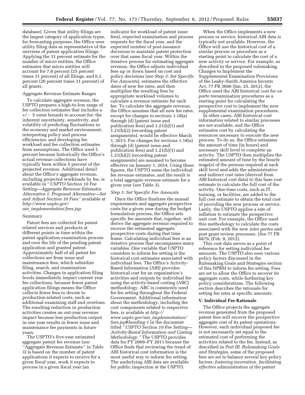database). Given that utility filings are the largest category of application types, for forecasting purposes, the Office uses utility filing data as representative of the universe of patent application filings. Applying the 31 percent estimate for the number of micro entities, the Office estimates that micro entities will account for 7.8 percent (25 percent times 31 percent) of all filings, and 6.2 percent (20 percent times 31 percent) of all grants.

#### Aggregate Revenue Estimate Ranges

To calculate aggregate revenue, the USPTO prepares a high-to-low range of fee collection estimates that includes a  $+/- 5$  outer bounds to account for: the inherent uncertainty, sensitivity, and volatility of predicting fluctuations in the economy and market environment; interpreting policy and process efficiencies; and developing fee workload and fee collection estimates from assumptions. The Office used 5 percent because historically the Office's actual revenue collections have typically been within 5 percent of the projected revenue. Additional detail about the Office's aggregate revenue, including projected workloads by fee, is available in ''*USPTO Section 10 Fee Setting—Aggregate Revenue Estimates Alternative 1: Proposed Alternative—Set and Adjust Section 10 Fees''* available at *[http://www.uspto.gov/](http://www.uspto.gov/aia_implementation/fees.jsp)  aia*\_*[implementation/fees.jsp.](http://www.uspto.gov/aia_implementation/fees.jsp)* 

#### Summary

Patent fees are collected for patent related services and products at different points in time within the patent application examination process and over the life of the pending patent application and granted patent. Approximately half of all patent fee collections are from issue and maintenance fees, which subsidize filing, search, and examination activities. Changes in application filing levels immediately impact current year fee collections, because fewer patent application filings means the Office collects fewer fees to devote to production-related costs, such as additional examining staff and overtime. The resulting reduction in production activities creates an out-year revenue impact because less production output in one year results in fewer issue and maintenance fee payments in future years.

The USPTO's five-year estimated aggregate patent fee revenue (*see*  ''Aggregate Revenue Estimate'' in Table 3) is based on the number of patent applications it expects to receive for a given fiscal year, work it expects to process in a given fiscal year (an

indicator for workload of patent issue fees), expected examination and process requests for the fiscal year, and the expected number of post-issuance decisions to maintain patent protection over that same fiscal year. Within the iterative process for estimating aggregate revenue, the Office adjusts individual fees up or down based on cost and policy decisions (*see Step 3: Set Specific Fee Amounts*), estimates the effective dates of new fee rates, and then multiplies the resulting fees by appropriate workload volumes to calculate a revenue estimate for each fee. To calculate the aggregate revenue, the Office assumes that all new fee rates, except for changes to sections 1.18(a) through (d) (patent issue and publication fees) and 1.21(h)(1) and 1.21(h)(2) (recording patent assignments), would be effective March 1, 2013. Fee changes for sections 1.18(a) through (d) (patent issue and publication fees) and 1.21(h)(1) and 1.21(h)(2) (recording patent assignments) are assumed to become effective on January 1, 2014. Using these figures, the USPTO sums the individual fee revenue estimates, and the result is a total aggregate revenue estimate for a given year (*see* Table 3).

#### *Step 3: Set Specific Fee Amounts*

Once the Office finalizes the annual requirements and aggregate prospective costs for a given year during the budget formulation process, the Office sets specific fee amounts that, together, will derive the aggregate revenue required to recover the estimated aggregate prospective costs during that time frame. Calculating individual fees is an iterative process that encompasses many variables. One variable that USPTO considers to inform fee setting is the historical cost estimates associated with individual fees. The Office's Activity-Based Information (ABI) provides historical cost for an organization's activities and outputs by individual fee using the activity-based costing (ABC) methodology. ABC is commonly used for fee setting throughout the Federal Government. Additional information about the methodology, including the cost components related to respective fees, is available at *[http://](http://www.uspto.gov/aia_implementation/fees.jsp#heading-1) [www.uspto.gov/aia](http://www.uspto.gov/aia_implementation/fees.jsp#heading-1)*\_*implementation/ [fees.jsp#heading-1](http://www.uspto.gov/aia_implementation/fees.jsp#heading-1)* in the document titled ''*USPTO Section 10 Fee Setting— Activity-Based Information and Costing Methodology.''* The USPTO provides data for FY 2009–FY 2011 because the Office finds that reviewing the trend of ABI historical cost information is the most useful way to inform fee setting. The underlying ABI data are available for public inspection at the USPTO.

When the Office implements a new process or service, historical ABI data is typically not available. However, the Office will use the historical cost of a similar process or procedure as a starting point to calculate the cost of a new activity or service. For example, as described in the proposed rulemaking, Changes to Implement the Supplemental Examination Provisions of the Leahy-Smith America Invents Act, 77 FR 3666 (Jan. 25, 2012), the Office used the ABI historical cost for *ex parte* reexamination procedures as a starting point for calculating the prospective cost to implement the new supplemental examination procedures.

In other cases, ABI historical cost information related to similar processes are not available, and the Office estimates cost by calculating the resources necessary to execute the new process. To do so, the Office estimates the amount of time (in hours) and necessary skill level to complete an activity. The USPTO then multiplies the estimated amount of time by the hourly wage(s) of the persons required at each skill level and adds the administrative and indirect cost rates (derived from ABI historical cost data) to this base cost estimate to calculate the full cost of the activity. One-time costs, such as IT, training, or facilities, are added to the full cost estimate to obtain the total cost of providing the new process or service. Lastly, the USPTO applies a rate of inflation to estimate the prospective unit cost. For example, the Office used this methodology to calculate the costs associated with the new *inter partes* and post grant review processes. (*See* 77 FR 6879, (Feb. 9, 2012).

This cost data serves as a point of reference for setting individual fee amounts. The USPTO also uses various policy factors discussed in the Rulemaking Goals and Strategies section of this NPRM to inform fee setting. Fees are set to allow the Office to recover its aggregate costs, while furthering key policy considerations. The following section describes the rationale for setting fee rates at specific amounts.

#### **V. Individual Fee Rationale**

The Office projects the aggregate revenue generated from the proposed patent fees will recover the prospective aggregate cost of its patent operations. However, each individual proposed fee is not necessarily set equal to the estimated cost of performing the activities related to the fee. Instead, as described in *Part III. Rulemaking Goals and Strategies,* some of the proposed fees are set to balance several key policy factors: *fostering innovation, facilitating effective administration of the patent*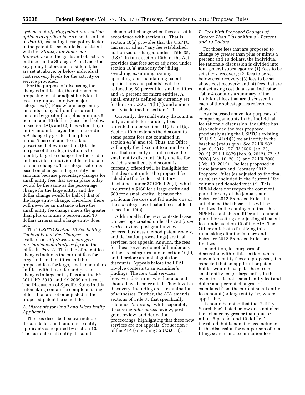*system,* and *offering patent prosecution options to applicants.* As also described in *Part III,* executing these policy factors in the patent fee schedule is consistent with the *Strategy for American Innovation* and the goals and objectives outlined in the Strategic Plan. Once the key policy factors are considered, fees are set at, above, or below individual cost recovery levels for the activity or service provided.

For the purpose of discussing the changes in this rule, the rationale for proposing to set or adjust individual fees are grouped into two major categories: (1) Fees where large entity amounts changed from the current amount by greater than plus or minus 5 percent and 10 dollars (described below in section (A)); and (2) fees where large entity amounts stayed the same or did *not* change by greater than plus or minus 5 percent and 10 dollars (described below in section (B). The purpose of the categorization is to identify large fee changes for the reader and provide an individual fee rationale for such changes. The categorization is based on changes in large entity fee amounts because percentage changes for small entity fees that are in place today would be the same as the percentage change for the large entity, and the dollar change would be half of that of the large entity change. Therefore, there will never be an instance where the small entity fee change meets the greater than plus or minus 5 percent and 10 dollars criteria and a large entity does not.

The ''*USPTO Section 10 Fee Setting— Table of Patent Fee Changes''* is available at *[http://www.uspto.gov/](http://www.uspto.gov/aia_implementation/fees.jsp) aia*\_*[implementation/fees.jsp](http://www.uspto.gov/aia_implementation/fees.jsp)* and the tables in *Part VI.* The table of patent fee changes includes the current fees for large and small entities and the proposed fees for large, small, and micro entities with the dollar and percent changes in large entity fees and the FY 2011, FY 2010, and FY 2009 unit costs. The Discussion of Specific Rules in this rulemaking contains a complete listing of fees that are set or adjusted in the proposed patent fee schedule.

#### *A. Discounts for Small and Micro Entity Applicants*

The fees described below include discounts for small and micro entity applicants as required by section 10. The current small entity discount

scheme will change when fees are set in accordance with section 10. That is, section 10(a) provides that the USPTO can set or adjust ''any fee established, authorized or charged under'' Title 35, U.S.C. In turn, section 10(b) of the Act provides that fees set or adjusted under section 10(a) authority for "filing, searching, examining, issuing, appealing, and maintaining patent applications and patents'' will be reduced by 50 percent for small entities and 75 percent for micro entities. A small entity is defined as currently set forth in 35 U.S.C.  $41(h)(1)$ , and a micro entity is defined in section 123.

Currently, the small entity discount is only available for statutory fees provided under sections 41(a) and (b). Section 10(b) extends the discount to some patent fees not contained in section 41(a) and (b). Thus, the Office will apply the discount to a number of fees that currently do not receive the small entity discount. Only one fee for which a small entity discount is currently offered will be ineligible for that discount under the proposed fee schedule (the fee for a statutory disclaimer under 37 CFR 1.20(d), which is currently \$160 for a large entity and \$80 for a small entity), because the particular fee does not fall under one of the six categories of patent fees set forth in section 10(b).

Additionally, the new contested case proceedings created under the Act (*inter partes* review, post grant review, covered business method patent review, and derivation proceedings) are trial services, not appeals. As such, the fees for these services do not fall under any of the six categories under section 10(b), and therefore are not eligible for discounts. Appeals before the BPAI involve contests to an examiner's findings. The new trial services, however, determine whether a patent should have been granted. They involve discovery, including cross-examination of witnesses. Further, the AIA amends sections of Title 35 that specifically reference ''appeals,'' while separately discussing *inter partes* review, post grant review, and derivation proceedings, highlighting that these new services are not appeals. *See* section 7 of the AIA (amending 35 U.S.C. 6).

#### *B. Fees With Proposed Changes of Greater Than Plus or Minus 5 Percent and 10 Dollars*

For those fees that are proposed to change by greater than plus or minus 5 percent and 10 dollars, the individual fee rationale discussion is divided into four general subcategories: (1) Fees to be set at cost recovery; (2) fees to be set below cost recovery; (3) fees to be set above cost recovery; and (4) fees that are not set using cost data as an indicator. Table 4 contains a summary of the individual fees that are discussed in each of the subcategories referenced above.

As discussed above, for purposes of comparing amounts in the individual fee rationale discussion, the Office has also included the fees proposed previously using the USPTO's existing 35 U.S.C. 41(d)(2) fee authority in the baseline (status quo). *See* 77 FR 982 (Jan. 6, 2012), 77 FR 3666 (Jan. 25, 2012), 77 FR 6879 (Feb. 9, 2012), 77 FR 7028 (Feb. 10, 2012), and 77 FR 7060 (Feb. 10, 2012). The fees proposed in these January and February 2012 Proposed Rules (as adjusted by the final rules) are included in the ''current'' fee column and denoted with (\*). This NPRM does not reopen the comment period for any of the January and February 2012 Proposed Rules. It is anticipated that those rules will be finalized in the coming months. This NPRM establishes a different comment period for setting or adjusting all patent fees under section 10 of the AIA. The Office anticipates finalizing this rulemaking after the January and February 2012 Proposed Rules are finalized.

In addition, for purposes of discussion within this section, where new micro entity fees are proposed, it is expected that an applicant or patent holder would have paid the current small entity fee (or large entity in the event there is not a small entity fee) and dollar and percent changes are calculated from the current small entity fee amount (or large entity fee, where applicable).

It should be noted that the ''Utility Search Fee'' listed below does not meet the ''change by greater than plus or minus 5 percent and 10 dollars'' threshold, but is nonetheless included in the discussion for comparison of total filing, search, and examination fees.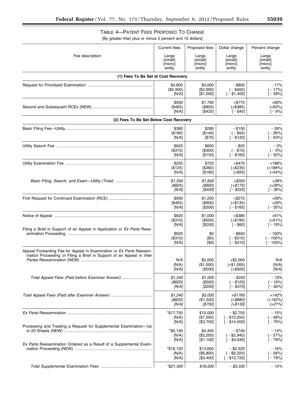## TABLE 4—PATENT FEES PROPOSED TO CHANGE

[By greater than plus or minus 5 percent and 10 dollars]

|                                                                         | <b>Current fees</b>         | Proposed fees                      | Dollar change                               | Percent change                     |
|-------------------------------------------------------------------------|-----------------------------|------------------------------------|---------------------------------------------|------------------------------------|
| Fee description                                                         | Large                       | Large                              | Large                                       | Large                              |
|                                                                         | (small)                     | (small)                            | (small)                                     | (small)                            |
|                                                                         | [micro]                     | [micro]                            | [micro]                                     | <i><b>Imicro</b></i>               |
|                                                                         | entity                      | entity                             | entity                                      | entity                             |
| (1) Fees To Be Set at Cost Recovery                                     |                             |                                    |                                             |                                    |
|                                                                         | \$4,800                     | \$4,000                            | $-$ \$800                                   | $-17%$                             |
|                                                                         | (\$2,400)                   | (\$2,000)                          | $(-\$400)$                                  | $(-17%)$                           |
|                                                                         | [N/A]                       | [\$1,000]                          | $[-\$1,400]$                                | $[-58%]$                           |
|                                                                         | \$930                       | \$1,700                            | $+ $770$                                    | $+83%$                             |
|                                                                         | (\$465)                     | (\$850)                            | $(+\$385)$                                  | $(+83%)$                           |
|                                                                         | [N/A]                       | [\$425]                            | $[-\$40]$                                   | $[-9%]$                            |
| (2) Fees To Be Set Below Cost Recovery                                  |                             |                                    |                                             |                                    |
|                                                                         | \$380                       | \$280                              | $-$ \$100                                   | $-26%$                             |
|                                                                         | (\$190)                     | (\$140)                            | $(-\$50)$                                   | $(-26%)$                           |
|                                                                         | [N/A]                       | [\$70]                             | $[-$120]$                                   | $[-63%]$                           |
|                                                                         | \$620                       | \$600                              | $-$ \$20                                    | $-3%$                              |
|                                                                         | (\$310)                     | (\$300)                            | $(-\$10)$                                   | $(-3%)$                            |
|                                                                         | [N/A]                       | [\$150]                            | $[-$160]$                                   | $[-52\%]$                          |
|                                                                         | \$250                       | \$720                              | $+ $470$                                    | $+188%$                            |
|                                                                         | (\$125)                     | (\$360)                            | $(+$235)$                                   | $(+188%)$                          |
|                                                                         | [N/A]                       | [\$180]                            | $[+ $55]$                                   | $[+44%]$                           |
| Basic Filing, Search, and Exam-Utility (Total)                          | \$1,250                     | \$1,600                            | $+ $350$                                    | $+28%$                             |
|                                                                         | $($ \$625)                  | $($ \$800)                         | $(+$175)$                                   | $(+28%)$                           |
|                                                                         | [N/A]                       | [\$400]                            | $[-$225]$                                   | $[-36\%]$                          |
|                                                                         | \$930                       | \$1,200                            | $+$ \$270                                   | $+29%$                             |
|                                                                         | (\$465)                     | $($ \$600)                         | $(+$135)$                                   | $+29%$                             |
|                                                                         | [N/A]                       | [\$300]                            | $[-$165]$                                   | $[-35\%]$                          |
|                                                                         | \$620                       | \$1,000                            | $+ $380$                                    | $+61%$                             |
|                                                                         | (\$310)                     | (\$500)                            | $(+\$190)$                                  | $(+61%)$                           |
|                                                                         | [N/A]                       | $[$250]$                           | $[-\$60]$                                   | $[-19%]$                           |
| Filing a Brief in Support of an Appeal in Application or Ex Parte Reex- | \$620<br>(\$310)<br>[N/A]   | \$0<br>(50)<br>[\$0]               | $-$ \$620<br>$(-\$310)$<br>$[-$310]$        | $-100%$<br>( – 100%)<br>$[-100\%]$ |
| Appeal Forwarding Fee for Appeal in Examination or Ex Parte Reexam-     | N/A                         | \$2,000                            | $+ $2,000$                                  | N/A                                |
| ination Proceeding or Filing a Brief in Support of an Appeal in Inter   | (N/A)                       | (\$1,000)                          | $(+\$1,000)$                                | (N/A)                              |
|                                                                         | [N/A]                       | [\$500]                            | $[+$500]$                                   | [N/A]                              |
| Total Appeal Fees (Paid before Examiner Answer)                         | \$1,240                     | \$1,000                            | - \$240                                     | - 19%                              |
|                                                                         | (\$620)                     | (\$500)                            | $(-$120)$                                   | $(-19%)$                           |
|                                                                         | [N/A]                       | [\$250]                            | $[-$370]$                                   | [-60%]                             |
| Total Appeal Fees (Paid after Examiner Answer)                          | \$1,240                     | \$3,000                            | +\$1760                                     | $+142%$                            |
|                                                                         | $($ \$620)                  | (\$1,500)                          | $(+$880)$                                   | $(+142%)$                          |
|                                                                         | [N/A]                       | [\$750]                            | $[+$130]$                                   | $[+21\%]$                          |
|                                                                         | *\$17,750                   | \$15,000                           | $-$ \$2.750                                 | $-15%$                             |
|                                                                         | (N/A)                       | (\$7,500)                          | $(-$10,250)$                                | ( – 58%)                           |
|                                                                         | [N/A]                       | [\$3,750]                          | $[-$14,000]$                                | [-79%]                             |
| Processing and Treating a Request for Supplemental Examination—Up       | *\$5,140<br>(N/A)<br>[N/A]  | \$4,400<br>(\$2,200)<br>[\$1,100]  | $-$ \$740<br>$(-\$2,940)$<br>$[-\$4,040]$   | $-14%$<br>( – 57%)<br>[-79%]       |
| Ex Parte Reexamination Ordered as a Result of a Supplemental Exam-      | *\$16,120<br>(N/A)<br>[N/A] | \$13,600<br>(\$6,800)<br>[\$3,400] | $-$ \$2,520<br>$(-\$9,320)$<br>$[-$12,720]$ | $-16%$<br>$(-58%)$<br>[-79%]       |
|                                                                         | *\$21,300                   | \$18,000                           | - \$3,330                                   | $-15%$                             |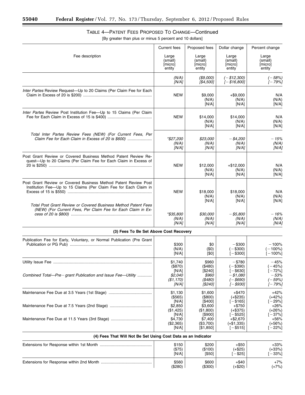-

|                                                                                                                   | <b>Current fees</b>                                           | Proposed fees                                               | Dollar change                                                             | Percent change                                               |
|-------------------------------------------------------------------------------------------------------------------|---------------------------------------------------------------|-------------------------------------------------------------|---------------------------------------------------------------------------|--------------------------------------------------------------|
| Fee description                                                                                                   | Large                                                         | Large                                                       | Large                                                                     | Large                                                        |
|                                                                                                                   | (small)                                                       | (small)                                                     | (small)                                                                   | (small)                                                      |
|                                                                                                                   | [micro]                                                       | [micro]                                                     | [micro]                                                                   | [micro]                                                      |
|                                                                                                                   | entity                                                        | entity                                                      | entity                                                                    | entity                                                       |
|                                                                                                                   | (N/A)                                                         | (\$9,000)                                                   | $(-$12,300)$                                                              | $(-58%)$                                                     |
|                                                                                                                   | [N/A]                                                         | [\$4,500]                                                   | $[-$16,800]$                                                              | $[-79%]$                                                     |
| Inter Partes Review Request-Up to 20 Claims (Per Claim Fee for Each                                               | <b>NEW</b>                                                    | \$9,000<br>(N/A)<br>[N/A]                                   | $+$ \$9,000<br>(N/A)<br>[N/A]                                             | N/A<br>(N/A)<br>[N/A]                                        |
| Inter Partes Review Post Institution Fee-Up to 15 Claims (Per Claim                                               | <b>NEW</b>                                                    | \$14,000<br>(N/A)<br>[N/A]                                  | \$14,000<br>(N/A)<br>[N/A]                                                | N/A<br>(N/A)<br>[N/A]                                        |
| Total Inter Partes Review Fees (NEW) (For Current Fees, Per<br>Claim Fee for Each Claim in Excess of 20 is \$600) | *\$27,200<br>(N/A)<br>[N/A]                                   | \$23,000<br>(N/A)<br>[N/A]                                  | $-$ \$4,200<br>(N/A)<br>[N/A]                                             | $-15%$<br>(N/A)<br>[N/A]                                     |
| Post Grant Review or Covered Business Method Patent Review Re-                                                    | <b>NEW</b>                                                    | \$12,000                                                    | +\$12,000                                                                 | N/A                                                          |
| quest-Up to 20 Claims (Per Claim Fee for Each Claim in Excess of                                                  |                                                               | (N/A)                                                       | (N/A)                                                                     | (N/A)                                                        |
|                                                                                                                   |                                                               | [N/A]                                                       | [N/A]                                                                     | [N/A]                                                        |
| Post Grant Review or Covered Business Method Patent Review Post                                                   | <b>NEW</b>                                                    | \$18,000                                                    | \$18,000                                                                  | N/A                                                          |
| Institution Fee-Up to 15 Claims (Per Claim Fee for Each Claim in                                                  |                                                               | (N/A)                                                       | (N/A)                                                                     | (N/A)                                                        |
|                                                                                                                   |                                                               | [N/A]                                                       | [N/A]                                                                     | [N/A]                                                        |
| Total Post Grant Review or Covered Business Method Patent Fees                                                    | *\$35,800                                                     | \$30,000                                                    | $-$ \$5,800 $\,$                                                          | - 16%                                                        |
| (NEW) (For Current Fees, Per Claim Fee for Each Claim in Ex-                                                      | (N/A)                                                         | (N/A)                                                       | (N/A)                                                                     | (N/A)                                                        |
|                                                                                                                   | [N/A]                                                         | [N/A]                                                       | [N/A]                                                                     | [N/A]                                                        |
| (3) Fees To Be Set Above Cost Recovery                                                                            |                                                               |                                                             |                                                                           |                                                              |
| Publication Fee for Early, Voluntary, or Normal Publication (Pre Grant                                            | \$300<br>(N/A)<br>[N/A]                                       | \$0<br>(50)<br>[\$0]                                        | $-$ \$300<br>$(-\$300)$<br>$[-\$300]$                                     | $-100%$<br>$(-100\%)$<br>[-100%]                             |
| Combined Total-Pre-grant Publication and Issue Fee-Utility                                                        | \$1,740<br>(\$870)<br>[N/A]<br>\$2,040<br>( \$1,170)<br>[N/A] | \$960<br>(\$480)<br>[\$240]<br>\$960<br>( \$480)<br>[\$240] | $- $780$<br>$(-$390)$<br>[一\$630]<br>$- $1,080$<br>$(-$690)$<br>[— \$930] | $-45%$<br>$(-45%)$<br>$-72%$<br>- 53%<br>$(-59%)$<br>[— 79%] |
|                                                                                                                   | \$1,130                                                       | \$1,600                                                     | $+ $470$                                                                  | +42%                                                         |
|                                                                                                                   | (\$565)                                                       | $($ \$800)                                                  | $(+\$235)$                                                                | $(+42%)$                                                     |
|                                                                                                                   | [N/A]                                                         | [\$400]                                                     | $[-\$165]$                                                                | [-29%]                                                       |
|                                                                                                                   | \$2,850                                                       | \$3,600                                                     | $+ $750$                                                                  | $+26%$                                                       |
|                                                                                                                   | (\$1,425)                                                     | (\$1,800)                                                   | $(+\$375)$                                                                | $(+26%)$                                                     |
|                                                                                                                   | [N/A]                                                         | [\$900]                                                     | $[-$525]$                                                                 | $[-37%]$                                                     |
|                                                                                                                   | \$4,730                                                       | \$7,400                                                     | $+ $2,670$                                                                | $+56%$                                                       |
|                                                                                                                   | (\$2,365)                                                     | (\$3,700)                                                   | $(+$1,335)$                                                               | $(+56%)$                                                     |
|                                                                                                                   | [N/A]                                                         | [\$1,850]                                                   | $[-\$515]$                                                                | $[-22\%]$                                                    |
| (4) Fees That Will Not Be Set Using Cost Data as an Indicator                                                     |                                                               |                                                             |                                                                           |                                                              |
|                                                                                                                   | \$150                                                         | \$200                                                       | +\$50                                                                     | +33%                                                         |
|                                                                                                                   | (\$75)                                                        | (\$100)                                                     | $(+\$25)$                                                                 | $(+33%)$                                                     |
|                                                                                                                   | [N/A]                                                         | [\$50]                                                      | $[-\$25]$                                                                 | $[-33%]$                                                     |
|                                                                                                                   | \$560                                                         | \$600                                                       | +\$40                                                                     | $+7%$                                                        |
|                                                                                                                   | (\$280)                                                       | (\$300)                                                     | $(+\$20)$                                                                 | $(+7%)$                                                      |

### TABLE 4—PATENT FEES PROPOSED TO CHANGE—Continued [By greater than plus or minus 5 percent and 10 dollars]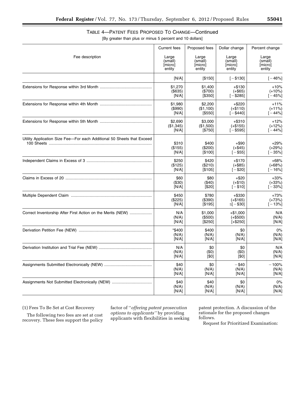|                                                                        | <b>Current fees</b>       | Proposed fees               | Dollar change                     | Percent change                  |
|------------------------------------------------------------------------|---------------------------|-----------------------------|-----------------------------------|---------------------------------|
| Fee description                                                        | Large                     | Large                       | Large                             | Large                           |
|                                                                        | (smāll)                   | (small)                     | (small)                           | (small)                         |
|                                                                        | [micro]                   | [micro]                     | [micro]                           | [micro]                         |
|                                                                        | entity                    | entity                      | entity                            | entity                          |
|                                                                        | [N/A]                     | [\$150]                     | $[-$130]$                         | $[-46%]$                        |
|                                                                        | \$1,270                   | \$1,400                     | $+ $130$                          | $+10%$                          |
|                                                                        | (\$635)                   | (\$700)                     | $(+\$65)$                         | $(+10%)$                        |
|                                                                        | [N/A]                     | [\$350]                     | $[-$285]$                         | $[-45%]$                        |
|                                                                        | \$1,980                   | \$2,200                     | $+$ \$220                         | $+11%$                          |
|                                                                        | (\$990)                   | (\$1,100)                   | $(+$110)$                         | $(+11%)$                        |
|                                                                        | [N/A]                     | [\$550]                     | $[-\$440]$                        | $[-44%]$                        |
|                                                                        | \$2,690                   | \$3,000                     | $+ $310$                          | $+12%$                          |
|                                                                        | (\$1,345)                 | (\$1,500)                   | $(+$155)$                         | $(+12%)$                        |
|                                                                        | [N/A]                     | [\$750]                     | $[-$595]$                         | $[-44%]$                        |
| Utility Application Size Fee-For each Additional 50 Sheets that Exceed | \$310<br>(\$155)<br>[N/A] | \$400<br>(\$200)<br>[\$100] | $+$ \$90<br>$(+\$45)$<br>$[-$55]$ | $+29%$<br>$(+29%)$<br>$[-35\%]$ |
|                                                                        | \$250                     | \$420                       | $+ $170$                          | $+68%$                          |
|                                                                        | (\$125)                   | (\$210)                     | $(+\$85)$                         | $(+68%)$                        |
|                                                                        | [N/A]                     | [\$105]                     | $[-\$20]$                         | $[-16\%]$                       |
|                                                                        | \$60                      | \$80                        | $+ $20$                           | $+33%$                          |
|                                                                        | $($ \$30)                 | $($ \$40)                   | $(+\$10)$                         | $(+33%)$                        |
|                                                                        | [N/A]                     | [\$20]                      | $[-$10]$                          | $[-33%]$                        |
|                                                                        | \$450                     | \$780                       | +\$330                            | +73%                            |
|                                                                        | (\$225)                   | (\$390)                     | $(+$165)$                         | $(+73%)$                        |
|                                                                        | [N/A]                     | [\$195]                     | $\leq$ [ - \$30]                  | $[-13%]$                        |
| Correct Inventorship After First Action on the Merits (NEW)            | N/A                       | \$1,000                     | $+ $1,000$                        | N/A                             |
|                                                                        | (N/A)                     | (\$500)                     | $(+\$500)$                        | (N/A)                           |
|                                                                        | [N/A]                     | $[$250]$                    | $[+ $250]$                        | [N/A]                           |
|                                                                        | *\$400                    | \$400                       | \$0                               | 0%                              |
|                                                                        | (N/A)                     | (N/A)                       | (N/A)                             | (N/A)                           |
|                                                                        | [N/A]                     | [N/A]                       | [N/A]                             | [N/A]                           |
|                                                                        | N/A                       | \$0                         | \$0                               | N/A                             |
|                                                                        | (N/A)                     | (\$0)                       | (\$0)                             | (N/A)                           |
|                                                                        | [N/A]                     | [\$0]                       | [\$0]                             | [N/A]                           |
|                                                                        | \$40                      | \$0                         | $-$ \$40                          | $-100%$                         |
|                                                                        | (N/A)                     | (N/A)                       | (N/A)                             | (N/A)                           |
|                                                                        | [N/A]                     | [N/A]                       | [N/A]                             | [N/A]                           |
|                                                                        | \$40                      | \$40                        | \$0                               | 0%                              |
|                                                                        | (N/A)                     | (N/A)                       | (N/A)                             | (N/A)                           |
|                                                                        | [N/A]                     | [N/A]                       | [N/A]                             | [N/A]                           |

TABLE 4—PATENT FEES PROPOSED TO CHANGE—Continued [By greater than plus or minus 5 percent and 10 dollars]

(1) Fees To Be Set at Cost Recovery

The following two fees are set at cost recovery. These fees support the policy

factor of ''*offering patent prosecution options to applicants''* by providing applicants with flexibilities in seeking

patent protection. A discussion of the rationale for the proposed changes follows.

Request for Prioritized Examination: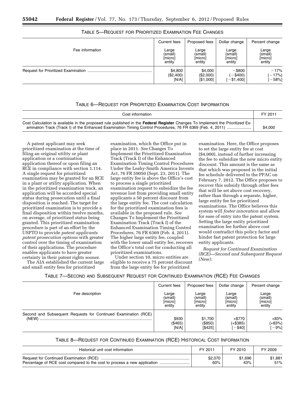|                 | Current fees | Proposed fees | Dollar change | Percent change |
|-----------------|--------------|---------------|---------------|----------------|
| Fee information | Large        | Large         | Large         | Large          |
|                 | (small)      | (small)       | (small)       | (small)        |
|                 | [micro]      | [micro]       | [micro]       | [micro]        |
|                 | entity       | entity        | entity        | entity         |
|                 | \$4,800      | \$4,000       | $-$ \$800     | $-17%$         |
|                 | (\$2,400)    | (\$2,000)     | $-$ \$400)    | $(-17%)$       |
|                 | [N/A]        | [\$1,000]     | [-\$1,400]    | $-58%$ ]       |

TABLE 5—REQUEST FOR PRIORITIZED EXAMINATION FEE CHANGES

#### TABLE 6—REQUEST FOR PRIORITIZED EXAMINATION COST INFORMATION

| Cost information                                                                                                              | FY 2011 |
|-------------------------------------------------------------------------------------------------------------------------------|---------|
| Cost Calculation is available in the proposed rule published in the Federal Register Changes To Implement the Prioritized Ex- | \$4,000 |

A patent applicant may seek prioritized examination at the time of filing an original utility or plant application or a continuation application thereof or upon filing an RCE in compliance with section 1.114. A single request for prioritized examination may be granted for an RCE in a plant or utility application. When in the prioritized examination track, an application will be accorded special status during prosecution until a final disposition is reached. The target for prioritized examination is to provide a final disposition within twelve months, on average, of prioritized status being granted. This prioritized examination procedure is part of an effort by the USPTO to provide *patent applicants patent prosecution options* with greater control over the timing of examination of their applications. The procedure enables applicants to have greater certainty in their patent rights sooner.

The AIA established the current large and small entity fees for prioritized

examination, which the Office put in place in 2011. *See* Changes To Implement the Prioritized Examination Track (Track I) of the Enhanced Examination Timing Control Procedures Under the Leahy-Smith America Invents Act, 76 FR 59050 (Sept. 23, 2011). The large entity fee is above the Office's cost to process a single prioritized examination request to subsidize the fee revenue lost from providing small entity applicants a 50 percent discount from the large entity fee. The cost calculation for the prioritized examination fees is available in the proposed rule. *See*  Changes To Implement the Prioritized Examination Track (Track I) of the Enhanced Examination Timing Control Procedures, 76 FR 6369 (Feb. 4, 2011). The higher large entity fee, coupled with the lower small entity fee, recovers the Office's total cost for conducting all prioritized examinations.

Under section 10, micro entities are eligible to receive a 75 percent discount from the large entity fee for prioritized

examination. Here, the Office proposes to set the large entity fee at cost (\$4,000), instead of further increasing the fee to subsidize the new micro entity discount. This amount is the same as that which was proposed in the initial fee schedule delivered to the PPAC on February 7, 2012. The Office proposes to recover this subsidy through other fees that will be set above cost recovery, rather than through a separate, higher, large entity fee for prioritized examinations. The Office believes this system will *foster innovation* and allow for ease of entry into the patent system. Setting the large entity prioritized examination fee further above cost would contradict this policy factor and hinder fast patent protection for large entity applicants.

*Request for Continued Examination (RCE)—Second and Subsequent Request (New):* 

| TABLE 7—SECOND AND SUBSEQUENT REQUEST FOR CONTINUED EXAMINATION (RCE) FEE CHANGES |  |  |  |
|-----------------------------------------------------------------------------------|--|--|--|
|-----------------------------------------------------------------------------------|--|--|--|

|                                                                | Current fees                          | Proposed fees                         | Dollar change                         | Percent change                        |
|----------------------------------------------------------------|---------------------------------------|---------------------------------------|---------------------------------------|---------------------------------------|
| Fee description                                                | Large<br>(small)<br>[micro]<br>entity | Large<br>(small)<br>[micro]<br>entity | Large<br>(small)<br>[micro]<br>entity | Large<br>(small)<br>[micro]<br>entity |
| Second and Subsequent Requests for Continued Examination (RCE) | \$930<br>(\$465)<br>[N/A]             | \$1,700<br>(\$850)<br>[\$425]         | $+ $770$<br>(+\$385)<br>$-$ \$40]     | $+83%$<br>(+83%)<br>$-9%$ ]           |

#### TABLE 8—REQUEST FOR CONTINUED EXAMINATION (RCE) HISTORICAL COST INFORMATION

| Historical unit cost information                                         | FY 2011 | FY 2010 | FY 2009 |
|--------------------------------------------------------------------------|---------|---------|---------|
|                                                                          | \$2,070 | \$1.696 | \$1.881 |
| Percentage of RCE cost compared to the cost to process a new application | 60%     | 43%     | 51%     |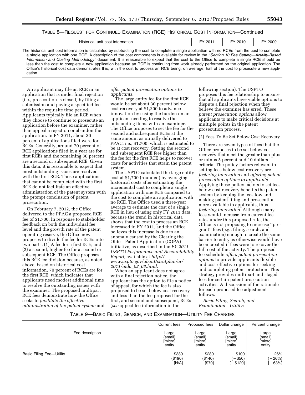#### TABLE 8—REQUEST FOR CONTINUED EXAMINATION (RCE) HISTORICAL COST INFORMATION—Continued

| Historical unit cost information                                                                                                                                                                                                                                                                                                                                                                                                                                                                                                                                                                                                                                                                                                                           | FY 2011 | FY 2010 | FY 2009 |
|------------------------------------------------------------------------------------------------------------------------------------------------------------------------------------------------------------------------------------------------------------------------------------------------------------------------------------------------------------------------------------------------------------------------------------------------------------------------------------------------------------------------------------------------------------------------------------------------------------------------------------------------------------------------------------------------------------------------------------------------------------|---------|---------|---------|
| The historical unit cost information is calculated by subtracting the cost to complete a single application with no RCEs from the cost to complete<br>a single application with one RCE. A description of the cost components is available for review in the "Section 10 Fee Setting—Activity-Based<br>Information and Costing Methodology" document. It is reasonable to expect that the cost to the Office to complete a single RCE should be<br>less than the cost to complete a new application because an RCE is continuing from work already performed on the original application. The<br>Office's historical cost data demonstrates this, with the cost to process an RCE being, on average, half of the cost to prosecute a new appli-<br>cation. |         |         |         |

An applicant may file an RCE in an application that is under final rejection (i.e., prosecution is closed) by filing a submission and paying a specified fee within the requisite time period. Applicants typically file an RCE when they choose to continue to prosecute an application before the examiner, rather than appeal a rejection or abandon the application. In FY 2011, about 30 percent of applications filed were for RCEs. Generally, around 70 percent of RCE applications filed in a year are for first RCEs and the remaining 30 percent are a second or subsequent RCE. Given this data, it is reasonable to expect that most outstanding issues are resolved with the first RCE. Those applications that cannot be completed with the first RCE do not facilitate an effective administration of the patent system with the prompt conclusion of patent prosecution.

On February 7, 2012, the Office delivered to the PPAC a proposed RCE fee of \$1,700. In response to stakeholder feedback on both the individual fee level and the growth rate of the patent operating reserve, the Office now proposes to divide the fee for RCEs into two parts: (1) A fee for a first RCE; and (2) a second, higher fee for a second or subsequent RCE. The Office proposes this RCE fee division because, as noted above, based on historical cost information, 70 percent of RCEs are for the first RCE, which indicates that applicants need modest additional time to resolve the outstanding issues with the examiner. The proposed multipart RCE fees demonstrate how the Office seeks to *facilitate the effective administration of the patent system* and

#### *offer patent prosecution options to applicants.*

The large entity fee for the first RCE would be set about 30 percent below cost recovery at \$1,200 to advance innovation by easing the burden on an applicant needing to resolve the outstanding items with an examiner. The Office proposes to set the fee for the second and subsequent RCEs at the same amount as initially delivered to PPAC, i.e., \$1,700, which is estimated to be at cost recovery. Setting the second and subsequent RCE fees higher than the fee for the first RCE helps to recover costs for activities that strain the patent system.

The USPTO calculated the large entity cost at \$1,700 (rounded) by averaging historical costs after estimating the incremental cost to complete a single application with one RCE compared to the cost to complete an application with no RCE. The Office used a three-year average to estimate the cost of a single RCE in lieu of using only FY 2011 data, because the trend in historical data shows that the cost to process an RCE increased in FY 2011, and the Office believes this increase is due to an anomaly caused by the Clearing the Oldest Patent Application (COPA) initiative, as described in the *FY 2011 USPTO Performance and Accountability Report,* available at *[http://](http://www.uspto.gov/about/stratplan/ar/2011/mda_02_03.html) [www.uspto.gov/about/stratplan/ar/](http://www.uspto.gov/about/stratplan/ar/2011/mda_02_03.html) [2011/mda](http://www.uspto.gov/about/stratplan/ar/2011/mda_02_03.html)*\_*02*\_*03.html*.

When an applicant does not agree with a final rejection notice, the applicant has the option to file a notice of appeal, for which the fee is also proposed to be set below cost recovery and less than the fee proposed for the first, and second and subsequent, RCEs (*see* appeal fee information in the

following section). The USPTO proposes this fee relationship to ensure that all applicants have viable options to dispute a final rejection when they believe the examiner has erred. These *patent prosecution options* allow applicants to make critical decisions at multiple points in the patent prosecution process.

(2) Fees To Be Set Below Cost Recovery

There are seven types of fees that the Office proposes to be set below cost recovery that meet the greater than plus or minus 5 percent and 10 dollars criteria. The policy factors relevant to setting fees below cost recovery are *fostering innovation* and *offering patent prosecution options to applicants.*  Applying these policy factors to set fees below cost recovery benefits the patent system by keeping the fees low and making patent filing and prosecution more available to applicants, thus *fostering innovation.* Although many fees would increase from current fee rates under this proposed rule, the Office is not proposing to increase ''pregrant'' fees (e.g., filing, search, and examination) enough to create the same barrier to entry as otherwise would have been created if fees were to recover the full cost of the activity. The proposed fee schedule *offers patent prosecution options* to provide applicants flexible and cost-effective options for seeking and completing patent protection. This strategy provides multipart and staged fees for certain patent prosecution activities. A discussion of the rationale for each proposed fee adjustment follows.

*Basic Filing, Search, and Examination—Utility:* 

#### TABLE 9—BASIC FILING, SEARCH, AND EXAMINATION—UTILITY FEE CHANGES

|                 | Current fees | Proposed fees | Dollar change | Percent change |
|-----------------|--------------|---------------|---------------|----------------|
| Fee description | Large        | Large         | Large         | Large          |
|                 | (small)      | (small)       | (small)       | (small)        |
|                 | [micro]      | [micro]       | [micro]       | [micro]        |
|                 | entity       | entity        | entity        | entity         |
|                 | \$380        | \$280         | $-$ \$100     | $-26%$         |
|                 | (\$190)      | (\$140)       | $(-\$50)$     | $-26%$         |
|                 | [N/A]        | $[$70]$       | $-$ \$120]    | $[-63%]$       |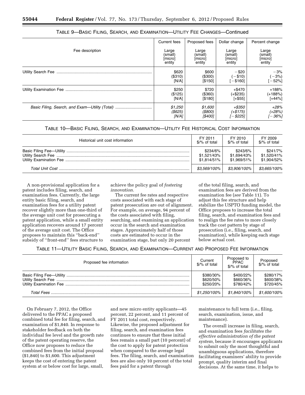|                                                | Current fees | Proposed fees | Dollar change | Percent change |
|------------------------------------------------|--------------|---------------|---------------|----------------|
| Fee description                                | Large        | Large         | Large         | Large          |
|                                                | (small)      | (small)       | (small)       | (small)        |
|                                                | [micro]      | [micro]       | [micro]       | [micro]        |
|                                                | entity       | entity        | entity        | entity         |
|                                                | \$620        | \$600         | $-$ \$20      | $-3%$          |
|                                                | (\$310)      | (\$300)       | ( - \$10)     | $(-3%)$        |
|                                                | [N/A]        | [\$150]       | $- $160]$     | $-52%$         |
|                                                | \$250        | \$720         | $+$ \$470     | $+188%$        |
|                                                | (\$125)      | $($ \$360)    | $(+\$235)$    | (+188%)        |
|                                                | [N/A]        | [\$180]       | $[+ $55]$     | $[+44%]$       |
| Basic Filing, Search, and Exam—Utility (Total) | \$1,250      | \$1,600       | +\$350        | $+28%$         |
|                                                | $($ \$625)   | $($ \$800 $)$ | $(+$175)$     | (+28%)         |
|                                                | $IN/A$ ]     | [\$400]       | l – \$2251    | r – 36%]       |

|  | TABLE 9—BASIC FILING, SEARCH, AND EXAMINATION—UTILITY FEE CHANGES—Continued |  |  |
|--|-----------------------------------------------------------------------------|--|--|
|--|-----------------------------------------------------------------------------|--|--|

#### TABLE 10—BASIC FILING, SEARCH, AND EXAMINATION—UTILITY FEE HISTORICAL COST INFORMATION

| Historical unit cost information | FY 2011                | FY 2010       | FY 2009                |
|----------------------------------|------------------------|---------------|------------------------|
|                                  | $\frac{1}{2}$ of total | \$/% of total | $\frac{1}{2}$ of total |
|                                  | \$234/6%               | \$243/6%      | \$241/7%               |
|                                  | \$1,521/43%            | \$1,694/43%   | \$1.520/41%            |
|                                  | \$1.814/51%            | \$1.969/51%   | \$1.904/52%            |
|                                  | \$3.569/100%           | \$3,906/100%  | \$3,665/100%           |

A non-provisional application for a patent includes filing, search, and examination fees. Currently, the large entity basic filing, search, and examination fees for a utility patent recover slightly more than one-third of the average unit cost for prosecuting a patent application, while a small entity application recovers around 17 percent of the average unit cost. The Office proposes to maintain this ''back-end'' subsidy of ''front-end'' fees structure to achieve the policy goal of *fostering innovation.* 

The current fee rates and respective costs associated with each stage of patent prosecution are out of alignment. For example, on average, 94 percent of the costs associated with filing, searching, and examining an application occur in the search and examination stages. Approximately half of those costs are estimated to occur in the examination stage, but only 20 percent

of the total filing, search, and examination fees are derived from the examination fee (*see* Table 11). To adjust this fee structure and help stabilize the USPTO funding model, the Office proposes to increase the total filing, search, and examination fees and to realign the fee rates to more closely track the cost pattern by stage of prosecution (i.e., filing, search, and examination), while keeping each stage below actual cost.

TABLE 11—UTILITY BASIC FILING, SEARCH, AND EXAMINATION—CURRENT AND PROPOSED FEE INFORMATION

| Proposed fee information | Current<br>\$/% of total            | Proposed to<br><b>PPAC</b><br>\$/% of total | Proposed<br>\$/% of total           |
|--------------------------|-------------------------------------|---------------------------------------------|-------------------------------------|
|                          | \$380/30%<br>\$620/50%<br>\$250/20% | \$400/22%<br>\$660/36%<br>\$780/42%         | \$280/17%<br>\$600/38%<br>\$720/45% |
| <b>Total Fees</b>        | \$1,250/100%                        | \$1,840/100%                                | \$1,600/100%                        |

On February 7, 2012, the Office delivered to the PPAC a proposed combined total fee for filing, search, and examination of \$1,840. In response to stakeholder feedback on both the individual fee level and the growth rate of the patent operating reserve, the Office now proposes to reduce the combined fees from the initial proposal (\$1,840) to \$1,600. This adjustment keeps the cost of entering the patent system at or below cost for large, small,

and new micro entity applicants—45 percent, 22 percent, and 11 percent of FY 2011 total cost, respectively. Likewise, the proposed adjustment for filing, search, and examination fees continues to ensure that these initial fees remain a small part (10 percent) of the cost to apply for patent protection when compared to the average legal fees. The filing, search, and examination fees are also only 10 percent of the total fees paid for a patent through

maintenance to full term (i.e., filing, search, examination, issue, and maintenance).

The overall increase in filing, search, and examination fees *facilitates the effective administration of the patent system,* because it encourages applicants to submit only the most thoughtful and unambiguous applications, therefore facilitating examiners' ability to provide prompt, quality interim and final decisions. At the same time, it helps to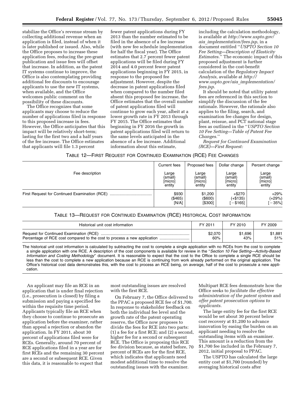stabilize the Office's revenue stream by collecting additional revenue when an application is filed, instead of when it is later published or issued. Also, while the Office proposes to increase these application fees, reducing the pre-grant publication and issue fees will offset that increase. In addition, as the patent IT systems continue to improve, the Office is also contemplating providing additional fee discounts to encourage applicants to use the new IT systems, when available, and the Office welcomes public comment on the possibility of these discounts.

The Office recognizes that some applicants may choose to reduce the number of applications filed in response to this proposed increase in fees. However, the Office anticipates that this impact will be relatively short-term; lasting for the first two and a half years of the fee increase. The Office estimates that applicants will file 1.3 percent

fewer patent applications during FY 2013 than the number estimated to be filed in the absence of a fee increase (with new fee schedule implementation for half the fiscal year). The Office estimates that 2.7 percent fewer patent applications will be filed during FY 2014 and 4.0 percent fewer patent applications beginning in FY 2015, in response to the proposed fee adjustment. However, despite the decrease in patent applications filed when compared to the number filed absent this proposed fee increase, the Office estimates that the overall number of patent applications filed will continue to grow each year, albeit at a lower growth rate in FY 2013 through FY 2015. The Office estimates that beginning in FY 2016 the growth in patent applications filed will return to the same levels anticipated in the absence of a fee increase. Additional information about this estimate,

including the calculation methodology, is available at *[http://www.uspto.gov/](http://www.uspto.gov/aia_implementation/fees.jsp)  aia*\_*[implementation/fees.jsp](http://www.uspto.gov/aia_implementation/fees.jsp)*, in a document entitled ''*USPTO Section 10 Fee Setting—Description of Elasticity Estimates.*'' The economic impact of this proposed adjustment is further considered in the cost-benefit calculation of the *Regulatory Impact Analysis,* available at *[http://](http://www.uspto.gov/aia_implementation/fees.jsp)  [www.uspto.gov/aia](http://www.uspto.gov/aia_implementation/fees.jsp)*\_*implementation/ [fees.jsp.](http://www.uspto.gov/aia_implementation/fees.jsp)* 

It should be noted that utility patent fees are referenced in this section to simplify the discussion of the fee rationale. However, the rationale also applies to the filing, search, and examination fee changes for design, plant, reissue, and PCT national stage fees as outlined in the ''*USPTO Section 10 Fee Setting—Table of Patent Fee Changes.*''

*Request for Continued Examination (RCE)—First Request:* 

#### TABLE 12—FIRST REQUEST FOR CONTINUED EXAMINATION (RCE) FEE CHANGES

|                 | Current fees | Proposed fees | Dollar change | Percent change |
|-----------------|--------------|---------------|---------------|----------------|
| Fee description | Large        | Large         | Large         | Large          |
|                 | (small)      | (small)       | (small)       | (small)        |
|                 | [micro]      | [micro]       | [micro]       | [micro]        |
|                 | entity       | entity        | entity        | entity         |
|                 | \$930        | \$1,200       | $+ $270$      | $+29%$         |
|                 | (\$465)      | (\$600)       | (+\$135)      | (+29%)         |
|                 | [N/A]        | [\$300]       | $-$ \$165]    | $[-35\%]$      |

#### TABLE 13—REQUEST FOR CONTINUED EXAMINATION (RCE) HISTORICAL COST INFORMATION

| Historical unit cost information                                         | FY 2011 | FY 2010 | FY 2009 |
|--------------------------------------------------------------------------|---------|---------|---------|
|                                                                          | \$2,070 | \$1.696 | \$1,881 |
| Percentage of RCE cost compared to the cost to process a new application | 60%     | 43%     | 51%     |

The historical unit cost information is calculated by subtracting the cost to complete a single application with no RCEs from the cost to complete a single application with one RCE. A description of the cost components is available for review in the ''*Section 10 Fee Setting—Activity-Based Information and Costing Methodology*'' document. It is reasonable to expect that the cost to the Office to complete a single RCE should be less than the cost to complete a new application because an RCE is continuing from work already performed on the original application. The Office's historical cost data demonstrates this, with the cost to process an RCE being, on average, half of the cost to prosecute a new application.

An applicant may file an RCE in an application that is under final rejection (i.e., prosecution is closed) by filing a submission and paying a specified fee within the requisite time period. Applicants typically file an RCE when they choose to continue to prosecute an application before the examiner, rather than appeal a rejection or abandon the application. In FY 2011, about 30 percent of applications filed were for RCEs. Generally, around 70 percent of RCE applications filed in a year are for first RCEs and the remaining 30 percent are a second or subsequent RCE. Given this data, it is reasonable to expect that

most outstanding issues are resolved with the first RCE.

On February 7, the Office delivered to the PPAC a proposed RCE fee of \$1,700. In response to stakeholder feedback on both the individual fee level and the growth rate of the patent operating reserve, the Office now proposes to divide the fees for RCE into two parts: (1) a fee for a first RCE; and (2) a second, higher fee for a second or subsequent RCE. The Office is proposing this RCE fee division because, as stated before, 70 percent of RCEs are for the first RCE, which indicates that applicants need modest additional time to resolve the outstanding issues with the examiner.

Multipart RCE fees demonstrate how the Office seeks to *facilitate the effective administration of the patent system* and *offer patent prosecution options to applicants.* 

The large entity fee for the first RCE would be set about 30 percent below cost recovery at \$1,200 to advance innovation by easing the burden on an applicant needing to resolve the outstanding items with an examiner. This amount is a reduction from the \$1,700 fee included in the February 7, 2012, initial proposal to PPAC.

The USPTO has calculated the large entity cost at \$1,700 (rounded) by averaging historical costs after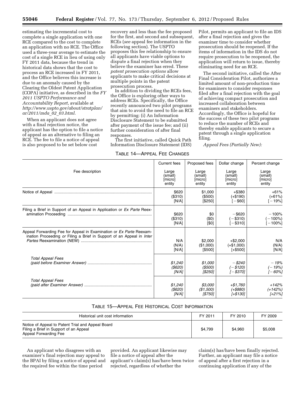estimating the incremental cost to complete a single application with one RCE compared to the cost to complete an application with no RCE. The Office used a three-year average to estimate the cost of a single RCE in lieu of using only FY 2011 data, because the trend in historical data shows that the cost to process an RCE increased in FY 2011, and the Office believes this increase is due to an anomaly caused by the Clearing the Oldest Patent Application (COPA) initiative, as described in the *FY 2011 USPTO Performance and Accountability Report,* available at *[http://www.uspto.gov/about/stratplan/](http://www.uspto.gov/about/stratplan/ar/2011/mda_02_03.html)  [ar/2011/mda](http://www.uspto.gov/about/stratplan/ar/2011/mda_02_03.html)*\_*02*\_*03.html.* 

When an applicant does not agree with a final rejection notice, the applicant has the option to file a notice of appeal as an alternative to filing an RCE. The fee to file a notice of appeal is also proposed to be set below cost

recovery and less than the fee proposed for the first, and second and subsequent, RCEs (*see* appeal fee information in the following section). The USPTO proposes this fee relationship to ensure all applicants have viable options to dispute a final rejection when they believe the examiner has erred. These *patent prosecution options* allow applicants to make critical decisions at multiple points in the patent prosecution process.

In addition to dividing the RCEs fees, the Office is exploring other ways to address RCEs. Specifically, the Office recently announced two pilot programs that aim to avoid the need to file an RCE by permitting: (i) An Information Disclosure Statement to be submitted after payment of the issue fee; and (ii) further consideration of after final responses.

The first initiative, called Quick Path Information Disclosure Statement (IDS)

TABLE 14—APPEAL FEE CHANGES

Pilot, permits an applicant to file an IDS after a final rejection and gives the examiner time to consider whether prosecution should be reopened. If the items of information in the IDS do not require prosecution to be reopened, the application will return to issue, thereby eliminating need for an RCE.

The second initiative, called the After Final Consideration Pilot, authorizes a limited amount of non-production time for examiners to consider responses filed after a final rejection with the goal of achieving compact prosecution and increased collaboration between examiners and stakeholders. Accordingly, the Office is hopeful for the success of these two pilot programs to reduce the number of RCEs and thereby enable applicants to secure a patent through a single application filing.

*Appeal Fees (Partially New):* 

|                                                                                                                                              | Current fees                          | Proposed fees                         | Dollar change                            | Percent change                        |
|----------------------------------------------------------------------------------------------------------------------------------------------|---------------------------------------|---------------------------------------|------------------------------------------|---------------------------------------|
| Fee description                                                                                                                              | Large<br>(small)<br>[micro]<br>entity | Large<br>(small)<br>[micro]<br>entity | Large<br>(small)<br>[micro]<br>entity    | Large<br>(small)<br>[micro]<br>entity |
|                                                                                                                                              | \$620<br>(\$310)<br>[N/A]             | \$1,000<br>(\$500)<br>[\$250]         | $+$ \$380<br>$(+\$190)$<br>[ - \$60]     | $+61%$<br>$(+61%)$<br>$[-19%]$        |
| Filing a Brief in Support of an Appeal in Application or Ex Parte Reex-                                                                      | \$620<br>(\$310)<br>[N/A]             | \$0<br>(50)<br>[\$0]                  | $-$ \$620<br>$-$ \$310)<br>$-$ \$310]    | $-100%$<br>$-100%$<br>$-100%$         |
| Appeal Forwarding Fee for Appeal in Examination or Ex Parte Reexam-<br>ination Proceeding or Filing a Brief in Support of an Appeal in Inter | N/A<br>(N/A)<br>[N/A]                 | \$2,000<br>(\$1,000)<br>[\$500]       | $+$ \$2,000<br>$(+\$1,000)$<br>$[-$500]$ | N/A<br>(N/A)<br>[N/A]                 |
| <b>Total Appeal Fees</b>                                                                                                                     | \$1,240<br>(\$620)<br>IN/A1           | \$1,000<br>$($ \$500 $)$<br>[\$250]   | $-$ \$240<br>$(-$120)$<br>$[-$370]$      | $-19%$<br>$(-19%)$<br>$[-60%]$        |
| <b>Total Appeal Fees</b>                                                                                                                     | \$1,240<br>(\$620)<br>IN/A            | \$3,000<br>(\$1,500)<br>[\$750]       | +\$1,760<br>(+\$880)<br>[+\$130]         | $+142%$<br>$(+142%)$<br>$[+21\%]$     |

#### TABLE 15—APPEAL FEE HISTORICAL COST INFORMATION

| Historical unit cost information                                                                                     | FY 2011 | FY 2010 | FY 2009 |
|----------------------------------------------------------------------------------------------------------------------|---------|---------|---------|
| Notice of Appeal to Patent Trial and Appeal Board<br>Filing a Brief in Support of an Appeal<br>Appeal Forwarding Fee | \$4.799 | \$4.960 | \$5,008 |

An applicant who disagrees with an examiner's final rejection may appeal to the BPAI by filing a notice of appeal and the required fee within the time period

provided. An applicant likewise may file a notice of appeal after the applicant's claim(s) has/have been twice rejected, regardless of whether the

claim(s) has/have been finally rejected. Further, an applicant may file a notice of appeal after a first rejection in a continuing application if any of the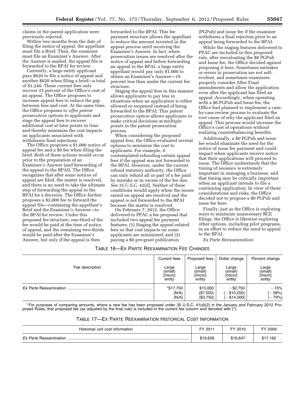claims in the parent application were previously rejected.

Within two months from the date of filing the notice of appeal, the appellant must file a Brief. Then, the examiner must file an Examiner's Answer. After the Answer is mailed, the appeal file is forwarded to the BPAI for review.

Currently, a large entity applicant pays \$620 to file a notice of appeal and another \$620 when filing a brief—a total of \$1,240. These current fees only recover 25 percent of the Office's cost of an appeal. The Office proposes to increase appeal fees to reduce the gap between fees and cost. At the same time, the Office proposes to *offer patent prosecution options to applicants* and stage the appeal fees to recover additional cost at later points in time and thereby minimize the cost impacts on applicants associated with withdrawn final rejections.

The Office proposes a \$1,000 notice of appeal fee and a \$0 fee when filing the brief. Both of these actions would occur prior to the preparation of an Examiner's Answer (and forwarding of the appeal to the BPAI). The Office recognizes that after some notices of appeal are filed, the matter is resolved, and there is no need to take the ultimate step of forwarding the appeal to the BPAI for a decision. The Office further proposes a \$2,000 fee to forward the appeal file—containing the appellant's Brief and the Examiner's Answer—to the BPAI for review. Under this proposed fee structure, one-third of the fee would be paid at the time of notice of appeal, and the remaining two-thirds would be paid after the Examiner's Answer, but only if the appeal is then

forwarded to the BPAI. This fee payment structure allows the appellant to reduce the amount invested in the appeal process until receiving the Examiner's Answer. In fact, when prosecution issues are resolved after the notice of appeal and before forwarding an appeal to the BPAI, a large entity appellant would pay only \$1,000 to obtain an Examiner's Answer—19 percent less than under the current fee structure.

Staging the appeal fees in this manner allows applicants to pay less in situations when an application is either allowed or reopened instead of being forwarded to the BPAI. This *patent prosecution option* allows applicants to make critical decisions at multiple points in the patent prosecution process.

When considering the proposed appeal fees, the Office evaluated several options to minimize the cost to applicants. For example, it contemplated refunding certain appeal fees if the appeal was not forwarded to the BPAI. However, under the current refund statutory authority, the Office can only refund all or part of a fee paid by mistake or in excess of the fee due. *See* 35 U.S.C. 42(d). Neither of these conditions would apply when the issues raised on appeal are resolved and the appeal is not forwarded to the BPAI because the matter is resolved.

On February 7, 2012, the Office delivered to PPAC a fee proposal that included two appeal fee payment features: (1) Staging the appeal-related fees so that cost impacts on some applicants are minimized; and (2) paying a \$0 pre-grant publication

(PGPub) and issue fee if the examiner withdraws a final rejection prior to an appeal being forwarded to the BPAI.

While the staging features delivered to PPAC are included in this proposed rule, after reevaluating the \$0 PGPub and Issue fee, the Office decided against proposing it here. Sometimes mistakes or errors in prosecution are not selfevident, and sometimes examiners properly consider After Final amendments and allow the application even after the applicant has filed an appeal. Accordingly, when operating with a \$0 PGPub and Issue fee, the Office had planned to implement a caseby-case review process to evaluate the root cause of why the applicant filed an appeal. This process would increase the Office's cost of operations without realizing counterbalancing benefits.

Additionally, a \$0 PGPub and issue fee would eliminate the need for the notice of issue fee payment and could impact when applicants receive notice that their applications will proceed to issue. The Office understands that the timing of issuance is extremely important in managing a business, and that timing may be critically important when an applicant intends to file a continuing application. In view of these considerations and risks, the Office decided not to propose a \$0 PGPub and issue fee here.

Finally, just as the Office is exploring ways to minimize unnecessary RCE filings, the Office is likewise exploring other options, including pilot programs, in an effort to reduce the need to appeal to the BPAI.

*Ex Parte Reexamination:* 

#### TABLE 16—EX PARTE REEXAMINATION FEE CHANGES

|                        | Current fees | Proposed fees | Dollar change | Percent change |
|------------------------|--------------|---------------|---------------|----------------|
| Fee description        | Large        | Large         | Large         | Large          |
|                        | (small)      | (small)       | (small)       | (small)        |
|                        | [micro]      | [micro]       | [micro]       | [micro]        |
|                        | entity       | entity        | entity        | entity         |
| Ex Parte Reexamination | *\$17,750    | \$15,000      | $-$ \$2.750   | $-15%$         |
|                        | (N/A)        | (\$7,500)     | $-$ \$10,250) | $(-58%)$       |
|                        | [N/A]        | [\$3,750]     | $[-\$14,000]$ | $-79%$ ]       |

\* For purposes of comparing amounts, where a new fee has been proposed under 35 U.S.C. 41(d)(2) in the January and February 2012 Proposed Rules, that proposed fee (as adjusted by the final rule) is included in the current fee column and denoted with (\*).

| Table 17—Ex Parte Reexamination Historical Cost Information |  |
|-------------------------------------------------------------|--|
|-------------------------------------------------------------|--|

| Historical unit cost information | FY 2011  | FY 2010  | 2009     |
|----------------------------------|----------|----------|----------|
| Ex Parte Reexamination           | \$19,626 | \$16.647 | \$17,162 |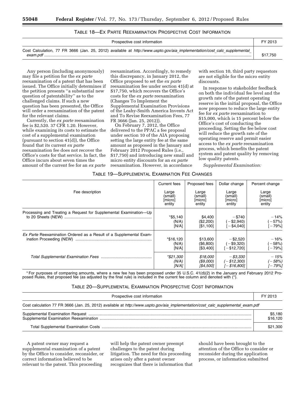#### TABLE 18—EX PARTE REEXAMINATION PROSPECTIVE COST INFORMATION

| Prospective cost information                                                                                             | FY 2013  |
|--------------------------------------------------------------------------------------------------------------------------|----------|
| Cost Calculation, 77 FR 3666 (Jan. 25, 2012) available at http://www.uspto.gov/aia_implementation/cost_calc_supplemental | \$17,750 |

Any person (including anonymously) may file a petition for the *ex parte*  reexamination of a patent that has been issued. The Office initially determines if the petition presents ''a substantial new question of patentability'' as to the challenged claims. If such a new question has been presented, the Office will order a reexamination of the patent for the relevant claims.

Currently, the *ex parte* reexamination fee is \$2,520. 37 CFR 1.20. However, while examining its costs to estimate the cost of a supplemental examination (pursuant to section 41(d)), the Office found that its current *ex parte*  reexamination fee does not recover the Office's costs for that service. In fact, the Office incurs about seven times the amount of the current fee for an *ex parte* 

reexamination. Accordingly, to remedy this discrepancy, in January 2012, the Office proposed to set the *ex parte*  reexamination fee under section 41(d) at \$17,750, which recovers the Office's costs for the *ex parte* reexamination (Changes To Implement the Supplemental Examination Provisions of the Leahy-Smith America Invents Act and To Revise Reexamination Fees, 77 FR 3666 (Jan. 25, 2012)).

On February 7, 2012, the Office delivered to the PPAC a fee proposal under section 10 of the AIA proposing setting the large entity fee at the same amount as proposed in the January and February 2012 Proposed Rules (i.e., \$17,750) and introducing new small and micro entity discounts for an *ex parte*  reexamination. However, in accordance

with section 10, third party requestors are not eligible for the micro entity discounts.

In response to stakeholder feedback on both the individual fee level and the growth rate of the patent operating reserve in the initial proposal, the Office now proposes to reduce the large entity fee for *ex parte* reexamination to \$15,000, which is 15 percent below the Office's cost of conducting the proceeding. Setting the fee below cost will reduce the growth rate of the operating reserve and permit easier access to the *ex parte* reexamination process, which benefits the patent system and patent quality by removing low quality patents.

*Supplemental Examination:* 

#### TABLE 19—SUPPLEMENTAL EXAMINATION FEE CHANGES

|                                                                    | Current fees                          | Proposed fees                         | Dollar change                               | Percent change                        |
|--------------------------------------------------------------------|---------------------------------------|---------------------------------------|---------------------------------------------|---------------------------------------|
| Fee description                                                    | Large<br>(small)<br>[micro]<br>entity | Large<br>(small)<br>[micro]<br>entity | Large<br>(small)<br>[micro]<br>entity       | Large<br>(small)<br>[micro]<br>entity |
| Processing and Treating a Request for Supplemental Examination-Up  | $*$ \$5,140<br>(N/A)<br>[N/A]         | \$4,400<br>(\$2,200)<br>[\$1,100]     | $-$ \$740<br>$(-\$2,940)$<br>$-$ \$4,040]   | $-14%$<br>$-57%$<br>$-79%$            |
| Ex Parte Reexamination Ordered as a Result of a Supplemental Exam- | *\$16,120<br>(N/A)<br>[N/A]           | \$13,600<br>(\$6,800)<br>[\$3,400]    | $-$ \$2,520<br>$(-\$9,320)$<br>[-\$12,720]  | $-16%$<br>$-58%$<br>$-79%$            |
|                                                                    | *\$21,300<br>(N/A)<br>IN/A            | \$18,000<br>(\$9,000)<br>[\$4,500]    | $-$ \$3,330<br>$(-$12,300)$<br>$[-$16,800]$ | $-15%$<br>$-58%$<br>r – 79%]          |

\* For purposes of comparing amounts, where a new fee has been proposed under 35 U.S.C. 41(d)(2) in the January and February 2012 Proposed Rules, that proposed fee (as adjusted by the final rule) is included in the current fee column and denoted with (\*).

#### TABLE 20—SUPPLEMENTAL EXAMINATION PROSPECTIVE COST INFORMATION

| Prospective cost information                                                                                                     |                     |
|----------------------------------------------------------------------------------------------------------------------------------|---------------------|
| Cost calculation 77 FR 3666 (Jan. 25, 2012) available at http://www.uspto.gov/aia implementation/cost calc supplemental exam.pdf |                     |
|                                                                                                                                  | \$5,180<br>\$16,120 |
|                                                                                                                                  | \$21,300            |

A patent owner may request a supplemental examination of a patent by the Office to consider, reconsider, or correct information believed to be relevant to the patent. This proceeding

will help the patent owner preempt challenges to the patent during litigation. The need for this proceeding arises only after a patent owner recognizes that there is information that

should have been brought to the attention of the Office to consider or reconsider during the application process, or information submitted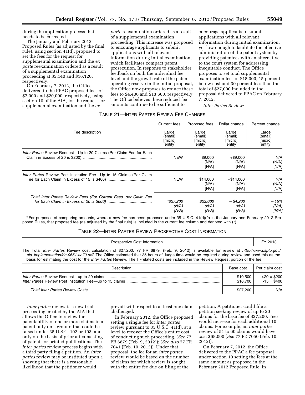during the application process that needs to be corrected.

The January and February 2012 Proposed Rules (as adjusted by the final rule), using section 41(d), proposed to set the fees for the request for supplemental examination and the *ex parte* reexamination ordered as a result of a supplemental examination proceeding at \$5,140 and \$16,120, respectively.

On February 7, 2012, the Office delivered to the PPAC proposed fees of \$7,000 and \$20,000, respectively, using section 10 of the AIA, for the request for supplemental examination and the *ex* 

*parte* reexamination ordered as a result of a supplemental examination proceeding. This increase was proposed to encourage applicants to submit applications with all relevant information during initial examination, which facilitates compact patent prosecution. In response to stakeholder feedback on both the individual fee level and the growth rate of the patent operating reserve in the initial proposal, the Office now proposes to reduce these fees to \$4,400 and \$13,600, respectively. The Office believes these reduced fee amounts continue to be sufficient to

encourage applicants to submit applications with all relevant information during initial examination, yet low enough to facilitate the effective administration of the patent system by providing patentees with an alternative to the court system for addressing inequitable conduct. The Office proposes to set total supplemental examination fees of \$18,000, 15 percent below cost and 30 percent less than the total of \$27,000 included in the proposal delivered to PPAC on February 7, 2012.

*Inter Partes Review:* 

#### TABLE 21—INTER PARTES REVIEW FEE CHANGES

|                                                                            | Current fees                          | Proposed fees                         | Dollar change                         | Percent change                        |
|----------------------------------------------------------------------------|---------------------------------------|---------------------------------------|---------------------------------------|---------------------------------------|
| Fee description                                                            | Large<br>(small)<br>[micro]<br>entity | Large<br>(small)<br>[micro]<br>entity | Large<br>(small)<br>[micro]<br>entity | Large<br>(small)<br>[micro]<br>entity |
| <i>Inter Partes</i> Review Request—Up to 20 Claims (Per Claim Fee for Each | <b>NEW</b>                            | \$9,000<br>(N/A)<br>[N/A]             | $+$ \$9,000<br>(N/A)<br>[N/A]         | N/A<br>(N/A)<br>[N/A]                 |
| Inter Partes Review Post Institution Fee-Up to 15 Claims (Per Claim        | <b>NEW</b>                            | \$14,000<br>(N/A)<br>[N/A]            | $+$ \$14,000<br>(N/A)<br>[N/A]        | N/A<br>(N/A)<br>[N/A]                 |
| Total Inter Partes Review Fees (For Current Fees, per Claim Fee            | *\$27,200<br>(N/A)<br>[N/A]           | \$23,000<br>(N/A)<br>[N/A]            | $-$ \$4,200<br>(N/A)<br>IN/A          | $-15%$<br>(N/A)<br>IN/A               |

\* For purposes of comparing amounts, where a new fee has been proposed under 35 U.S.C. 41(d)(2) in the January and February 2012 Proposed Rules, that proposed fee (as adjusted by the final rule) is included in the current fee column and denoted with (\*).

#### TABLE 22—INTER PARTES REVIEW PROSPECTIVE COST INFORMATION

| <b>Prospective Cost Information</b>                                                                                                                                                                                                                                                                                                                                                                                                     |           | FY 2013        |
|-----------------------------------------------------------------------------------------------------------------------------------------------------------------------------------------------------------------------------------------------------------------------------------------------------------------------------------------------------------------------------------------------------------------------------------------|-----------|----------------|
| The Total Inter Partes Review cost calculation of \$27,200, 77 FR 6879, (Feb. 9, 2012) is available for review at http://www.uspto.gov/<br>aia implementation/rin-0651-ac70.pdf. The Office estimated that 35 hours of Judge time would be required during review and used this as the<br>basis for estimating the cost for the <i>Inter Partes</i> Review. The IT-related costs are included in the Review Request portion of the fee. |           |                |
| Description                                                                                                                                                                                                                                                                                                                                                                                                                             | Base cost | Per claim cost |
|                                                                                                                                                                                                                                                                                                                                                                                                                                         |           |                |

| \$10,500 | $>20 = $200$ |
|----------|--------------|
| \$16,700 | $>15 = $400$ |
| \$27,200 |              |

*Inter partes* review is a new trial proceeding created by the AIA that allows the Office to review the patentability of one or more claims in a patent only on a ground that could be raised under 35 U.S.C. 102 or 103, and only on the basis of prior art consisting of patents or printed publications. The *inter partes* review process begins with a third party filing a petition. An *inter partes* review may be instituted upon a showing that there is a reasonable likelihood that the petitioner would

prevail with respect to at least one claim challenged.

In February 2012, the Office proposed setting a single fee for *inter partes*  review pursuant to 35 U.S.C. 41(d), at a level to recover the Office's entire cost of conducting such proceeding. (*See* 77 FR 6879 (Feb. 9, 2012)); (*See also* 77 FR 7041 (Feb. 10, 2012)). Under that proposal, the fee for an *inter partes*  review would be based on the number of claims for which review is sought, with the entire fee due on filing of the

petition. A petitioner could file a petition seeking review of up to 20 claims for the base fee of \$27,200. Fees would increase for each additional 10 claims. For example, an *inter partes*  review of 51 to 60 claims would have cost \$68,000 (*See* 77 FR 7050 (Feb. 10, 2012)).

On February 7, 2012, the Office delivered to the PPAC a fee proposal under section 10 setting the fees at the same amount as proposed in the February 2012 Proposed Rule. In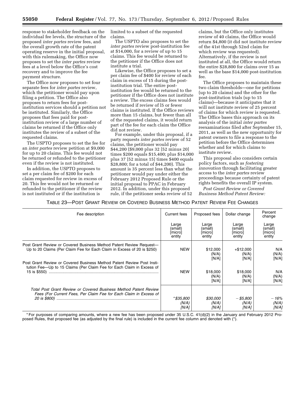response to stakeholder feedback on the individual fee levels, the structure of the proposed *inter partes* review fees, and the overall growth rate of the patent operating reserve in the initial proposal, with this rulemaking, the Office now proposes to set the *inter partes* review fees at a level below the Office's cost recovery and to improve the fee payment structure.

The Office now proposes to set four separate fees for *inter partes* review, which the petitioner would pay upon filing a petition. The Office also proposes to return fees for postinstitution services should a petition not be instituted. Similarly, the Office proposes that fees paid for postinstitution review of a large number of claims be returned if the Office only institutes the review of a subset of the requested claims.

The USPTO proposes to set the fee for an *inter partes* review petition at \$9,000 for up to 20 claims. This fee would not be returned or refunded to the petitioner even if the review is not instituted.

In addition, the USPTO proposes to set a per claim fee of \$200 for each claim requested for review in excess of 20. This fee would not be returned or refunded to the petitioner if the review is not instituted or if the institution is

limited to a subset of the requested claims.

The USPTO also proposes to set the *inter partes* review post-institution fee at \$14,000, for a review of up to 15 claims. This fee would be returned to the petitioner if the Office does not institute a trial.

Likewise, the Office proposes to set a per claim fee of \$400 for review of each claim in excess of 15 during the postinstitution trial. The entire postinstitution fee would be returned to the petitioner if the Office does not institute a review. The excess claims fees would be returned if review of l5 or fewer claims is instituted. If the Office reviews more than 15 claims, but fewer than all of the requested claims, it would return part of the fee for each claim the Office did not review.

For example, under this proposal, if a party requests *inter partes* review of 52 claims, the petitioner would pay \$44,200 (\$9,000 plus 32 [52 minus 20] times \$200 equals \$15,400; plus \$14,000 plus 37 [52 minus 15] times \$400 equals \$28,800; for a total of \$44,200). This amount is 35 percent less than what the petitioner would pay under either the February 2012 Proposed Rule or the initial proposal to PPAC in February 2012. In addition, under this proposed rule, if the petitioner seeks review of 52

claims, but the Office only institutes review of 40 claims, the Office would return \$4,800 (it did not institute review of the 41st through 52nd claim for which review was requested). Alternatively, if the review is not instituted at all, the Office would return the entire \$28,800 for claims over 15 as well as the base \$14,000 post-institution fee.

The Office proposes to maintain these two claim thresholds—one for petitions (up to 20 claims) and the other for the post-institution trials (up to 15 claims)—because it anticipates that it will not institute review of 25 percent of claims for which review is requested. The Office bases this approach on its analysis of the initial *inter partes*  reexaminations filed after September 15, 2011, as well as the new opportunity for patent owners to file a response to the petition before the Office determines whether and for which claims to institute review.

This proposal also considers certain policy factors, such as *fostering innovation* through facilitating greater access to the *inter partes* review proceedings because certainty of patent rights benefits the overall IP system.

*Post Grant Review or Covered Business Method Patent Review:* 

TABLE 23—POST GRANT REVIEW OR COVERED BUSINESS METHOD PATENT REVIEW FEE CHANGES

| Fee description                                                                                                                                | <b>Current fees</b> | Proposed fees              | Dollar change                 | Percent<br>change     |
|------------------------------------------------------------------------------------------------------------------------------------------------|---------------------|----------------------------|-------------------------------|-----------------------|
|                                                                                                                                                | Large               | Large                      | Large                         | Large                 |
|                                                                                                                                                | (small)             | (small)                    | (small)                       | (small)               |
|                                                                                                                                                | [micro]             | [micro]                    | [micro]                       | [micro]               |
|                                                                                                                                                | entity              | entity                     | entity                        | entity                |
| Post Grant Review or Covered Business Method Patent Review Request-<br>Up to 20 Claims (Per Claim Fee for Each Claim in Excess of 20 is \$250) | <b>NEW</b>          | \$12,000<br>(N/A)<br>[N/A] | $+ $12,000$<br>(N/A)<br>[N/A] | N/A<br>(N/A)<br>[N/A] |
| Post Grant Review or Covered Business Method Patent Review Post Insti-                                                                         | <b>NEW</b>          | \$18,000                   | \$18,000                      | N/A                   |
| tution Fee-Up to 15 Claims (Per Claim Fee for Each Claim in Excess of                                                                          |                     | (N/A)                      | (N/A)                         | (N/A)                 |
|                                                                                                                                                |                     | [N/A]                      | [N/A]                         | [N/A]                 |
| Total Post Grant Review or Covered Business Method Patent Review                                                                               | *\$35,800           | \$30,000                   | - \$5,800                     | $-16%$                |
| Fees (For Current Fees, Per Claim Fee for Each Claim in Excess of                                                                              | (N/A)               | (N/A)                      | (N/A)                         | (N/A)                 |
|                                                                                                                                                | [N/A]               | [N/A]                      | [N/A]                         | [N/A]                 |

\* For purposes of comparing amounts, where a new fee has been proposed under 35 U.S.C. 41(d)(2) in the January and February 2012 Proposed Rules, that proposed fee (as adjusted by the final rule) is included in the current fee column and denoted with (\*).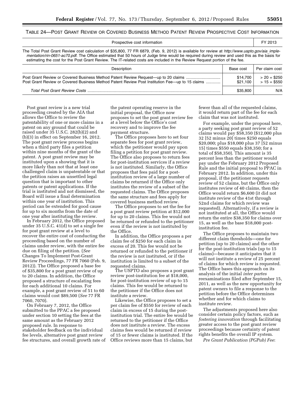#### TABLE 24—POST GRANT REVIEW OR COVERED BUSINESS METHOD PATENT REVIEW PROSPECTIVE COST INFORMATION

| Prospective cost information                                                                                                                                                                                                                                                                                                                                                                                                  |                      | FY 2013                        |
|-------------------------------------------------------------------------------------------------------------------------------------------------------------------------------------------------------------------------------------------------------------------------------------------------------------------------------------------------------------------------------------------------------------------------------|----------------------|--------------------------------|
| The Total Post Grant Review cost calculation of \$35,800, 77 FR 6879, (Feb. 9, 2012) is available for review at http://www.uspto.gov/aia imple-<br>mentation/rin-0651-ac70.pdf. The Office estimated that 50 hours of Judge time would be required during review and used this as the basis for<br>estimating the cost for the Post Grant Review. The IT-related costs are included in the Review Request portion of the fee. |                      |                                |
| Description                                                                                                                                                                                                                                                                                                                                                                                                                   | Base cost            | Per claim cost                 |
| Post Grant Review or Covered Business Method Patent Review Request—up to 20 claims<br>Post Grant Review or Covered Business Method Patent Review Post Institution Fee—up to 15 claims                                                                                                                                                                                                                                         | \$14.700<br>\$21.100 | $> 20 = $250$<br>$> 15 = $550$ |

*Total Post Grant Review Costs* ........................................................................................................................ \$35,800 N/A

Post grant review is a new trial proceeding created by the AIA that allows the Office to review the patentability of one or more claims in a patent on any ground that could be raised under 35 U.S.C. 282(b)(2) and (b)(3) in effect on September 16, 2012. The post grant review process begins when a third party files a petition within nine months of the grant of the patent. A post grant review may be instituted upon a showing that it is more likely than not that at least one challenged claim is unpatentable or that the petition raises an unsettled legal question that is important to other patents or patent applications. If the trial is instituted and not dismissed, the Board will issue a final determination within one year of institution. This period can be extended for good cause for up to six months from the date of one year after instituting the review.

In February 2012, the Office proposed under 35 U.S.C. 41(d) to set a single fee for post grant review at a level to recover the entire cost of conducting the proceeding based on the number of claims under review, with the entire fee due on filing of the petition. (*See*  Changes To Implement Post-Grant Review Proceedings, 77 FR 7060 (Feb. 9, 2012)). The Office proposed a base fee of \$35,800 for a post grant review of up to 20 claims. In addition, the Office proposed a structure of escalating fees for each additional 10 claims. For example, a post grant review of 51 to 60 claims would cost \$89,500 (*See* 77 FR 7060, 7070).

On February 7, 2012, the Office submitted to the PPAC a fee proposed under section 10 setting the fees at the same amount as the February 2012 proposed rule. In response to stakeholder feedback on the individual fee levels, alternative post grant review fee structures, and overall growth rate of

the patent operating reserve in the initial proposal, the Office now proposes to set the post grant review fee at a level below the Office's cost recovery and to improve the fee payment structure.

The Office proposes here to set four separate fees for post grant review, which the petitioner would pay upon filing a petition for post grant review. The Office also proposes to return fees for post-institution services if a review is not instituted. Similarly, the Office proposes that fees paid for a postinstitution review of a large number of claims be returned if the Office only institutes the review of a subset of the requested claims. The Office proposes the same structure and fees apply for covered business method review.

The Office proposes to set the fee for a post grant review petition at \$12,000 for up to 20 claims. This fee would not be returned or refunded to the petitioner even if the review is not instituted by the Office.

In addition, the Office proposes a per claim fee of \$250 for each claim in excess of 20. This fee would not be returned or refunded to the petitioner if the review is not instituted, or if the institution is limited to a subset of the requested claims.

The USPTO also proposes a post grant review post-institution fee at \$18,000, for post-institution review of up to 15 claims. This fee would be returned to the petitioner if the Office does not institute a review.

Likewise, the Office proposes to set a per claim fee of \$550 for review of each claim in excess of 15 during the postinstitution trial. The entire fee would be returned to the petitioner if the Office does not institute a review. The excess claims fees would be returned if review of 15 or fewer claims is instituted. If the Office reviews more than 15 claims, but

fewer than all of the requested claims, it would return part of the fee for each claim that was not instituted.

For example, under the proposal here, a party seeking post grant review of 52 claims would pay \$58,350 (\$12,000 plus 32 [52 minus 20] times \$250 equals \$20,000; plus \$18,000 plus 37 [52 minus 15] times \$550 equals \$38,350; for a total of \$58,350). This amount is 35 percent less than the petitioner would pay under the February 2012 Proposed Rule and the initial proposal to PPAC in February 2012. In addition, under this proposal, if the petitioner requests review of 52 claims, but the Office only institutes review of 40 claims, then the Office would return \$6,600 (it did not institute review of the 41st through 52nd claims for which review was requested). Alternatively, if a review is not instituted at all, the Office would return the entire \$38,350 for claims over 15, as well as the base \$18,000 postinstitution fee.

The Office proposes to maintain two different claim thresholds—one for petition (up to 20 claims) and the other for the post-institution trials (up to 15 claims)—because it anticipates that it will not institute a review of 25 percent of claims for which review is requested. The Office bases this approach on its analysis of the initial *inter partes*  reexaminations filed after September 15, 2011, as well as the new opportunity for patent owners to file a response to the petition before the Office determines whether and for which claims to institute review.

The adjustments proposed here also consider certain policy factors, such as *fostering innovation* through facilitating greater access to the post grant review proceedings because certainty of patent rights benefits the overall IP system.

*Pre Grant Publication (PGPub) Fee*: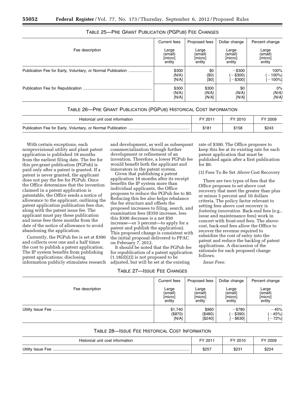|                                                             | Current fees | Proposed fees | Dollar change | Percent change |
|-------------------------------------------------------------|--------------|---------------|---------------|----------------|
| Fee description                                             | Large        | Large         | Large         | Large          |
|                                                             | (small)      | (small)       | (small)       | (small)        |
|                                                             | [micro]      | [micro]       | [micro]       | [micro]        |
|                                                             | entity       | entity        | entity        | entity         |
| Publication Fee for Early, Voluntary, or Normal Publication | \$300        | \$0           | $-$ \$300     | 100%           |
|                                                             | (N/A)        | (\$0)         | $-$ \$300)    | $-100%$        |
|                                                             | [N/A]        | [\$0]         | $-$ \$300]    | $-100%$ ]      |
|                                                             | \$300        | \$300         | \$0           | $0\%$          |
|                                                             | (N/A)        | (N/A)         | (N/A)         | (N/A)          |
|                                                             | [N/A]        | [N/A]         | [N/A]         | [N/A]          |

#### TABLE 25—PRE GRANT PUBLICATION (PGPUB) FEE CHANGES

#### TABLE 26—PRE GRANT PUBLICATION (PGPUB) HISTORICAL COST INFORMATION

| Historical unit cost information | FY 2011 | FY 2010 | FY 2009 |
|----------------------------------|---------|---------|---------|
|                                  | \$181   | \$158   | \$243   |

With certain exceptions, each nonprovisional utility and plant patent application is published 18 months from the earliest filing date. The fee for this pre-grant publication (PGPub) is paid only after a patent is granted. If a patent is never granted, the applicant does not pay the fee for PGPub. Once the Office determines that the invention claimed in a patent application is patentable, the Office sends a notice of allowance to the applicant, outlining the patent application publication fees due, along with the patent issue fee. The applicant must pay these publication and issue fees three months from the date of the notice of allowance to avoid abandoning the application.

Currently, the PGPub fee is set at \$300 and collects over one and a half times the cost to publish a patent application. The IP system benefits from publishing patent applications; disclosing information publicly stimulates research and development, as well as subsequent commercialization through further development or refinement of an invention. Therefore, a lower PGPub fee would benefit both the applicant and innovators in the patent system.

Given that publishing a patent application 18 months after its receipt benefits the IP system more than individual applicants, the Office proposes to reduce the PGPub fee to \$0. Reducing this fee also helps rebalance the fee structure and offsets the proposed increases to filing, search, and examination fees (\$350 increase, less this \$300 decrease is a net \$50 increase—or 3 percent—to apply for a patent and publish the application). This proposed change is consistent with the initial proposal delivered to PPAC on February 7, 2012.

It should be noted that the PGPub fee for republication of a patent application  $(1.18(d)(2))$  is not proposed to be adjusted, but will be set at the existing

TABLE 27—ISSUE FEE CHANGES

rate of \$300. The Office proposes to keep this fee at its existing rate for each patent application that must be published again after a first publication for \$0.

(3) Fees To Be Set *Above* Cost Recovery

There are two types of fees that the Office proposes to set above cost recovery that meet the greater than plus or minus 5 percent and 10 dollars criteria. The policy factor relevant to setting fees above cost recovery is *fostering innovation.* Back-end fees (e.g., issue and maintenance fees) work in concert with front-end fees. The abovecost, back-end fees allow the Office to recover the revenue required to subsidize the cost of entry into the patent and reduce the backlog of patent applications. A discussion of the rationale for each proposed change follows.

*Issue Fees:* 

|                 | Current fees | Proposed fees | Dollar change | Percent change |
|-----------------|--------------|---------------|---------------|----------------|
| Fee description | Large        | Large         | Large         | Large          |
|                 | (small)      | (small)       | (small)       | (small)        |
|                 | [micro]      | [micro]       | [micro]       | [micro]        |
|                 | entity       | entity        | entity        | entity         |
|                 | \$1,740      | \$960         | $- $780$      | $-45%$         |
|                 | (\$870)      | (\$480)       | $-$ \$390)    | $(-45%)$       |
|                 | [N/A]        | [\$240]       | $-$ \$630]    | $[-72%]$       |

#### TABLE 28—ISSUE FEE HISTORICAL COST INFORMATION

| Historical unit cost information | $201^{\circ}$<br>cv | FY 2010 | $^{\circ}2009$ |
|----------------------------------|---------------------|---------|----------------|
| Utility Issue Fee                | \$257               | \$231   | \$224          |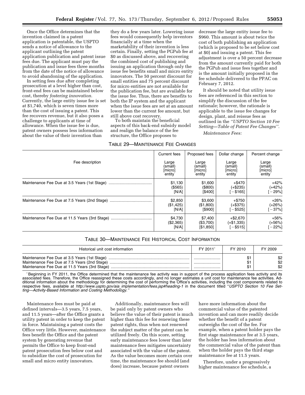In setting fees due after completing prosecution at a level higher than cost, front-end fees can be maintained below cost, thereby *fostering innovation.*  Currently, the large entity issue fee is set at \$1,740, which is seven times more than the cost of issuing a patent. This fee recovers revenue, but it also poses a challenge to applicants at time of allowance. When the issue fee is due, patent owners possess less information about the value of their invention than

they do a few years later. Lowering issue fees would consequently help inventors financially at a time when the marketability of their invention is less certain. Finally, setting the PGPub fee at \$0 as discussed above, and recovering the combined cost of publishing and issuing an application through only the issue fee benefits small and micro entity innovators. The 50 percent discount for small entities and 75 percent discount for micro entities are not available for the publication fee, but are available for the issue fee. Thus, there are benefits to both the IP system and the applicant when the issue fees are set at an amount lower than the current fee amount, but still above cost recovery.

To both maintain the beneficial aspects of this back-end subsidy model and realign the balance of the fee structure, the Office proposes to

#### TABLE 29—MAINTENANCE FEE CHANGES

decrease the large entity issue fee to \$960. This amount is about twice the cost of both publishing an application (which is proposed to be set below cost at \$0) and issuing a patent. This fee adjustment is over a 50 percent decrease from the amount currently paid for both the PGPub and issue fees together and is the amount initially proposed in the fee schedule delivered to the PPAC on February 7, 2012.

It should be noted that utility issue fees are referenced in this section to simplify the discussion of the fee rationale; however, the rationale is applicable to the issue fee changes for design, plant, and reissue fees as outlined in the *''USPTO Section 10 Fee Setting—Table of Patent Fee Changes''.* 

*Maintenance Fees:* 

|                 | Current fees | Proposed fees | Dollar change | Percent change |
|-----------------|--------------|---------------|---------------|----------------|
| Fee description | Large        | Large         | Large         | Large          |
|                 | (small)      | (small)       | (small)       | (small)        |
|                 | [micro]      | [micro]       | [micro]       | [micro]        |
|                 | entity       | entity        | entity        | entity         |
|                 | \$1,130      | \$1,600       | $+$ \$470     | $+42%$         |
|                 | (\$565)      | ( \$800)      | $(+\$235)$    | $(+42%)$       |
|                 | [N/A]        | [\$400]       | $-$ \$165]    | $[-29%]$       |
|                 | \$2,850      | \$3,600       | $+ $750$      | $+26%$         |
|                 | (\$1,425)    | (\$1,800)     | $(+\$375)$    | $(+26%)$       |
|                 | [N/A]        | [\$900]       | $-$ \$525]    | $[-37\%]$      |
|                 | \$4,730      | \$7,400       | $+$ \$2,670   | $+56%$         |
|                 | (\$2,365)    | (\$3,700)     | $(+\$1,335)$  | $(+56%)$       |
|                 | [N/A]        | [\$1,850]     | $-$ \$515]    | $-22%$         |

#### TABLE 30—MAINTENANCE FEE HISTORICAL COST INFORMATION

| Historical unit cost information             | FY 2011 | FY 2010 | FY 2009           |
|----------------------------------------------|---------|---------|-------------------|
| Maintenance Fee Due at 3.5 Years (1st Stage) | <br>    |         | \$2<br>\$2<br>\$2 |

\*Beginning in FY 2011, the Office determined that the maintenance fee activity was in support of the process application fees activity and its associated fees. Therefore, the Office reassigned these costs accordingly, and no longer estimates a unit cost for maintenance fee activities. Additional information about the methodology for determining the cost of performing the Office's activities, including the cost components related to respective fees, available at *http://www.uspto.gov/aia*\_*[implementation/fees.jsp#heading-1](http://www.uspto.gov/aia_implementation/fees.jsp#heading-1)* in the document titled ''*USPTO Section 10 Fee Setting—Activity-Based Information and Costing Methodology.''* 

Maintenance fees must be paid at defined intervals—3.5 years, 7.5 years, and 11.5 years—after the Office grants a utility patent in order to keep the patent in force. Maintaining a patent costs the Office very little. However, maintenance fees benefit the Office and the patent system by generating revenue that permits the Office to keep front-end patent prosecution fees below cost and to subsidize the cost of prosecution for small and micro entity innovators.

Additionally, maintenance fees will be paid only by patent owners who believe the value of their patent is much higher than this fee for renewing these patent rights, thus when not renewed the subject matter of the patent can be utilized freely. On this score, setting early maintenance fees lower than later maintenance fees mitigates uncertainty associated with the value of the patent. As the value becomes more certain over time, the maintenance fee should (and does) increase, because patent owners

have more information about the commercial value of the patented invention and can more readily decide whether the benefit of a patent outweighs the cost of the fee. For example, when a patent holder pays the first stage maintenance fee at 3.5 years, the holder has less information about the commercial value of the patent than when the holder pays the third stage maintenance fee at 11.5 years.

Therefore, under a progressively higher maintenance fee schedule, a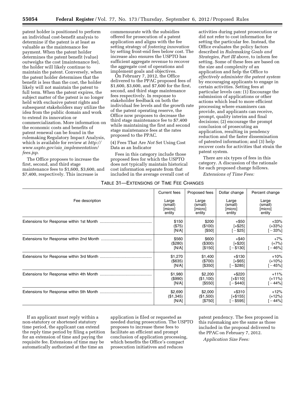patent holder is positioned to perform an individual cost-benefit analysis to determine if the patent is at least as valuable as the maintenance fee payment. When the patent holder determines the patent benefit (value) outweighs the cost (maintenance fee), the holder will likely continue to maintain the patent. Conversely, when the patent holder determines that the benefit is less than the cost, the holder likely will not maintain the patent to full term. When the patent expires, the subject matter of the patent is no longer held with exclusive patent rights and subsequent stakeholders may utilize the idea from the public domain and work to extend its innovation or commercialization. More information on the economic costs and benefits of patent renewal can be found in the rulemaking Regulatory Impact Analysis, which is available for review at *[http://](http://www.uspto.gov/aia_implementation/fees.jsp) [www.uspto.gov/aia](http://www.uspto.gov/aia_implementation/fees.jsp)*\_*implementation/ [fees.jsp](http://www.uspto.gov/aia_implementation/fees.jsp)*.

The Office proposes to increase the first, second, and third stage maintenance fees to \$1,600, \$3,600, and \$7,400, respectively. This increase is

commensurate with the subsidies offered for prosecution of a patent application and aligns with the fee setting strategy of *fostering innovation*  by setting front-end fees below cost. The increase also ensures the USPTO has sufficient aggregate revenue to recover the aggregate cost of operations and implement goals and objectives.

On February 7, 2012, the Office delivered to the PPAC proposed fees of \$1,600, \$3,600, and \$7,600 for the first, second, and third stage maintenance fees respectively. In response to stakeholder feedback on both the individual fee levels and the growth rate of the patent operating reserve, the Office now proposes to decrease the third stage maintenance fee to \$7,400 while maintaining the first and second stage maintenance fees at the rates proposed to the PPAC.

(4) Fees That Are *Not* Set Using Cost Data as an Indicator

Fees in this category include those proposed fees for which the USPTO does not typically maintain historical cost information separate from that included in the average overall cost of

#### TABLE 31—EXTENSIONS OF TIME FEE CHANGES

activities during patent prosecution or did not refer to cost information for setting the particular fee. Instead, the Office evaluates the policy factors described in *Rulemaking Goals and Strategies, Part III* above, to inform fee setting. Some of these fees are based on the size and complexity of an application and help the Office to *effectively administer the patent system*  by encouraging applicants to engage in certain activities. Setting fees at particular levels can: (1) Encourage the submission of applications or other actions which lead to more efficient processing where examiners can provide, and applicants can receive, prompt, quality interim and final decisions; (2) encourage the prompt conclusion of prosecuting an application, resulting in pendency reduction and the faster dissemination of patented information; and (3) help recover costs for activities that strain the patent system.

There are six types of fees in this category. A discussion of the rationale for each proposed change follows.

*Extensions of Time Fees:* 

|                 | Current fees | Proposed fees | Dollar change | Percent change |
|-----------------|--------------|---------------|---------------|----------------|
| Fee description | Large        | Large         | Large         | Large          |
|                 | (small)      | (small)       | (small)       | (small)        |
|                 | [micro]      | [micro]       | [micro]       | [micro]        |
|                 | entity       | entity        | entity        | entity         |
|                 | \$150        | \$200         | $+ $50$       | $+33%$         |
|                 | (\$75)       | (\$100)       | $[+ $25]$     | $(+33%)$       |
|                 | [N/A]        | $[$50]$       | $[-\$25]$     | $[-33\%]$      |
|                 | \$560        | \$600         | $+$ \$40      | $+7%$          |
|                 | (\$280)      | (\$300)       | $[-\$20]$     | $(+7%)$        |
|                 | [N/A]        | [\$150]       | - \$130]      | $[-46%]$       |
|                 | \$1,270      | \$1,400       | $+ $130$      | $+10%$         |
|                 | $($ \$635)   | (\$700)       | $[-\$65]$     | $(+10%)$       |
|                 | [N/A]        | [\$350]       | $-$ \$285]    | $[-45\%]$      |
|                 | \$1,980      | \$2,200       | $+$ \$220     | $+11%$         |
|                 | (\$990)      | (\$1,100)     | $[-$110]$     | $(+11%)$       |
|                 | [N/A]        | [\$550]       | $-$ \$440]    | [-44%]         |
|                 | \$2,690      | \$2,000       | $+$ \$310     | $+12%$         |
|                 | (\$1,345)    | (\$1,500)     | $[-$155]$     | $(+12%)$       |
|                 | [N/A]        | [\$750]       | $-$ \$595]    | $-44%$         |

If an applicant must reply within a non-statutory or shortened statutory time period, the applicant can extend the reply time period by filing a petition for an extension of time and paying the requisite fee. Extensions of time may be automatically authorized at the time an

application is filed or requested as needed during prosecution. The USPTO proposes to increase these fees to facilitate an efficient and prompt conclusion of application processing, which benefits the Office's compact prosecution initiatives and reduces

patent pendency. The fees proposed in this rulemaking are the same as those included in the proposal delivered to the PPAC on February 7, 2012.

*Application Size Fees:*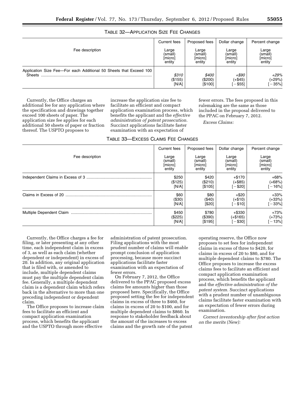#### TABLE 32—APPLICATION SIZE FEE CHANGES

|                                                                    | Current fees | Proposed fees | Dollar change | Percent change |
|--------------------------------------------------------------------|--------------|---------------|---------------|----------------|
| Fee description                                                    | Large        | Large         | Large         | Large          |
|                                                                    | (small)      | (small)       | (small)       | (small)        |
|                                                                    | [micro]      | [micro]       | [micro]       | [micro]        |
|                                                                    | entity       | entity        | entity        | entity         |
| Application Size Fee-For each Additional 50 Sheets that Exceed 100 | \$310        | \$400         | +\$90         | $+29%$         |
| <b>Sheets</b>                                                      | (\$155)      | (\$200)       | (+\$45)       | (+29%)         |
|                                                                    | [N/A]        | [\$100]       | $-$ \$55]     | $-35%$ ]       |

Currently, the Office charges an additional fee for any application where the specification and drawings together exceed 100 sheets of paper. The application size fee applies for each additional 50 sheets of paper or fraction thereof. The USPTO proposes to

increase the application size fee to facilitate an efficient and compact application examination process, which benefits the applicant and the *effective administration of patent prosecution.*  Succinct applications facilitate faster examination with an expectation of

TABLE 33—EXCESS CLAIMS FEE CHANGES

fewer errors. The fees proposed in this rulemaking are the same as those included in the proposal delivered to the PPAC on February 7, 2012.

*Excess Claims:* 

|                 | Current fees | Proposed fees | Dollar change | Percent change |
|-----------------|--------------|---------------|---------------|----------------|
| Fee description | Large        | Large         | Large         | Large          |
|                 | (small)      | (small)       | (small)       | (small)        |
|                 | [micro]      | [micro]       | [micro]       | [micro]        |
|                 | entity       | entity        | entity        | entity         |
|                 | \$250        | \$420         | $+ $170$      | $+68%$         |
|                 | (\$125)      | (\$210)       | $(+\$85)$     | $(+68%)$       |
|                 | [N/A]        | [\$105]       | $-$ \$20]     | $[-16\%]$      |
|                 | \$60         | \$80          | $+ $20$       | $+33%$         |
|                 | (\$30)       | (\$40)        | $(+\$10)$     | $(+33%)$       |
|                 | [N/A]        | [\$20]        | $[-\$10]$     | $[-33%]$       |
|                 | \$450        | \$780         | $+$ \$330     | $+73%$         |
|                 | (\$225)      | (\$390)       | $(+\$165)$    | $(+73%)$       |
|                 | [N/A]        | [\$195]       | $-$ \$30]     | $-13%$         |

Currently, the Office charges a fee for filing, or later presenting at any other time, each independent claim in excess of 3, as well as each claim (whether dependent or independent) in excess of 20. In addition, any original application that is filed with, or amended to include, multiple dependent claims must pay the multiple dependent claim fee. Generally, a multiple dependent claim is a dependent claim which refers back in the alternative to more than one preceding independent or dependent claim.

The Office proposes to increase claim fees to facilitate an efficient and compact application examination process, which benefits the applicant and the USPTO through more effective

administration of patent prosecution. Filing applications with the most prudent number of claims will enable prompt conclusion of application processing, because more succinct applications facilitate faster examination with an expectation of fewer errors.

On February 7, 2012, the Office delivered to the PPAC proposed excess claims fee amounts higher than those proposed here. Specifically, the Office proposed setting the fee for independent claims in excess of three to \$460, for claims in excess of 20 to \$100, and for multiple dependent claims to \$860. In response to stakeholder feedback about the amount of the increases to excess claims and the growth rate of the patent

operating reserve, the Office now proposes to set fees for independent claims in excess of three to \$420, for claims in excess of 20 to \$80, and for multiple dependent claims to \$780. The Office proposes to increase the excess claims fees to facilitate an efficient and compact application examination process, which benefits the applicant and the *effective administration of the patent system.* Succinct applications with a prudent number of unambiguous claims facilitate faster examination with an expectation of fewer errors during examination.

*Correct inventorship after first action on the merits (New):*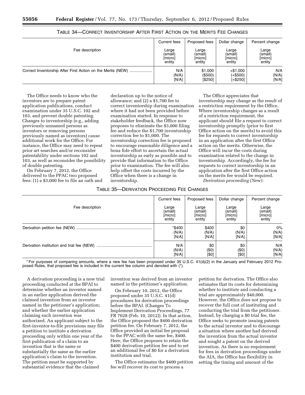|                                                             | Current fees | Proposed fees | Dollar change | Percent change |
|-------------------------------------------------------------|--------------|---------------|---------------|----------------|
| Fee description                                             | Large        | Large         | Large         | Large          |
|                                                             | (small)      | (small)       | (small)       | (small)        |
|                                                             | [micro]      | [micro]       | [micro]       | [micro]        |
|                                                             | entity       | entity        | entity        | entity         |
| Correct Inventorship After First Action on the Merits (NEW) | N/A          | \$1,000       | $+ $1,000$    | N/A            |
|                                                             | (N/A)        | $($ \$500)    | (+\$500)      | (N/A)          |
|                                                             | [N/A]        | [\$250]       | [+\$250]      | [N/A]          |

| TABLE 34—CORRECT INVENTORSHIP AFTER FIRST ACTION ON THE MERITS FEE CHANGES |
|----------------------------------------------------------------------------|
|----------------------------------------------------------------------------|

The Office needs to know who the inventors are to prepare patent application publications, conduct examination under 35 U.S.C. 102 and 103, and prevent double patenting. Changes to inventorship (e.g., adding previously unnamed persons as inventors or removing persons previously named as inventors) cause additional work for the Office. For instance, the Office may need to repeat prior art searches and/or reconsider patentability under sections 102 and 103, as well as reconsider the possibility of double patenting.

On February 7, 2012, the Office delivered to the PPAC two proposed fees: (1) a \$3,000 fee to file an oath and declaration up to the notice of allowance; and (2) a \$1,700 fee to correct inventorship during examination where it had not been provided before examination started. In response to stakeholder feedback, the Office now proposes to eliminate the \$3,000 filing fee and reduce the \$1,700 inventorship correction fee to \$1,000. The inventorship correction fee is proposed to encourage reasonable diligence and a bona fide effort to ascertain the actual inventorship as early as possible and to provide that information to the Office prior to examination. The fee will also help offset the costs incurred by the Office when there is a change in inventorship.

The Office appreciates that inventorship may change as the result of a restriction requirement by the Office. Where inventorship changes as a result of a restriction requirement, the applicant should file a request to correct inventorship promptly (prior to first Office action on the merits) to avoid this fee for requests to correct inventorship in an application after the first Office action on the merits. Otherwise, the Office will incur the costs during examination related to the change in inventorship. Accordingly, the fee for requests to correct inventorship in an application after the first Office action on the merits fee would be required.

*Derivation proceeding (New):* 

|                 | Current fees          | Proposed fees         | Dollar change          | Percent change        |
|-----------------|-----------------------|-----------------------|------------------------|-----------------------|
| Fee description | Large                 | Large                 | Large                  | Large                 |
|                 | (small)               | (small)               | (small)                | (small)               |
|                 | [micro]               | [micro]               | [micro]                | [micro]               |
|                 | entity                | entity                | entity                 | entity                |
|                 | *\$400                | \$400                 | \$0                    | $0\%$                 |
|                 | (N/A)                 | (N/A)                 | (N/A)                  | (N/A)                 |
|                 | [N/A]                 | [N/A]                 | [N/A]                  | [N/A]                 |
|                 | N/A<br>(N/A)<br>[N/A] | \$0<br>(\$0)<br>[\$0] | \$0<br>(50)<br>$[ $0]$ | N/A<br>(N/A)<br>[N/A] |

\* For purposes of comparing amounts, where a new fee has been proposed under 35 U.S.C. 41(d)(2) in the January and February 2012 Proposed Rules, that proposed fee is included in the current fee column and denoted with (\*).

A derivation proceeding is a new trial proceeding conducted at the BPAI to determine whether an inventor named in an earlier application derived the claimed invention from an inventor named in the petitioner's application; and whether the earlier application claiming such invention was authorized. An applicant subject to the first-inventor-to-file provisions may file a petition to institute a derivation proceeding only within one year of the first publication of a claim to an invention that is the same or substantially the same as the earlier application's claim to the invention. The petition must be supported by substantial evidence that the claimed

invention was derived from an inventor named in the petitioner's application.

On February 10, 2012, the Office proposed under 35 U.S.C. 41(d) procedures for derivation proceedings before the BPAI. (Changes To Implement Derivation Proceedings, 77 FR 7028 (Feb. 10, 2012)). In that action, the Office proposed the \$400 derivation petition fee. On February 7, 2012, the Office provided an initial fee proposal to the PPAC with the same fee, \$400. Here, the Office proposes to retain the \$400 derivation petition fee and to set an additional fee of \$0 for a derivation institution and trial.

The Office estimates the \$400 petition fee will recover its cost to process a

petition for derivation. The Office also estimates that its costs for determining whether to institute and conducting a trial are approximately \$40,000. However, the Office does not propose to recover the full cost of instituting and conducting the trial from the petitioner. Instead, by charging a \$0 trial fee, the Office seeks to promote issuing patents to the actual inventor and to discourage a situation where another had derived the invention from the actual inventor and sought a patent on the derived invention. As there is no requirement for fees in derivation proceedings under the AIA, the Office has flexibility in setting the timing and amount of the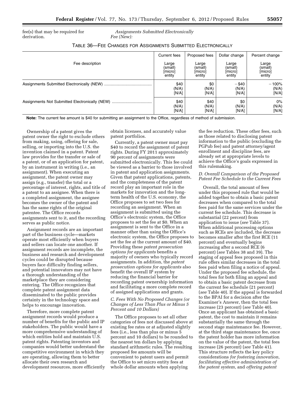fee(s) that may be required for derivation.

*Assignments Submitted Electronically Fee (New):* 

#### TABLE 36—FEE CHANGES FOR ASSIGNMENTS SUBMITTED ELECTRONICALLY

|                 | Current fees | Proposed fees | Dollar change | Percent change |
|-----------------|--------------|---------------|---------------|----------------|
| Fee description | Large        | Large         | Large         | Large          |
|                 | (small)      | (small)       | (small)       | (small)        |
|                 | [micro]      | [micro]       | [micro]       | [micro]        |
|                 | entity       | entity        | entity        | entity         |
|                 | \$40         | \$0           | $-$ \$40      | $-100%$        |
|                 | (N/A)        | (N/A)         | (N/A)         | (N/A)          |
|                 | [N/A]        | [N/A]         | [N/A]         | [N/A]          |
|                 | \$40         | \$40          | \$0           | $0\%$          |
|                 | (N/A)        | (N/A)         | (N/A)         | (N/A)          |
|                 | [N/A]        | [N/A]         | [N/A]         | [N/A]          |

**Note:** The current fee amount is \$40 for submitting an assignment to the Office, regardless of method of submission.

Ownership of a patent gives the patent owner the right to exclude others from making, using, offering for sale, selling, or importing into the U.S. the invention claimed in a patent. Patent law provides for the transfer or sale of a patent, or of an application for patent, by an instrument in writing (i.e., an assignment). When executing an assignment, the patent owner may assign (e.g., transfer) the total or a percentage of interest, rights, and title of a patent to an assignee. When there is a completed assignment, the assignee becomes the owner of the patent and has the same rights of the original patentee. The Office records assignments sent to it, and the recording serves as public notice.

Assignment records are an important part of the business cycle—markets operate most efficiently when buyers and sellers can locate one another. If assignment records are incomplete, the business and research and development cycles could be disrupted because buyers face difficulty finding sellers, and potential innovators may not have a thorough understanding of the marketplace they are considering entering. The Office recognizes that complete patent assignment data disseminated to the public provides certainty in the technology space and helps to encourage innovation.

Therefore, more complete patent assignment records would produce a number of benefits for the public and IP stakeholders. The public would have a more comprehensive understanding of which entities hold and maintain U.S. patent rights. Patenting inventors and companies would better understand the competitive environment in which they are operating, allowing them to better allocate their own research and development resources, more efficiently obtain licenses, and accurately value patent portfolios.

Currently, a patent owner must pay \$40 to record the assignment of patent rights. During FY 2011 approximately 90 percent of assignments were submitted electronically. This fee could be viewed as a barrier to those involved in patent and application assignments. Given that patent applications, patents, and the completeness of the patent record play an important role in the markets for innovation and the longterm health of the U.S. economy, the Office proposes to set two fees for recording an assignment. When an assignment is submitted using the Office's electronic system, the Office proposes to set the fee at \$0. When an assignment is sent to the Office in a manner other than using the Office's electronic system, the Office proposes to set the fee at the current amount of \$40. Providing these *patent prosecution options for applicants* benefits a majority of owners who typically record assignments. In addition, the *patent prosecution options for applicants* also benefit the overall IP system by reducing the financial barrier for recording patent ownership information and facilitating a more complete record of assigned applications and grants.

#### *C. Fees With No Proposed Changes (or Changes of Less Than Plus or Minus 5 Percent and 10 Dollars)*

The Office proposes to set all other categories of fees not discussed above at existing fee rates or at adjusted slightly fees (i.e., less than plus or minus 5 percent and 10 dollars) to be rounded to the nearest ten dollars by applying standard arithmetic rules. The resulting proposed fee amounts will be convenient to patent users and permit the Office to set micro entity fees at whole dollar amounts when applying

the fee reduction. These other fees, such as those related to disclosing patent information to the public (excluding the PGPub fee) and patent attorney/agent enrollment and discipline fees, are already set at appropriate levels to achieve the Office's goals expressed in this rulemaking.

#### *D. Overall Comparison of the Proposed Patent Fee Schedule to the Current Fees*

Overall, the total amount of fees under this proposed rule that would be added together to obtain a basic patent decreases when compared to the total fees paid for the same services under the current fee schedule. This decrease is substantial (22 percent) from application to issue (*see* Table 37). When additional processing options such as RCEs are included, the decrease becomes smaller after the first RCE (11 percent) and eventually begins increasing after a second RCE (6 percent) (*see* Tables 38 and 39). The staging of appeal fees proposed in this rule offers similar decreases in the total fees paid when filing a notice of appeal. Under the proposed fee schedule, the total fees for both filing an appeal and to obtain a basic patent decrease from the current fee schedule (21 percent) (*see* Table 40). If the appeal is forwarded to the BPAI for a decision after the Examiner's Answer, then the total fees increase (23 percent) (*see* Table 40). Once an applicant has obtained a basic patent, the cost to maintain it remains substantially the same through the second stage maintenance fee. However, at the third stage maintenance fee, once the patent holder has more information on the value of the patent, the total fees increase (26 percent) (*see* Table 41). This structure reflects the key policy considerations *for fostering innovation, facilitating effective administration of the patent system,* and *offering patent*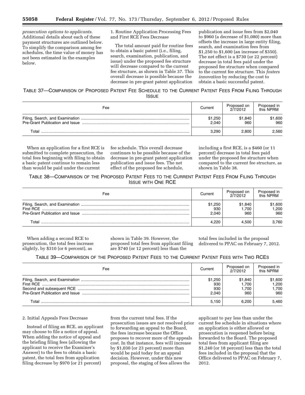*prosecution options to applicants.*  Additional details about each of these payment structures are outlined below. To simplify the comparison among fee schedules, the time value of money has not been estimated in the examples below.

1. Routine Application Processing Fees and First RCE Fees Decrease

The total amount paid for routine fees to obtain a basic patent (i.e., filing, search, examination, publication, and issue) under the proposed fee structure will decrease compared to the current fee structure, as shown in Table 37. This overall decrease is possible because the decrease in pre-grant patent application

publication and issue fees from \$2,040 to \$960 (a decrease of \$1,080) more than offsets the increase in large entity filing, search, and examination fees from \$1,250 to \$1,600 (an increase of \$350). The net effect is a \$730 (or 22 percent) decrease in total fees paid under the proposed fee structure when compared to the current fee structure. This *fosters innovation* by reducing the cost to obtain a basic successful patent.

## TABLE 37—COMPARISON OF PROPOSED PATENT FEE SCHEDULE TO THE CURRENT PATENT FEES FROM FILING THROUGH

| Fee   | Current          | Proposed on<br>2/7/2012 | Proposed in<br>this NPRM |
|-------|------------------|-------------------------|--------------------------|
|       | \$1,250<br>2.040 | \$1,840<br>960          | \$1,600<br>960           |
| Total | 3.290            | 2.800                   | 2,560                    |

When an application for a first RCE is submitted to complete prosecution, the total fees beginning with filing to obtain a basic patent continue to remain less than would be paid under the current

fee schedule. This overall decrease continues to be possible because of the decrease in pre-grant patent application publication and issue fees. The net effect of the proposed fee schedule,

including a first RCE, is a \$460 (or 11 percent) decrease in total fees paid under the proposed fee structure when compared to the current fee structure, as shown in Table 38.

TABLE 38—COMPARISON OF THE PROPOSED PATENT FEES TO THE CURRENT PATENT FEES FROM FILING THROUGH ISSUE WITH ONE RCE

| Fee   | Current                 | Proposed on<br>2/7/2012 | Proposed in<br>this NPRM |
|-------|-------------------------|-------------------------|--------------------------|
|       | \$1,250<br>930<br>2.040 | \$1.840<br>1.700<br>960 | \$1,600<br>1.200<br>960  |
| Total | 4.220                   | 4.500                   | 3.760                    |

When adding a second RCE to prosecution, the total fees increase slightly, by \$310 (or 6 percent), as

shown in Table 39. However, the proposed total fees from applicant filing are \$740 (or 12 percent) less than the

total fees included in the proposal delivered to PPAC on February 7, 2012.

TABLE 39—COMPARISON OF THE PROPOSED PATENT FEES TO THE CURRENT PATENT FEES WITH TWO RCES

| Fee   | Current                        | Proposed on<br>2/7/2012          | Proposed in<br>this NPRM        |
|-------|--------------------------------|----------------------------------|---------------------------------|
|       | \$1.250<br>930<br>930<br>2.040 | \$1.840<br>1.700<br>1.700<br>960 | \$1,600<br>1.200<br>.700<br>960 |
| T∩tal | 5.150                          | 6.200                            | 5.460                           |

#### 2. Initial Appeals Fees Decrease

Instead of filing an RCE, an applicant may choose to file a notice of appeal. When adding the notice of appeal and the briefing filing fees (allowing the applicant to receive the Examiner's Answer) to the fees to obtain a basic patent, the total fees from application filing decrease by \$970 (or 21 percent)

from the current total fees. If the prosecution issues are not resolved prior to forwarding an appeal to the Board, the fees increase because the Office proposes to recover more of the appeals cost. In that instance, fees will increase by \$1,030 (or 23 percent) more than would be paid today for an appeal decision. However, under this new proposal, the staging of fees allows the

applicant to pay less than under the current fee schedule in situations where an application is either allowed or prosecution is reopened before being forwarded to the Board. The proposed total fees from applicant filing are \$1,240 (or 18 percent) less than the total fees included in the proposal that the Office delivered to PPAC on February 7, 2012.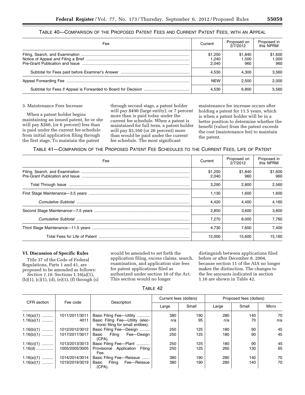#### TABLE 40—COMPARISON OF THE PROPOSED PATENT FEES AND CURRENT PATENT FEES, WITH AN APPEAL

| Fee | Current                   | Proposed on<br>2/7/2012 | Proposed in<br>this NPRM |
|-----|---------------------------|-------------------------|--------------------------|
|     | \$1,250<br>1,240<br>2.040 | \$1,840<br>1.500<br>960 | \$1,600<br>1.000<br>960  |
|     | 4.530                     | 4.300                   | 3.560                    |
|     | <b>NFW</b>                | 2.500                   | 2.000                    |
|     | 4.530                     | 6.800                   | 5.560                    |

#### 3. Maintenance Fees Increase

When a patent holder begins maintaining an issued patent, he or she will pay \$260, (or 6 percent) less than is paid under the current fee schedule from initial application filing through the first stage. To maintain the patent

through second stage, a patent holder will pay \$490 (large entity), or 7 percent more than is paid today under the current fee schedule. When a patent is maintained for full term, a patent holder will pay \$3,160 (or 26 percent) more than would be paid under the current fee schedule. The most significant

maintenance fee increase occurs after holding a patent for 11.5 years, which is when a patent holder will be in a better position to determine whether the benefit (value) from the patent exceeds the cost (maintenance fee) to maintain the patent.

TABLE 41—COMPARISON OF THE PROPOSED PATENT FEE SCHEDULES TO THE CURRENT FEES, LIFE OF PATENT

| Fee | Current          | Proposed on<br>2/7/2012 | Proposed in<br>this NPRM |
|-----|------------------|-------------------------|--------------------------|
|     | \$1,250<br>2.040 | \$1.840<br>960          | \$1,600<br>960           |
|     | 3.290            | 2.800                   | 2.560                    |
|     | 1.130            | 1.600                   | 1.600                    |
|     | 4.420            | 4.400                   | 4.160                    |
|     | 2.850            | 3.600                   | 3.600                    |
|     | 7.270            | 8.000                   | 7.760                    |
|     | 4.730            | 7.600                   | 7.400                    |
|     | 12,000           | 15.600                  | 15.160                   |

#### **VI. Discussion of Specific Rules**

Title 37 of the Code of Federal Regulations, Parts 1 and 41, are proposed to be amended as follows: *Section 1.16:* Sections 1.16(a)(1),  $(b)(1), (c)(1), (d), (e)(1), (f)$  through  $(s)$  would be amended to set forth the application filing, excess claims, search, examination, and application size fees for patent applications filed as authorized under section 10 of the Act. This section would no longer

distinguish between applications filed before or after December 8, 2004, because section 11 of the AIA no longer makes the distinction. The changes to the fee amounts indicated in section 1.16 are shown in Table 42.

#### TABLE 42

|              |                |                                                                       | Current fees (dollars) |       |       | Proposed fees (dollars) |       |
|--------------|----------------|-----------------------------------------------------------------------|------------------------|-------|-------|-------------------------|-------|
| CFR section  | Fee code       | Description                                                           | Large                  | Small | Large | Small                   | Micro |
| $1.16(a)(1)$ | 1011/2011/3011 | Basic Filing Fee-Utility                                              | 380                    | 190   | 280   | 140                     | 70    |
| $1.16(a)(1)$ | 4011           | Basic Filing Fee-Utility (elec-<br>tronic filing for small entities). | n/a                    | 95    | n/a   | 70                      | n/a   |
| $1.16(b)(1)$ | 1012/2012/3012 | Basic Filing Fee-Design                                               | 250                    | 125   | 180   | 90                      | 45    |
| $1.16(b)(1)$ | 1017/2017/3017 | Basic Filing Fee-Design<br>$(CPA)$ .                                  | 250                    | 125   | 180   | 90                      | 45    |
| $1.16(c)(1)$ | 1013/2013/3013 | Basic Filing Fee-Plant                                                | 250                    | 125   | 180   | 90                      | 45    |
| $1.16(d)$    | 1005/2005/3005 | Provisional Application Filing<br>Fee.                                | 250                    | 125   | 260   | 130                     | 65    |
| $1.16(e)(1)$ | 1014/2014/3014 | Basic Filing Fee-Reissue                                              | 380                    | 190   | 280   | 140                     | 70    |
| $1.16(e)(1)$ | 1019/2019/3019 | Basic Filing<br>Fee-Reissue<br>(CPA).                                 | 380                    | 190   | 280   | 140                     | 70    |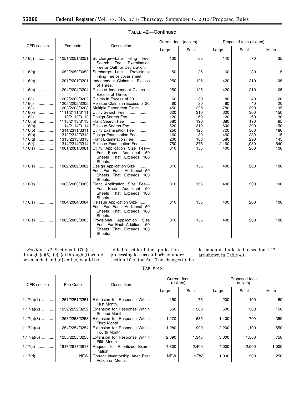Ξ

|             |                |                                                                                                           | Current fees (dollars) |       |       | Proposed fees (dollars) |       |
|-------------|----------------|-----------------------------------------------------------------------------------------------------------|------------------------|-------|-------|-------------------------|-------|
| CFR section | Fee code       | Description                                                                                               | Large                  | Small | Large | Small                   | Micro |
| $1.16(f)$   | 1051/2051/3051 | Surcharge-Late<br>Filing Fee,<br>Search Fee,<br>Examination<br>Fee or Oath or Declaration.                | 130                    | 65    | 140   | 70                      | 35    |
| $1.16(g)$   | 1052/2052/3052 | Surcharge-Late<br>Provisional<br>Filing Fee or cover sheet.                                               | 50                     | 25    | 60    | 30                      | 15    |
| $1.16(h)$   | 1201/2201/3201 | Independent Claims in Excess<br>of Three.                                                                 | 250                    | 125   | 420   | 210                     | 105   |
| $1.16(h)$   | 1204/2204/3204 | Reissue Independent Claims in<br>Excess of Three.                                                         | 250                    | 125   | 420   | 210                     | 105   |
| $1.16(i)$   | 1202/2202/3202 | Claims in Excess of 20                                                                                    | 60                     | 30    | 80    | 40                      | 20    |
| $1.16(i)$   | 1205/2205/3205 | Reissue Claims in Excess of 20                                                                            | 60                     | 30    | 80    | 40                      | 20    |
| $1.16(j)$   | 1203/2203/3203 | Multiple Dependent Claim                                                                                  | 450                    | 225   | 780   | 390                     | 195   |
| $1.16(k)$   | 1111/2111/3111 | Utility Search Fee                                                                                        | 620                    | 310   | 600   | 300                     | 150   |
| $1.16(l)$   | 1112/2112/3112 | Design Search Fee                                                                                         | 120                    | 60    | 120   | 60                      | 30    |
| $1.16(m)$   | 1113/2113/3113 | Plant Search Fee                                                                                          | 380                    | 190   | 380   | 190                     | 95    |
|             | 1114/2114/3114 | Reissue Search Fee                                                                                        | 620                    | 310   | 600   | 300                     | 150   |
| $1.16(n)$   | 1311/2311/3311 |                                                                                                           | 250                    | 125   | 720   | 360                     | 180   |
| $1.16(0)$   | 1312/2312/3312 | Utility Examination Fee<br>Design Examination Fee                                                         | 160                    | 80    | 460   | 230                     | 115   |
| $1.16(p)$   |                | Plant Examination Fee                                                                                     | 200                    | 100   |       | 290                     | 145   |
| $1.16(q)$   | 1313/2313/3313 |                                                                                                           |                        |       | 580   |                         |       |
| $1.16(r)$   | 1314/2314/3314 | Reissue Examination Fee                                                                                   | 750                    | 375   | 2,160 | 1,080                   | 540   |
| $1.16(s)$   | 1081/2081/3081 | Utility Application Size Fee-<br>Additional<br>For Each<br>50<br>Sheets That Exceeds 100<br>Sheets.       | 310                    | 155   | 400   | 200                     | 100   |
| $1.16(s)$   | 1082/2082/3082 | Design Application Size<br>Fee-For Each Additional 50<br>Sheets That Exceeds 100<br>Sheets.               | 310                    | 155   | 400   | 200                     | 100   |
| $1.16(s)$   | 1083/2083/3083 | Plant Application Size Fee-<br>Additional<br>For Each<br>50<br>Sheets That Exceeds 100<br>Sheets.         | 310                    | 155   | 400   | 200                     | 100   |
| $1.16(s)$   | 1084/2084/3084 | Reissue Application Size<br>Fee-For Each Additional 50<br>Sheets That Exceeds 100<br>Sheets.              | 310                    | 155   | 400   | 200                     | 100   |
| $1.16(s)$   | 1085/2085/3085 | Provisional<br>Application<br>Size<br>Fee-For Each Additional 50<br>Sheets That Exceeds<br>100<br>Sheets. | 310                    | 155   | 400   | 200                     | 100   |

#### TABLE 42—Continued

*Section 1.17:* Sections 1.17(a)(1) through (a)(5), (c), (e) through (t) would be amended and (d) and (e) would be

added to set forth the application processing fees as authorized under section 10 of the Act. The changes to the fee amounts indicated in section 1.17 are shown in Table 43.

TABLE 43

| CFR section  | Fee Code       | Description                                           | Current fees<br>(dollars) |            |       | Proposed fees<br>dollars) |       |
|--------------|----------------|-------------------------------------------------------|---------------------------|------------|-------|---------------------------|-------|
|              |                |                                                       | Large                     | Small      | Large | Small                     | Micro |
| $1.17(a)(1)$ | 1251/2251/3251 | Extension for Response Within<br>First Month.         | 150                       | 75         | 200   | 100                       | 50    |
| $1.17(a)(2)$ | 1252/2252/3252 | Extension for Response Within<br>Second Month.        | 560                       | 280        | 600   | 300                       | 150   |
| $1.17(a)(3)$ | 1253/2253/3253 | Extension for Response Within<br>Third Month.         | 1,270                     | 635        | 1,400 | 700                       | 350   |
| $1.17(a)(4)$ | 1254/2254/3254 | Extension for Response Within<br>Fourth Month.        | 1,980                     | 990        | 2,200 | 1,100                     | 550   |
| $1.17(a)(5)$ | 1255/2255/3255 | Extension for Response Within<br>Fifth Month.         | 2,690                     | 1,345      | 3,000 | 1,500                     | 750   |
| $1.17(c)$    | 1817/2817/3817 | Request for Prioritized Exam-<br>ination.             | 4,800                     | 2,400      | 4,000 | 2,000                     | 1,000 |
| $1.17(d)$    | <b>NEW</b>     | Correct Inventorship After First<br>Action on Merits. | <b>NEW</b>                | <b>NEW</b> | 1,000 | 500                       | 250   |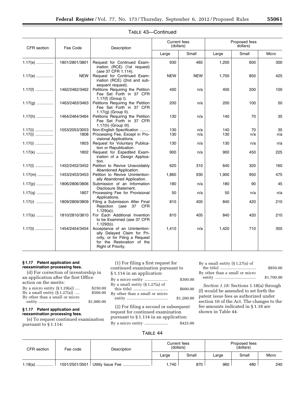| CFR section | Fee Code       | Description                                                                                                                                        | (dollars)  | Current fees |       | Proposed fees<br>dollars) |       |
|-------------|----------------|----------------------------------------------------------------------------------------------------------------------------------------------------|------------|--------------|-------|---------------------------|-------|
|             |                |                                                                                                                                                    | Large      | Small        | Large | Small                     | Micro |
| $1.17(e)$   | 1801/2801/3801 | Request for Continued Exam-<br>ination (RCE) (1st request)<br>(see 37 CFR 1.114).                                                                  | 930        | 465          | 1,200 | 600                       | 300   |
| $1.17(e)$   | <b>NEW</b>     | Request for Continued Exam-<br>ination (RCE) (2nd and sub-<br>sequent request).                                                                    | <b>NEW</b> | <b>NEW</b>   | 1,700 | 850                       | 425   |
| $1.17(f)$   | 1462/2462/3462 | Petitions Requiring the Petition<br>Fee Set Forth in 37 CFR<br>$1.17(f)$ (Group I).                                                                | 400        | n/a          | 400   | 200                       | 100   |
| $1.17(g)$   | 1463/2463/3463 | Petitions Requiring the Petition<br>Fee Set Forth in 37 CFR<br>$1.17(q)$ (Group II).                                                               | 200        | n/a          | 200   | 100                       | 50    |
| $1.17(h)$   | 1464/2464/3464 | Petitions Requiring the Petition<br>Fee Set Forth in 37 CFR<br>1.17(h) (Group III).                                                                | 130        | n/a          | 140   | 70                        | 35    |
| $1.17(i)$   | 1053/2053/3053 | Non-English Specification                                                                                                                          | 130        | n/a          | 140   | 70                        | 35    |
| $1.17(i)$   | 1808           | Processing Fee, Except in Pro-<br>visional Applications.                                                                                           | 130        | n/a          | 130   | n/a                       | n/a   |
| $1.17(i)$   | 1803           | Request for Voluntary Publica-<br>tion or Republication.                                                                                           | 130        | n/a          | 130   | n/a                       | n/a   |
| $1.17(k)$   | 1802           | Request for Expedited Exam-<br>ination of a Design Applica-<br>tion.                                                                               | 900        | n/a          | 900   | 450                       | 225   |
| $1.17(1)$   | 1452/2452/3452 | Petition to Revive Unavoidably<br>Abandoned Application.                                                                                           | 620        | 310          | 640   | 320                       | 160   |
| $1.17(m)$   | 1453/2453/3453 | Petition to Revive Unintention-<br>ally Abandoned Application.                                                                                     | 1,860      | 930          | 1,900 | 950                       | 475   |
| $1.17(p)$   | 1806/2806/3806 | Submission of an Information<br>Disclosure Statement.                                                                                              | 180        | n/a          | 180   | 90                        | 45    |
| $1.17(q)$   | 1807           | Processing Fee for Provisional<br>Applications.                                                                                                    | 50         | n/a          | 50    | n/a                       | n/a   |
| $1.17(r)$   | 1809/2809/3809 | Filing a Submission After Final<br>Rejection (see 37 CFR<br>$1.129(a)$ ).                                                                          | 810        | 405          | 840   | 420                       | 210   |
| $1.17(s)$   | 1810/2810/3810 | For Each Additional Invention<br>to be Examined (see 37 CFR<br>$1.129(b)$ ).                                                                       | 810        | 405          | 840   | 420                       | 210   |
| $1.17(t)$   | 1454/2454/3454 | Acceptance of an Unintention-<br>ally Delayed Claim for Pri-<br>ority, or for Filing a Request<br>for the Restoration of the<br>Right of Priority. | 1,410      | n/a          | 1,420 | 710                       | 355   |

#### TABLE 43—Continued

#### **§ 1.17 Patent application and reexamination processing fees.**

(d) For correction of inventorship in an application after the first Office action on the merits:

| By a micro entity $(\S 1.29(a))$ | \$250.00   |
|----------------------------------|------------|
| By a small entity $(\S 1.27(a))$ | \$500.00   |
| By other than a small or micro   |            |
|                                  | \$1,000.00 |

#### **§ 1.17 Patent application and reexamination processing fees.**

(e) To request continued examination pursuant to § 1.114:

(1) For filing a first request for continued examination pursuant to § 1.114 in an application: By a micro entity ..................... \$300.00 By a small entity (§ 1.27(a) of this title) ............................... \$600.00 By other than a small or micro entity ..................................... \$1,200.00

(2) For filing a second or subsequent request for continued examination pursuant to § 1.114 in an application: By a micro entity ..................... \$425.00 By a small entity (§ 1.27(a) of

|                                | \$850.00   |
|--------------------------------|------------|
| By other than a small or micro |            |
|                                | \$1,700.00 |

*Section 1.18:* Sections 1.18(a) through (f) would be amended to set forth the patent issue fees as authorized under section 10 of the Act. The changes to the fee amounts indicated in § 1.18 are shown in Table 44.

#### TABLE 44

| CFR section | Fee code       | Description | Current fees<br>(dollars) |       | Proposed fees<br>(dollars) |       |       |
|-------------|----------------|-------------|---------------------------|-------|----------------------------|-------|-------|
|             |                |             | Large                     | Small | Large                      | Small | Micro |
| 1.18(a)     | 1501/2501/3501 |             | .740                      | 870   | 960                        | 480   | 240   |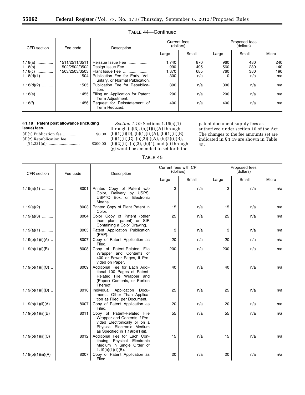Ξ

| CFR section  | Fee code       | Description                                                       | Current fees<br>(dollars) |       | Proposed fees<br>(dollars) |       |       |
|--------------|----------------|-------------------------------------------------------------------|---------------------------|-------|----------------------------|-------|-------|
|              |                |                                                                   | Large                     | Small | Large                      | Small | Micro |
| $1.18(a)$    | 1511/2511/3511 | Reissue Issue Fee                                                 | 1.740                     | 870   | 960                        | 480   | 240   |
| $1.18(b)$    | 1502/2502/3502 | Design Issue Fee                                                  | 990                       | 495   | 560                        | 280   | 140   |
| $1.18(c)$    | 1503/2503/3503 | Plant Issue Fee                                                   | 1,370                     | 685   | 760                        | 380   | 190   |
| $1.18(d)(1)$ | 1504           | Publication Fee for Early, Vol-<br>untary, or Normal Publication. | 300                       | n/a   |                            | n/a   | n/a   |
| $1.18(d)(2)$ | 1505           | Publication Fee for Republica-<br>tion.                           | 300                       | n/a   | 300                        | n/a   | n/a   |
| $1.18(e)$    | 1455           | Filing an Application for Patent<br>Term Adjustment.              | 200                       | n/a   | 200                        | n/a   | n/a   |
| $1.18(f)$    | 1456           | Request for Reinstatement of<br>Term Reduced.                     | 400                       | n/a   | 400                        | n/a   | n/a   |

#### TABLE 44—Continued

#### **§ 1.18 Patent post allowance (including issue) fees.**

| $(d)(1)$ Publication fee | \$0.00   |
|--------------------------|----------|
| (d)(2) Republication fee |          |
|                          | \$300.00 |

*Section 1.19:* Sections 1.19(a)(1) through  $(a)(3)$ ,  $(b)(1)(i)(A)$  through  $(b)(1)(i)(D), (b)(1)(ii)(A), (b)(1)(ii)(B),$  $(b)(1)(ii)(C), (b)(2)(i)(A), (b)(2)(i)(B),$ (b)(2)(ii), (b)(3), (b)(4), and (c) through (g) would be amended to set forth the

patent document supply fees as authorized under section 10 of the Act. The changes to the fee amounts set are indicated in § 1.19 are shown in Table 45.

#### TABLE 45

| CFR section        | Fee code | Description                                                                                                                                                     | Current fees with CPI<br>(dollars) |       | Proposed fees<br>(dollars) |       |       |
|--------------------|----------|-----------------------------------------------------------------------------------------------------------------------------------------------------------------|------------------------------------|-------|----------------------------|-------|-------|
|                    |          |                                                                                                                                                                 | Large                              | Small | Large                      | Small | Micro |
| $1.19(a)(1)$       | 8001     | Printed Copy of Patent w/o<br>Color, Delivery by USPS,<br>USPTO Box, or Electronic<br>Means.                                                                    | 3                                  | n/a   | 3                          | n/a   | n/a   |
| $1.19(a)(2)$       | 8003     | Printed Copy of Plant Patent in<br>Color.                                                                                                                       | 15                                 | n/a   | 15                         | n/a   | n/a   |
| $1.19(a)(3)$       | 8004     | Color Copy of Patent (other<br>than plant patent) or SIR<br>Containing a Color Drawing.                                                                         | 25                                 | n/a   | 25                         | n/a   | n/a   |
| $1.19(a)(1)$       | 8005     | Patent Application Publication<br>$(PAP)$ .                                                                                                                     | 3                                  | n/a   | 3                          | n/a   | n/a   |
| $1.19(b)(1)(i)(A)$ | 8007     | Copy of Patent Application as<br>Filed.                                                                                                                         | 20                                 | n/a   | 20                         | n/a   | n/a   |
| $1.19(b)(1)(i)(B)$ | 8008     | Copy of Patent-Related File<br>Wrapper and Contents of<br>400 or Fewer Pages, if Pro-<br>vided on Paper.                                                        | 200                                | n/a   | 200                        | n/a   | n/a   |
| $1.19(b)(1)(i)(C)$ | 8009     | Additional Fee for Each Addi-<br>tional 100 Pages of Patent-<br>Related File Wrapper and<br>(Paper) Contents, or Portion<br>Thereof.                            | 40                                 | n/a   | 40                         | n/a   | n/a   |
| $1.19(b)(1)(i)(D)$ | 8010     | Individual Application Docu-<br>ments, Other Than Applica-<br>tion as Filed, per Document.                                                                      | 25                                 | n/a   | 25                         | n/a   | n/a   |
| 1.19(b)(1)(ii)(A)  | 8007     | Copy of Patent Application as<br>Filed.                                                                                                                         | 20                                 | n/a   | 20                         | n/a   | n/a   |
| 1.19(b)(1)(ii)(B)  | 8011     | Copy of Patent-Related File<br>Wrapper and Contents if Pro-<br>vided Electronically or on a<br>Physical Electronic Medium<br>as Specified in $1.19(b)(1)(ii)$ . | 55                                 | n/a   | 55                         | n/a   | n/a   |
| 1.19(b)(1)(ii)(C)  | 8012     | Additional Fee for Each Con-<br>tinuing Physical Electronic<br>Medium in Single Order of<br>$1.19(b)(1)(ii)(B)$ .                                               | 15                                 | n/a   | 15                         | n/a   | n/a   |
| 1.19(b)(1)(iii)(A) | 8007     | Copy of Patent Application as<br>Filed.                                                                                                                         | 20                                 | n/a   | 20                         | n/a   | n/a   |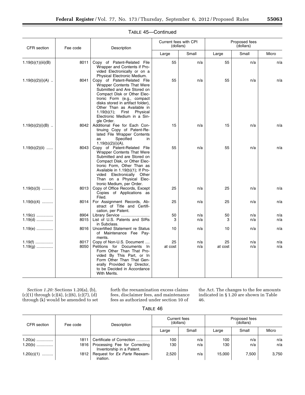| CFR section            | Fee code     | Description                                                                                                                                                                                                                                                                                                      |               | Current fees with CPI<br>(dollars) |               | Proposed fees<br>(dollars) |            |  |
|------------------------|--------------|------------------------------------------------------------------------------------------------------------------------------------------------------------------------------------------------------------------------------------------------------------------------------------------------------------------|---------------|------------------------------------|---------------|----------------------------|------------|--|
|                        |              |                                                                                                                                                                                                                                                                                                                  | Large         | Small                              | Large         | Small                      | Micro      |  |
| 1.19(b)(1)(iii)(B)     | 8011         | Copy of Patent-Related File<br>Wrapper and Contents if Pro-<br>vided Electronically or on a<br>Physical Electronic Medium.                                                                                                                                                                                       | 55            | n/a                                | 55            | n/a                        | n/a        |  |
| $1.19(b)(2)(i)(A)$     | 8041         | Copy of Patent-Related File<br><b>Wrapper Contents That Were</b><br>Submitted and Are Stored on<br>Compact Disk or Other Elec-<br>tronic Form (e.g., compact<br>disks stored in artifact folder),<br>Other Than as Available in<br>1.19(b)(1);<br>First<br>Physical<br>Electronic Medium in a Sin-<br>gle Order. | 55            | n/a                                | 55            | n/a                        | n/a        |  |
| $1.19(b)(2)(i)(B)$     | 8042         | Additional Fee for Each Con-<br>tinuing Copy of Patent-Re-<br>lated File Wrapper Contents<br>Specified<br>as<br>in<br>$1.19(b)(2)(i)(A)$ .                                                                                                                                                                       | 15            | n/a                                | 15            | n/a                        | n/a        |  |
| $1.19(b)(2)(ii)$       | 8043         | Copy of Patent-Related File<br><b>Wrapper Contents That Were</b><br>Submitted and are Stored on<br>Compact Disk, or Other Elec-<br>tronic Form, Other Than as<br>Available in 1.19(b)(1); If Pro-<br>vided Electronically Other<br>Than on a Physical Elec-                                                      | 55            | n/a                                | 55            | n/a                        | n/a        |  |
| $1.19(b)(3)$           | 8013         | tronic Medium, per Order.<br>Copy of Office Records, Except<br>Copies of Applications as<br>Filed.                                                                                                                                                                                                               | 25            | n/a                                | 25            | n/a                        | n/a        |  |
| $1.19(b)(4)$           | 8014         | For Assignment Records, Ab-<br>stract of Title and Certifi-<br>cation, per Patent.                                                                                                                                                                                                                               | 25            | n/a                                | 25            | n/a                        | n/a        |  |
| $1.19(c)$              | 8904         | Library Service                                                                                                                                                                                                                                                                                                  | 50            | n/a                                | 50            | n/a                        | n/a        |  |
| $1.19(d)$              | 8015         | List of U.S. Patents and SIRs<br>in Subclass.                                                                                                                                                                                                                                                                    | 3             | n/a                                | 3             | n/a                        | n/a        |  |
| $1.19(e)$              | 8016         | Uncertified Statement re Status<br>of Maintenance Fee Pay-<br>ments.                                                                                                                                                                                                                                             | 10            | n/a                                | 10            | n/a                        | n/a        |  |
| $1.19(f)$<br>$1.19(g)$ | 8017<br>8050 | Copy of Non-U.S. Document<br>Petitions for Documents In<br>Form Other Than That Pro-<br>vided By This Part, or In<br>Form Other Than That Gen-<br>erally Provided by Director,<br>to be Decided in Accordance<br>With Merits.                                                                                    | 25<br>at cost | n/a<br>n/a                         | 25<br>at cost | n/a<br>n/a                 | n/a<br>n/a |  |

#### TABLE 45—Continued

*Section 1.20:* Sections 1.20(a), (b), (c)(1) through (c)(4), (c)(6), (c)(7), (d) through (k) would be amended to set forth the reexamination excess claims fees, disclaimer fees, and maintenance fees as authorized under section 10 of

the Act. The changes to the fee amounts indicated in § 1.20 are shown in Table 46.

| IABIF. | 46 |
|--------|----|
|--------|----|

| CFR section    | Fee code | Description                                                | <b>Current fees</b><br>(dollars) |       | Proposed fees<br>(dollars) |       |       |
|----------------|----------|------------------------------------------------------------|----------------------------------|-------|----------------------------|-------|-------|
|                |          |                                                            | Large                            | Small | Large                      | Small | Micro |
| $1.20(a)$      | 1811     | Certificate of Correction                                  | 100                              | n/a   | 100                        | n/a   | n/a   |
| $1.20(b)$      | 1816     | Processing Fee for Correcting<br>Inventorship in a Patent. | 130                              | n/a   | 130                        | n/a   | n/a   |
| $1.20(c)(1)$ ' | 1812     | Request for Ex Parte Reexam-<br>ination.                   | 2,520                            | n/a   | 15.000                     | 7.500 | 3,750 |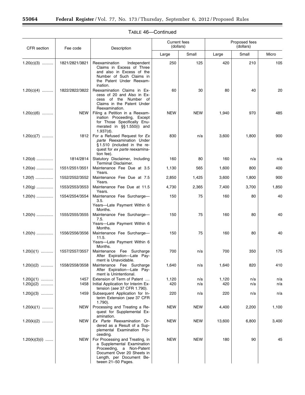$\equiv$ 

▀

| <b>CFR</b> section           |                | Description<br>Fee code                                                                                                                                                   | <b>Current fees</b><br>(dollars) |            | Proposed fees<br>(dollars) |            |            |
|------------------------------|----------------|---------------------------------------------------------------------------------------------------------------------------------------------------------------------------|----------------------------------|------------|----------------------------|------------|------------|
|                              |                |                                                                                                                                                                           | Large                            | Small      | Large                      | Small      | Micro      |
| $1.20(c)(3)$                 | 1821/2821/3821 | Reexamination<br>Independent<br>Claims in Excess of Three<br>and also in Excess of the<br>Number of Such Claims in<br>the Patent Under Reexam-<br>ination.                | 250                              | 125        | 420                        | 210        | 105        |
| $1.20(c)(4)$                 | 1822/2822/3822 | Reexamination Claims in Ex-<br>cess of 20 and Also in Ex-<br>cess of the Number of<br>Claims in the Patent Under<br>Reexamination.                                        | 60                               | 30         | 80                         | 40         | 20         |
| $1.20(c)(6)$                 | <b>NEW</b>     | Filing a Petition in a Reexam-<br>ination Proceeding, Except<br>for Those Specifically Enu-<br>merated in §§1.550(i) and<br>$1.937(d)$ .                                  | <b>NEW</b>                       | <b>NEW</b> | 1,940                      | 970        | 485        |
| $1.20(c)(7)$                 | 1812           | For a Refused Request for Ex<br>parte Reexamination Under<br>$§ 1.510$ (included in the re-<br>quest for ex parte reexamina-<br>tion fee).                                | 830                              | n/a        | 3,600                      | 1,800      | 900        |
| $1.20(d)$                    | 1814/2814      | Statutory Disclaimer, Including<br>Terminal Disclaimer.                                                                                                                   | 160                              | 80         | 160                        | n/a        | n/a        |
| $1.20(e)$                    | 1551/2551/3551 | Maintenance Fee Due at 3.5<br>Years.                                                                                                                                      | 1,130                            | 565        | 1,600                      | 800        | 400        |
| $1.20(f)$                    | 1552/2552/3552 | Maintenance Fee Due at 7.5<br>Years.                                                                                                                                      | 2,850                            | 1,425      | 3,600                      | 1,800      | 900        |
| $1.20(g)$                    | 1553/2553/3553 | Maintenance Fee Due at 11.5<br>Years.                                                                                                                                     | 4,730                            | 2,365      | 7,400                      | 3,700      | 1,850      |
| $1.20(h)$                    | 1554/2554/3554 | Maintenance Fee Surcharge-<br>3.5.<br>Years-Late Payment Within 6                                                                                                         | 150                              | 75         | 160                        | 80         | 40         |
| $1.20(h)$                    | 1555/2555/3555 | Months.<br>Maintenance Fee Surcharge-<br>7.5.<br>Years-Late Payment Within 6                                                                                              | 150                              | 75         | 160                        | 80         | 40         |
| $1.20(h)$                    | 1556/2556/3556 | Months.<br>Maintenance Fee Surcharge-<br>11.5.<br>Years-Late Payment Within 6<br>Months.                                                                                  | 150                              | 75         | 160                        | 80         | 40         |
| $1.20(i)(1)$                 | 1557/2557/3557 | Maintenance Fee Surcharge<br>After Expiration-Late Pay-<br>ment is Unavoidable.                                                                                           | 700                              | n/a        | 700                        | 350        | 175        |
| $1.20(i)(2)$                 | 1558/2558/3558 | Maintenance Fee Surcharge<br>After Expiration-Late Pay-<br>ment is Unintentional.                                                                                         | 1,640                            | n/a        | 1,640                      | 820        | 410        |
| $1.20(j)(1)$<br>$1.20(j)(2)$ | 1457<br>1458   | Extension of Term of Patent<br>Initial Application for Interim Ex-                                                                                                        | 1,120<br>420                     | n/a<br>n/a | 1,120<br>420               | n/a<br>n/a | n/a<br>n/a |
| $1.20(j)(3)$                 | 1459           | tension (see 37 CFR 1.790).<br>Subsequent Application for In-<br>terim Extension (see 37 CFR<br>$1.790$ ).                                                                | 220                              | n/a        | 220                        | n/a        | n/a        |
| $1.20(k)(1)$                 | <b>NEW</b>     | Processing and Treating a Re-<br>quest for Supplemental Ex-<br>amination.                                                                                                 | NEW                              | <b>NEW</b> | 4,400                      | 2,200      | 1,100      |
| $1.20(k)(2)$                 | NEW            | Ex Parte Reexamination Or-<br>dered as a Result of a Sup-<br>plemental Examination Pro-<br>ceeding.                                                                       | <b>NEW</b>                       | <b>NEW</b> | 13,600                     | 6,800      | 3,400      |
| $1.20(k)(3)(i)$              | <b>NEW</b>     | For Processing and Treating, in<br>a Supplemental Examination<br>Proceeding, a Non-Patent<br>Document Over 20 Sheets in<br>Length, per Document Be-<br>tween 21-50 Pages. | <b>NEW</b>                       | <b>NEW</b> | 180                        | 90         | 45         |

#### TABLE 46—Continued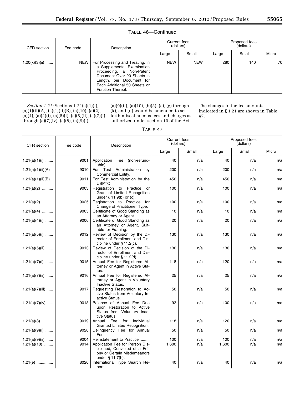۰

#### TABLE 46—Continued

| CFR section      | Fee code | Description                                                                                                                                                                                                    | Current fees<br>(dollars) |            | Proposed fees<br>(dollars) |       |       |
|------------------|----------|----------------------------------------------------------------------------------------------------------------------------------------------------------------------------------------------------------------|---------------------------|------------|----------------------------|-------|-------|
|                  |          |                                                                                                                                                                                                                | Large                     | Small      | Large                      | Small | Micro |
| $1.20(k)(3)(ii)$ |          | NEW   For Processing and Treating, in<br>a Supplemental Examination<br>Proceeding, a Non-Patent<br>Document Over 20 Sheets in<br>Length, per Document for<br>Each Additional 50 Sheets or<br>Fraction Thereof. | <b>NEW</b>                | <b>NEW</b> | 280                        | 140   | 70    |

*Section 1.21:* Sections 1.21(a)(1)(i),  $(a)(1)(ii)(A), (a)(1)(ii)(B), (a)(10), (a)(2),$  $(a)(4)$ ,  $(a)(4)(i)$ ,  $(a)(5)(i)$ ,  $(a)(5)(ii)$ ,  $(a)(7)(i)$ through (a)(7)(iv), (a)(8), (a)(9)(i),

(a)(9)(ii), (a)(10), (b)(3), (e), (g) through (k), and (n) would be amended to set forth miscellaneous fees and charges as authorized under section 10 of the Act.

The changes to the fee amounts indicated in § 1.21 are shown in Table 47.

TABLE 47

| CFR section                       | Fee code     | Description                                                                                                                                         | <b>Current fees</b><br>(dollars) |            | Proposed fees<br>(dollars) |            |            |
|-----------------------------------|--------------|-----------------------------------------------------------------------------------------------------------------------------------------------------|----------------------------------|------------|----------------------------|------------|------------|
|                                   |              |                                                                                                                                                     | Large                            | Small      | Large                      | Small      | Micro      |
| $1.21(a)(1)(i)$                   | 9001         | Application Fee (non-refund-<br>able).                                                                                                              | 40                               | n/a        | 40                         | n/a        | n/a        |
| 1.21(a)(1)(ii)(A)                 | 9010         | For Test Administration<br>by<br>Commercial Entity.                                                                                                 | 200                              | n/a        | 200                        | n/a        | n/a        |
| 1.21(a)(1)(ii)(B)                 | 9011         | For Test Administration by the<br>USPTO.                                                                                                            | 450                              | n/a        | 450                        | n/a        | n/a        |
| $1.21(a)(2)$                      | 9003         | Registration to Practice or<br>Grant of Limited Recognition<br>under $§ 11.9(b)$ or (c).                                                            | 100                              | n/a        | 100                        | n/a        | n/a        |
| $1.21(a)(2)$                      | 9025         | Registration to Practice for<br>Change of Practitioner Type.                                                                                        | 100                              | n/a        | 100                        | n/a        | n/a        |
| $1.21(a)(4)$                      | 9005         | Certificate of Good Standing as<br>an Attorney or Agent.                                                                                            | 10                               | n/a        | 10                         | n/a        | n/a        |
| $1.21(a)(4)(i)$                   | 9006         | Certificate of Good Standing as<br>an Attorney or Agent, Suit-<br>able for Framing.                                                                 | 20                               | n/a        | 20                         | n/a        | n/a        |
| $1.21(a)(5)(i)$                   | 9012         | Review of Decision by the Di-<br>rector of Enrollment and Dis-<br>cipline under § 11.2(c).                                                          | 130                              | n/a        | 130                        | n/a        | n/a        |
| $1.21(a)(5)(ii)$                  | 9013         | Review of Decision of the Di-<br>rector of Enrollment and Dis-<br>cipline under § 11.2(d).                                                          | 130                              | n/a        | 130                        | n/a        | n/a        |
| $1.21(a)(7)(i)$                   | 9015         | Annual Fee for Registered At-<br>torney or Agent in Active Sta-<br>tus.                                                                             | 118                              | n/a        | 120                        | n/a        | n/a        |
| 1.21(a)(7)(ii)                    | 9016         | Annual Fee for Registered At-<br>torney or Agent in Voluntary<br>Inactive Status.                                                                   | 25                               | n/a        | 25                         | n/a        | n/a        |
| $1.21(a)(7)(iii)$                 | 9017         | Requesting Restoration to Ac-<br>tive Status from Voluntary In-<br>active Status.                                                                   | 50                               | n/a        | 50                         | n/a        | n/a        |
| $1.21(a)(7)(iv)$                  | 9018         | Balance of Annual Fee Due<br>upon Restoration to Active<br>Status from Voluntary Inac-<br>tive Status.                                              | 93                               | n/a        | 100                        | n/a        | n/a        |
| $1.21(a)(8)$                      | 9019         | Annual Fee<br>for<br>Individual<br>Granted Limited Recognition.                                                                                     | 118                              | n/a        | 120                        | n/a        | n/a        |
| $1.21(a)(9)(i)$                   | 9020         | Delinquency Fee for Annual<br>Fee.                                                                                                                  | 50                               | n/a        | 50                         | n/a        | n/a        |
| $1.21(a)(9)(ii)$<br>$1.21(a)(10)$ | 9004<br>9014 | Reinstatement to Practice<br>Application Fee for Person Dis-<br>ciplined, Convicted of a Fel-<br>ony or Certain Misdemeanors<br>under $§ 11.7(h)$ . | 100<br>1,600                     | n/a<br>n/a | 100<br>1,600               | n/a<br>n/a | n/a<br>n/a |
| 1.21(e)                           | 8020         | International Type Search Re-<br>port.                                                                                                              | 40                               | n/a        | 40                         | n/a        | n/a        |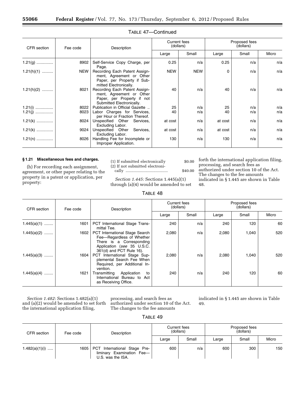| CFR section  | Fee code   | Description                                                                                                          | Current fees<br>(dollars) |            | Proposed fees<br>(dollars) |       |       |
|--------------|------------|----------------------------------------------------------------------------------------------------------------------|---------------------------|------------|----------------------------|-------|-------|
|              |            |                                                                                                                      | Large                     | Small      | Large                      | Small | Micro |
| $1.21(g)$    | 8902       | Self-Service Copy Charge, per<br>Page.                                                                               | 0.25                      | n/a        | 0.25                       | n/a   | n/a   |
| $1.21(h)(1)$ | <b>NEW</b> | Recording Each Patent Assign-<br>ment, Agreement or Other<br>Paper, per Property if Sub-<br>mitted Electronically.   | <b>NEW</b>                | <b>NEW</b> | $\Omega$                   | n/a   | n/a   |
| $1.21(h)(2)$ | 8021       | Recording Each Patent Assign-<br>ment, Agreement or Other<br>Paper, per Property if not<br>Submitted Electronically. | 40                        | n/a        | 40                         | n/a   | n/a   |
| $1.21(i)$    | 8022       | Publication in Official Gazette                                                                                      | 25                        | n/a        | 25                         | n/a   | n/a   |
| $1.21(i)$    | 8023       | Labor Charges for Services,<br>per Hour or Fraction Thereof.                                                         | 40                        | n/a        | 40                         | n/a   | n/a   |
| $1.21(k)$    | 8024       | Unspecified Other Services,<br>Excluding Labor.                                                                      | at cost                   | n/a        | at cost                    | n/a   | n/a   |
| $1.21(k)$    | 9024       | Unspecified Other<br>Services,<br>Excluding Labor.                                                                   | at cost                   | n/a        | at cost                    | n/a   | n/a   |
| $1.21(n)$    | 8026       | Handling Fee for Incomplete or<br>Improper Application.                                                              | 130                       | n/a        | 130                        | n/a   | n/a   |

#### TABLE 47—Continued

#### **§ 1.21 Miscellaneous fees and charges.**

(h) For recording each assignment, agreement, or other paper relating to the property in a patent or application, per property:

(1) If submitted electronically  $$0.00$ (2) If not submitted electronically ...................................... \$40.00

*Section 1.445:* Sections 1.445(a)(1) through (a)(4) would be amended to set

TABLE 48

forth the international application filing, processing, and search fees as authorized under section 10 of the Act. The changes to the fee amounts indicated in § 1.445 are shown in Table 48.

| CFR section   | Fee code | Description                                                                                                                                              | <b>Current fees</b><br>(dollars) |       | Proposed fees<br>(dollars) |       |       |
|---------------|----------|----------------------------------------------------------------------------------------------------------------------------------------------------------|----------------------------------|-------|----------------------------|-------|-------|
|               |          |                                                                                                                                                          | Large                            | Small | Large                      | Small | Micro |
| $1.445(a)(1)$ | 1601     | PCT International Stage Trans-<br>mittal Tee.                                                                                                            | 240                              | n/a   | 240                        | 120   | 60    |
| $1.445(a)(2)$ | 1602     | <b>PCT</b> International Stage Search<br>Fee-Regardless of Whether<br>There is a Corresponding<br>Application (see 35 U.S.C.<br>361(d) and PCT Rule 16). | 2,080                            | n/a   | 2,080                      | 1,040 | 520   |
| $1.445(a)(3)$ | 1604     | PCT International Stage Sup-<br>plemental Search Fee When<br>Required, per Additional In-<br>vention.                                                    | 2,080                            | n/a   | 2,080                      | 1,040 | 520   |
| $1.445(a)(4)$ | 1621     | Transmitting<br>Application<br>to<br>International Bureau to Act<br>as Receiving Office.                                                                 | 240                              | n/a   | 240                        | 120   | 60    |

*Section 1.482:* Sections 1.482(a)(1) and (a)(2) would be amended to set forth the international application filing,

processing, and search fees as authorized under section 10 of the Act. The changes to the fee amounts

indicated in § 1.445 are shown in Table 49.

| ABI F |  |
|-------|--|
|-------|--|

| CFR section    | Fee code | Description                                                                    | Current fees<br>(dollars) |       | Proposed fees<br>(dollars) |       |       |
|----------------|----------|--------------------------------------------------------------------------------|---------------------------|-------|----------------------------|-------|-------|
|                |          |                                                                                | Large                     | Small | Large                      | Small | Micro |
| 1.482(a)(1)(i) | 1605     | PCT International Stage Pre-<br>liminary Examination Fee-<br>U.S. was the ISA. | 600                       | n/a   | 600                        | 300   | 150   |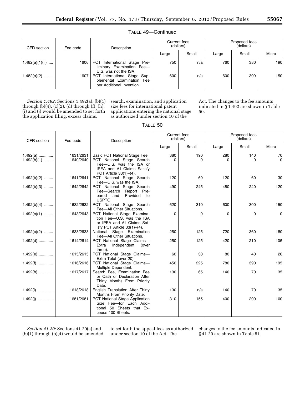| CFR section       | Fee code | Description                                                                               | Current fees<br>(dollars) |       | Proposed fees<br>(dollars) |       |       |
|-------------------|----------|-------------------------------------------------------------------------------------------|---------------------------|-------|----------------------------|-------|-------|
|                   |          |                                                                                           | Large                     | Small | Large                      | Small | Micro |
| $1.482(a)(1)(ii)$ | 1606     | PCT International Stage Pre-<br>liminary Examination Fee-<br>U.S. was not the ISA.        | 750                       | n/a   | 760                        | 380   | 190   |
| $1.482(a)(2)$     | 1607     | PCT International Stage Sup-<br>plemental Examination<br>Fee<br>per Additional Invention. | 600                       | n/a   | 600                        | 300   | 150   |

TABLE 49—Continued

*Section 1.492:* Sections 1.492(a), (b)(1) through (b)(4), (c)(2), (d) through (f), (h), (i) and (j) would be amended to set forth the application filing, excess claims,

search, examination, and application size fees for international patent applications entering the national stage as authorized under section 10 of the

Act. The changes to the fee amounts indicated in § 1.492 are shown in Table 50.

| ABI F |  |
|-------|--|
|-------|--|

| CFR section                 | Fee code               | Description                                                                                                                                          | Current fees<br>(dollars) |          | Proposed fees<br>(dollars) |          |                   |
|-----------------------------|------------------------|------------------------------------------------------------------------------------------------------------------------------------------------------|---------------------------|----------|----------------------------|----------|-------------------|
|                             |                        |                                                                                                                                                      | Large                     | Small    | Large                      | Small    | Micro             |
| $1.492(a)$<br>$1.492(b)(1)$ | 1631/2631<br>1640/2640 | Basic PCT National Stage Fee<br>PCT National Stage Search<br>Fee-U.S. was the ISA or<br><b>IPEA and All Claims Satisfy</b><br>PCT Article 33(1)-(4). | 380<br><sup>n</sup>       | 190<br>0 | 280                        | 140<br>O | 70<br>$\mathbf 0$ |
| $1.492(b)(2)$               | 1641/2641              | PCT National Stage Search<br>Fee-U.S. was the ISA.                                                                                                   | 120                       | 60       | 120                        | 60       | 30                |
| $1.492(b)(3)$               | 1642/2642              | PCT National Stage Search<br>Fee-Search Report Pre-<br>Provided<br>pared and<br>to<br>USPTO.                                                         | 490                       | 245      | 480                        | 240      | 120               |
| $1.492(b)(4)$               | 1632/2632              | PCT National Stage Search<br>Fee-All Other Situations.                                                                                               | 620                       | 310      | 600                        | 300      | 150               |
| $1.492(c)(1)$               | 1643/2643              | PCT National Stage Examina-<br>tion Fee-U.S. was the ISA<br>or IPEA and All Claims Sat-<br>isfy PCT Article $33(1)$ – $(4)$ .                        | $\Omega$                  | 0        | $\Omega$                   | $\Omega$ | 0                 |
| $1.492(c)(2)$               | 1633/2633              | National Stage Examination<br>Fee-All Other Situations.                                                                                              | 250                       | 125      | 720                        | 360      | 180               |
| $1.492(d)$                  | 1614/2614              | PCT National Stage Claims-<br>Extra<br>Independent<br>(over<br>three).                                                                               | 250                       | 125      | 420                        | 210      | 105               |
| $1.492(e)$                  | 1615/2615              | PCT National Stage Claims-<br>Extra Total (over 20).                                                                                                 | 60                        | 30       | 80                         | 40       | 20                |
| $1.492(f)$                  | 1616/2616              | PCT National Stage Claims-<br>Multiple Dependent.                                                                                                    | 450                       | 225      | 780                        | 390      | 195               |
| $1.492(h)$                  | 1617/2617              | Search Fee, Examination Fee<br>or Oath or Declaration After<br>Thirty Months From Priority<br>Date.                                                  | 130                       | 65       | 140                        | 70       | 35                |
| $1.492(i)$                  | 1618/2618              | English Translation After Thirty<br>Months From Priority Date.                                                                                       | 130                       | n/a      | 140                        | 70       | 35                |
| $1.492(i)$                  | 1681/2681              | <b>PCT National Stage Application</b><br>Size Fee-for Each Addi-<br>50 Sheets that Ex-<br>tional<br>ceeds 100 Sheets.                                | 310                       | 155      | 400                        | 200      | 100               |

*Section 41.20:* Sections 41.20(a) and (b)(1) through (b)(4) would be amended

to set forth the appeal fees as authorized under section 10 of the Act. The

changes to the fee amounts indicated in § 41.20 are shown in Table 51.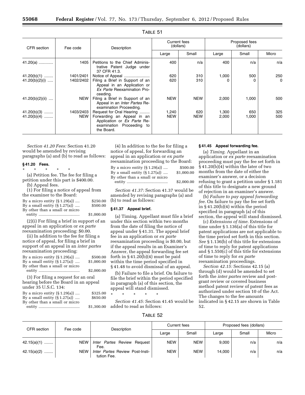| CFR section      | Fee code   | Description                                                                                               | Current fees<br>(dollars) |            | Proposed fees<br>(dollars) |       |          |
|------------------|------------|-----------------------------------------------------------------------------------------------------------|---------------------------|------------|----------------------------|-------|----------|
|                  |            |                                                                                                           | Large                     | Small      | Large                      | Small | Micro    |
| 41.20(a)         | 1405       | Petitions to the Chief Adminis-<br>trative Patent Judge under<br>37 CFR 41.3.                             | 400                       | n/a        | 400                        | n/a   | n/a      |
| $41.20(b)(1)$    | 1401/2401  | Notice of Appeal                                                                                          | 620                       | 310        | 1,000                      | 500   | 250      |
| $41.20(b)(2)(i)$ | 1402/2402  | Filing a Brief in Support of an<br>Appeal in an Application or<br>Ex Parte Reexamination Pro-<br>ceeding. | 620                       | 310        |                            |       | $\Omega$ |
| 41.20(b)(2)(ii)  | NEW        | Filing a Brief in Support of an<br>Appeal in an <i>Inter Partes</i> Re-<br>examination Proceeding.        | <b>NEW</b>                | <b>NEW</b> | 2,000                      | 1,000 | 500      |
| $41.20(b)(3)$    | 1403/2403  | Request for Oral Hearing                                                                                  | 1,240                     | 620        | 1,300                      | 650   | 325      |
| $41.20(b)(4)$    | <b>NEW</b> | Forwarding an Appeal in an<br>Application or Ex Parte Re-<br>examination Proceeding to<br>the Board.      | <b>NEW</b>                | <b>NEW</b> | 2,000                      | 1,000 | 500      |

| ABI F |  |
|-------|--|
|-------|--|

*Section 41.20 Fees:* Section 41.20 would be amended by revising paragraphs (a) and (b) to read as follows:

#### **§ 41.20 Fees.**

\* \* \* \* \* (a) Petition fee. The fee for filing a petition under this part is \$400.00. (b) Appeal fees.

(1) For filing a notice of appeal from the examiner to the Board:

| By a micro entity $(\S 1.29(a))$ | \$250.00   |
|----------------------------------|------------|
| By a small entity $(\S 1.27(a))$ | \$500.00   |
| By other than a small or micro   |            |
|                                  | \$1,000.00 |

(2)(i) For filing a brief in support of an appeal in an application or *ex parte*  reexamination proceeding: \$0.00.

(ii) In addition to the fee for filing a notice of appeal, for filing a brief in support of an appeal in an *inter partes*  reexamination proceeding:

| By a micro entity $(\S 1.29(a))$ | \$500.00   |
|----------------------------------|------------|
| By a small entity $(\S 1.27(a))$ | \$1,000.00 |
| By other than a small or micro   |            |
|                                  | \$2,000.00 |

(3) For filing a request for an oral hearing before the Board in an appeal under 35 U.S.C. 134:

By a micro entity (§ 1.29(a)) .... \$325.00 By a small entity  $(S_1.27(a))$  .... \$650.00

By other than a small or micro

entity ..................................... \$1,300.00

(4) In addition to the fee for filing a notice of appeal, for forwarding an appeal in an application or *ex parte*  reexamination proceeding to the Board:

| By a micro entity $(\S 1.29(a))$ | \$500.00   |
|----------------------------------|------------|
| By a small entity $(\S 1.27(a))$ | \$1,000.00 |
| By other than a small or micro   |            |
|                                  | \$2,000.00 |

*Section 41.37:* Section 41.37 would be amended by revising paragraphs (a) and (b) to read as follows:

#### **§ 41.37 Appeal brief.**

(a) Timing. Appellant must file a brief under this section within two months from the date of filing the notice of appeal under § 41.31. The appeal brief fee in an application or *ex parte*  reexamination proceeding is \$0.00, but if the appeal results in an Examiner's Answer, the appeal forwarding fee set forth in § 41.20(b)(4) must be paid within the time period specified in § 41.48 to avoid dismissal of an appeal.

(b) Failure to file a brief. On failure to file the brief within the period specified in paragraph (a) of this section, the appeal will stand dismissed.

\* \* \* \* \*

*Section 41.45:* Section 41.45 would be added to read as follows:

#### **§ 41.45 Appeal forwarding fee.**

(a) *Timing.* Appellant in an application or *ex parte* reexamination proceeding must pay the fee set forth in § 41.20(b)(4) within the later of two months from the date of either the examiner's answer, or a decision refusing to grant a petition under § 1.181 of this title to designate a new ground of rejection in an examiner's answer.

(b) *Failure to pay appeal forwarding fee.* On failure to pay the fee set forth in § 41.20(b)(4) within the period specified in paragraph (a) of this section, the appeal will stand dismissed.

(c) *Extensions of time.* Extensions of time under § 1.136(a) of this title for patent applications are not applicable to the time period set forth in this section. *See* § 1.136(b) of this title for extensions of time to reply for patent applications and § 1.550(c) of this title for extensions of time to reply for *ex parte*  reexamination proceedings.

*Section 42.15:* Sections 42.15 (a) through (d) would be amended to set forth the *inter partes* review and postgrant review or covered business method patent review of patent fees as authorized under section 10 of the Act. The changes to the fee amounts indicated in § 42.15 are shown in Table 52.

TABLE 52

| CFR section   | Fee code   | Description                                           | Current fees |            | Proposed fees (dollars) |       |       |
|---------------|------------|-------------------------------------------------------|--------------|------------|-------------------------|-------|-------|
|               |            |                                                       | Large        | Small      | Large                   | Small | Micro |
| $42.15(a)(1)$ | NEW        | Inter Partes Review Request<br>Fee.                   | <b>NEW</b>   | <b>NEW</b> | 9.000                   | n/a   | n/a   |
| $42.15(a)(2)$ | <b>NEW</b> | <i>Inter Partes</i> Review Post-Insti-<br>tution Fee. | <b>NEW</b>   | <b>NEW</b> | 14.000                  | n/a   | n/a   |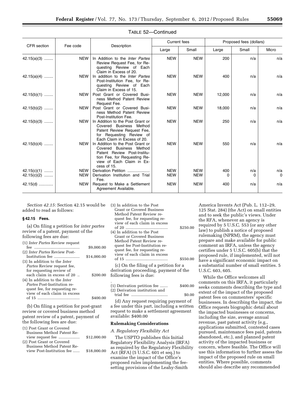|               |            |                                                                                                                                                                        | <b>Current fees</b> |            | Proposed fees (dollars) |       |          |
|---------------|------------|------------------------------------------------------------------------------------------------------------------------------------------------------------------------|---------------------|------------|-------------------------|-------|----------|
| CFR section   | Fee code   | Description                                                                                                                                                            | Large               | Small      | Large                   | Small | Micro    |
| $42.15(a)(3)$ | <b>NEW</b> | In Addition to the <i>Inter Partes</i><br>Review Request Fee, for Re-<br>questing Review of Each<br>Claim in Excess of 20.                                             | <b>NEW</b>          | <b>NEW</b> | 200                     | n/a   | n/a      |
| $42.15(a)(4)$ | NEW I      | In addition to the Inter Partes<br>Post-Institution Fee, for Re-<br>questing Review of Each<br>Claim in Excess of 15.                                                  | <b>NEW</b>          | <b>NEW</b> | 400                     | n/a   | n/a      |
| $42.15(b)(1)$ | NEW        | Post Grant or Covered Busi-<br>ness Method Patent Review<br>Request Fee.                                                                                               | <b>NEW</b>          | <b>NEW</b> | 12,000                  | n/a   | n/a      |
| $42.15(b)(2)$ | NEW I      | Post Grant or Covered Busi-<br>ness Method Patent Review<br>Post-Institution Fee.                                                                                      | <b>NEW</b>          | <b>NEW</b> | 18,000                  | n/a   | n/a      |
| $42.15(b)(3)$ | NEW I      | In Addition to the Post Grant or<br>Covered Business Method<br>Patent Review Request Fee,<br>for Requesting Review of<br>Each Claim in Excess of 20.                   | <b>NEW</b>          | <b>NEW</b> | 250                     | n/a   | n/a      |
| $42.15(b)(4)$ | NEW        | In Addition to the Post Grant or<br>Covered Business Method<br>Patent Review Post-Institu-<br>tion Fee, for Requesting Re-<br>view of Each Claim in Ex-<br>cess of 15. | <b>NEW</b>          | <b>NEW</b> | 550                     | n/a   | n/a      |
| $42.15(c)(1)$ | <b>NEW</b> | Derivation Petition                                                                                                                                                    | <b>NEW</b>          | <b>NEW</b> | 400                     | n/a   | n/a      |
| $42.15(c)(2)$ | NEW        | Derivation Institution and Trial<br>Fee.                                                                                                                               | <b>NEW</b>          | <b>NEW</b> | 0                       | 0     | $\Omega$ |
| $42.15(d)$    | NEW        | Request to Make a Settlement<br>Agreement Available.                                                                                                                   | <b>NEW</b>          | <b>NEW</b> | 400                     | n/a   | n/a      |

#### TABLE 52—Continued

*Section 42.15:* Section 42.15 would be added to read as follows:

#### **§ 42.15 Fees.**

(a) On filing a petition for *inter partes*  review of a patent, payment of the following fees are due:

fee ......................................... \$9,000.00

(1) *Inter Partes* Review request

|                                     | ww.oor      |
|-------------------------------------|-------------|
| (2) Inter Partes Review Post-       |             |
| Institution fee                     | \$14,000.00 |
| (3) In addition to the <i>Inter</i> |             |
| <i>Partes</i> Review request fee,   |             |
| for requesting review of            |             |
| each claim in excess of 20.         | \$200.00    |
| (4) In addition to the <i>Inter</i> |             |
| <i>Partes</i> Post-Institution re-  |             |
| quest fee, for requesting re-       |             |
| view of each claim in excess        |             |
| of 15                               | \$400.00    |

(b) On filing a petition for post-grant review or covered business method patent review of a patent, payment of the following fees are due:

| (1) Post Grant or Covered  |             |
|----------------------------|-------------|
| Business Method Patent Re- |             |
| view request fee           | \$12,000.00 |
| (2) Post Grant or Covered  |             |
| Business Method Patent Re- |             |
| view Post-Institution fee  | \$18,000.00 |
|                            |             |

| (3) In addition to the Post<br>Grant or Covered Business<br>Method Patent Review re-<br>quest fee, for requesting re-<br>view of each claim in excess<br>(4) In addition to the Post<br>Grant or Covered Business<br>Method Patent Review re-<br>quest fee Post-Institution re-<br>quest fee, for requesting re- | \$250.00 |
|------------------------------------------------------------------------------------------------------------------------------------------------------------------------------------------------------------------------------------------------------------------------------------------------------------------|----------|
| view of each claim in excess                                                                                                                                                                                                                                                                                     |          |
| of 15                                                                                                                                                                                                                                                                                                            | \$550.00 |
| (c) On the filing of a petition for a                                                                                                                                                                                                                                                                            |          |

derivation proceeding, payment of the following fees is due:

| (1) Derivation petition fee                                                                                     | \$400.00 |
|-----------------------------------------------------------------------------------------------------------------|----------|
| (2) Derivation institution and                                                                                  |          |
|                                                                                                                 | \$0.00   |
| the contract of the contract of the contract of the contract of the contract of the contract of the contract of |          |

(d) Any request requiring payment of a fee under this part, including a written request to make a settlement agreement available: \$400.00

#### **Rulemaking Considerations**

#### *A. Regulatory Flexibility Act*

The USPTO publishes this Initial Regulatory Flexibility Analysis (IRFA) as required by the Regulatory Flexibility Act (RFA) (5 U.S.C. 601 et seq.) to examine the impact of the Office's proposed rules implementing the feesetting provisions of the Leahy-Smith

America Invents Act (Pub. L. 112–29, 125 Stat. 284) (the Act) on small entities and to seek the public's views. Under the RFA, whenever an agency is required by 5 U.S.C. 553 (or any other law) to publish a notice of proposed rulemaking (NPRM), the agency must prepare and make available for public comment an IRFA, unless the agency certifies under 5 U.S.C. 605(b) that the proposed rule, if implemented, will not have a significant economic impact on a substantial number of small entities. 5 U.S.C. 603, 605.

While the Office welcomes all comments on this IRFA, it particularly seeks comments describing the type and extent of the impact of the proposed patent fees on commenters' specific businesses. In describing the impact, the Office requests biographic detail about the impacted businesses or concerns, including the size, average annual revenue, past patent activity (e.g., applications submitted, contested cases pursued, maintenance fees paid, patents abandoned, etc.), and planned patent activity of the impacted business or concern, where feasible. The Office will use this information to further assess the impact of the proposed rule on small entities. Where possible, comments should also describe any recommended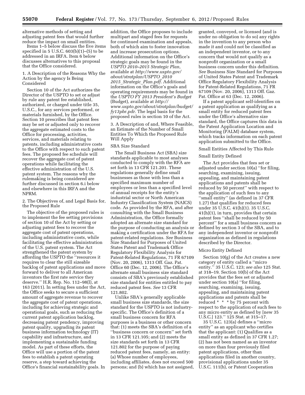alternative methods of setting and adjusting patent fees that would further reduce the impact on small entities.

Items 1–5 below discuss the five items specified in  $5$  U.S.C.  $603(b)(1)$ – $(5)$  to be addressed in an IRFA. Item 6 below discusses alternatives to this proposal that the Office considered.

#### 1. A Description of the Reasons Why the Action by the agency Is Being Considered

Section 10 of the Act authorizes the Director of the USPTO to set or adjust by rule any patent fee established, authorized, or charged under title 35, U.S.C., for any services performed, or materials furnished, by the Office. Section 10 prescribes that patent fees may be set or adjusted only to recover the aggregate estimated costs to the Office for processing, activities, services, and materials relating to patents, including administrative costs to the Office with respect to such patent fees. The proposed fee schedule will recover the aggregate cost of patent operations while facilitating the effective administration of the U.S. patent system. The reasons why the rulemaking is being considered are further discussed in section 6.i below and elsewhere in this IRFA and the NPRM.

#### 2. The Objectives of, and Legal Basis for, the Proposed Rule

The objective of the proposed rules is to implement the fee setting provisions of section 10 of the Act by setting or adjusting patent fees to recover the aggregate cost of patent operations, including administrative costs, while facilitating the effective administration of the U.S. patent system. The Act strengthened the patent system by affording the USPTO the ''resources it requires to clear the still sizeable backlog of patent applications and move forward to deliver to all American inventors the first rate service they deserve.'' H.R. Rep. No. 112–98(I), at 163 (2011). In setting fees under the Act, the Office seeks to secure a sufficient amount of aggregate revenue to recover the aggregate cost of patent operations, including for achieving strategic and operational goals, such as reducing the current patent application backlog, decreasing patent pendency, improving patent quality, upgrading its patent business information technology (IT) capability and infrastructure, and implementing a sustainable funding model. As part of these efforts, the Office will use a portion of the patent fees to establish a patent operating reserve, a step toward achieving the Office's financial sustainability goals. In

addition, the Office proposes to include multipart and staged fees for requests for continued examination and appeals, both of which aim to foster innovation and increase prosecution options. Additional information on the Office's strategic goals may be found in the *USPTO 2010–2015 Strategic Plan,*  available at *[http://www.uspto.gov/](http://www.uspto.gov/about/stratplan/USPTO_20102015_Strategic_Plan.pdf) [about/stratplan/USPTO](http://www.uspto.gov/about/stratplan/USPTO_20102015_Strategic_Plan.pdf)*\_*2010 2015*\_*Strategic*\_*[Plan.pdf.](http://www.uspto.gov/about/stratplan/USPTO_20102015_Strategic_Plan.pdf)* Additional information on the Office's goals and operating requirements may be found in the *USPTO FY 2013 President's Budget*  (Budget), available at *[http://](http://www.uspto.gov/about/stratplan/budget/fy13pbr.pdr)  [www.uspto.gov/about/stratplan/budget/](http://www.uspto.gov/about/stratplan/budget/fy13pbr.pdr)  [fy13pbr.pdr.](http://www.uspto.gov/about/stratplan/budget/fy13pbr.pdr)* The legal basis for the proposed rules is section 10 of the Act.

3. A Description of and, Where Feasible, an Estimate of the Number of Small Entities To Which the Proposed Rule Will Apply

#### SBA Size Standard

The Small Business Act (SBA) size standards applicable to most analyses conducted to comply with the RFA are set forth in 13 CFR 121.201. These regulations generally define small businesses as those with less than a specified maximum number of employees or less than a specified level of annual receipts for the entity's industrial sector or North American Industry Classification System (NAICS) code. As provided by the RFA, and after consulting with the Small Business Administration, the Office formally adopted an alternate size standard for the purpose of conducting an analysis or making a certification under the RFA for patent-related regulations. *See* Business Size Standard for Purposes of United States Patent and Trademark Office Regulatory Flexibility Analysis for Patent-Related Regulations, 71 FR 67109 (Nov. 20, 2006), 1313 Off. Gaz. Pat. Office 60 (Dec. 12, 2006). The Office's alternate small business size standard consists of SBA's previously established size standard for entities entitled to pay reduced patent fees. *See* 13 CFR 121.802.

Unlike SBA's generally applicable small business size standards, the size standard for the USPTO is not industryspecific. The Office's definition of a small business concern for RFA purposes is a business or other concern that: (1) meets the SBA's definition of a ''business concern or concern'' set forth in 13 CFR 121.105; and (2) meets the size standards set forth in 13 CFR 121.802 for the purpose of paying reduced patent fees, namely, an entity: (a) Whose number of employees, including affiliates, does not exceed 500 persons; and (b) which has not assigned, granted, conveyed, or licensed (and is under no obligation to do so) any rights in the invention to any person who made it and could not be classified as an independent inventor, or to any concern that would not qualify as a nonprofit organization or a small business concern under this definition. *See* Business Size Standard for Purposes of United States Patent and Trademark Office Regulatory Flexibility Analysis for Patent-Related Regulations, 71 FR 67109 (Nov. 20, 2006), 1313 Off. Gaz. Pat. Office at 63 (Dec. 12, 2006).

If a patent applicant self-identifies on a patent application as qualifying as a small entity for reduced patent fees under the Office's alternative size standard, the Office captures this data in the Patent Application Location and Monitoring (PALM) database system, which tracks information on each patent application submitted to the Office.

#### Small Entities Affected by This Rule

#### Small Entity Defined

The Act provides that fees set or adjusted under section 10(a) ''for filing, searching, examining, issuing, appealing, and maintaining patent applications and patents shall be reduced by 50 percent'' with respect to the application of such fees to any ''small entity'' (as defined in 37 CFR 1.27) that qualifies for reduced fees under 35 U.S.C. 41(h)(1). 35 U.S.C. 41(h)(1), in turn, provides that certain patent fees ''shall be reduced by 50 percent'' for a small business concern as defined by section 3 of the SBA, and to any independent inventor or nonprofit organization as defined in regulations described by the Director.

#### Micro Entity Defined

Section 10(g) of the Act creates a new category of entity called a ''micro entity.'' 35 U.S.C. 123; *see also* 125 Stat. at 318–19. Section 10(b) of the Act provides that the fees set or adjusted under section 10(a) ''for filing, searching, examining, issuing, appealing, and maintaining patent applications and patents shall be reduced \* \* \* by 75 percent with respect to the application of such fees to any micro entity as defined by [new 35 U.S.C.] 123.'' 125 Stat. at 315–17.

35 U.S.C. 123(a) defines a ''micro entity'' as an applicant who certifies that the applicant: (1) Qualifies as a small entity as defined in 37 CFR 1.27; (2) has not been named as an inventor on more than four previously filed patent applications, other than applications filed in another country, provisional applications under 35 U.S.C. 111(b), or Patent Cooperation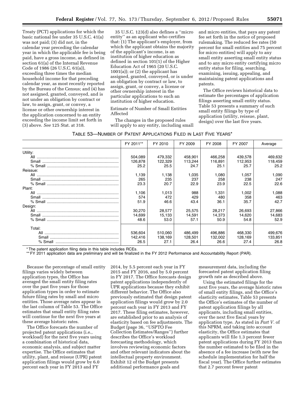Treaty (PCT) applications for which the basic national fee under 35 U.S.C. 41(a) was not paid; (3) did not, in the calendar year preceding the calendar year in which the applicable fee is being paid, have a gross income, as defined in section 61(a) of the Internal Revenue Code of 1986 (26 U.S.C. 61(a)), exceeding three times the median household income for that preceding calendar year, as most recently reported by the Bureau of the Census; and (4) has not assigned, granted, conveyed, and is not under an obligation by contract or law, to assign, grant, or convey, a license or other ownership interest in the application concerned to an entity exceeding the income limit set forth in (3) above. *See* 125 Stat. at 318.

35 U.S.C. 123(d) also defines a ''micro entity'' as an applicant who certifies that: (1) The applicant's employer, from which the applicant obtains the majority of the applicant's income, is an institution of higher education as defined in section 101(1) of the Higher Education Act of 1965 (20 U.S.C. 1001(a)); or (2) the applicant has assigned, granted, conveyed, or is under an obligation by contract or law, to assign, grant, or convey, a license or other ownership interest in the particular applications to such an institution of higher education.

Estimate of Number of Small Entities Affected

The changes in the proposed rules will apply to any entity, including small and micro entities, that pays any patent fee set forth in the notice of proposed rulemaking. The reduced fee rates (50 percent for small entities and 75 percent for micro entities) will apply to any small entity asserting small entity status and to any micro entity certifying micro entity status for filing, searching, examining, issuing, appealing, and maintaining patent applications and patents.

The Office reviews historical data to estimate the percentages of application filings asserting small entity status. Table 53 presents a summary of such small entity filings by type of application (utility, reissue, plant, design) over the last five years.

| Table 53—Number of Patent Applications Filed in Last Five Years* |  |  |
|------------------------------------------------------------------|--|--|
|------------------------------------------------------------------|--|--|

|          | FY 2011** | FY 2010 | FY 2009 | FY 2008 | FY 2007 | Average |
|----------|-----------|---------|---------|---------|---------|---------|
| Utility: |           |         |         |         |         |         |
|          | 504,089   | 479,332 | 458,901 | 466,258 | 439,578 | 469,632 |
|          | 126,878   | 122,329 | 113,244 | 116,891 | 112,953 | 118,459 |
|          | 25.2      | 25.5    | 24.7    | 25.1    | 25.7    | 25.2    |
| Reissue: |           |         |         |         |         |         |
|          | 1,139     | 1,138   | 1,035   | 1.080   | 1,057   | 1,090   |
|          | 265       | 235     | 237     | 258     | 238     | 247     |
|          | 23.3      | 20.7    | 22.9    | 23.9    | 22.5    | 22.6    |
| Plant:   |           |         |         |         |         |         |
|          | 1,106     | 1,013   | 988     | 1,331   | 1,002   | 1,088   |
|          | 574       | 472     | 429     | 480     | 358     | 463     |
|          | 51.9      | 46.6    | 43.4    | 36.1    | 35.7    | 42.7    |
| Design:  |           |         |         |         |         |         |
|          | 30,270    | 28,577  | 25,575  | 28,217  | 26,693  | 27,866  |
|          | 14,699    | 15,133  | 14,591  | 14,373  | 14,620  | 14,683  |
|          | 48.6      | 53.0    | 57.1    | 50.9    | 54.8    | 52.9    |
|          |           |         |         |         |         |         |
| Total:   |           |         |         |         |         |         |
|          | 536,604   | 510,060 | 486,499 | 496,886 | 468,330 | 499,676 |
|          | 142,416   | 138.169 | 128.501 | 132.002 | 128.169 | 133,851 |
|          | 26.5      | 27.1    | 26.4    | 26.6    | 27.4    | 26.8    |

\* The patent application filing data in this table includes RCEs.

\*\* FY 2011 application data are preliminary and will be finalized in the FY 2012 Performance and Accountability Report (PAR).

Because the percentage of small entity filings varies widely between application types, the Office has averaged the small entity filing rates over the past five years for those application types in order to estimate future filing rates by small and micro entities. Those average rates appear in the last column of Table 53. The Office estimates that small entity filing rates will continue for the next five years at these average historic rates.

The Office forecasts the number of projected patent applications (i.e., workload) for the next five years using a combination of historical data, economic analysis, and subject matter expertise. The Office estimates that utility, plant, and reissue (UPR) patent application filings would grow by 6.0 percent each year in FY 2013 and FY

2014, by 5.5 percent each year in FY 2015 and FY 2016, and by 5.0 percent in FY 2017. The Office forecasts design patent applications independently of UPR applications because they exhibit different behavior. The Office also previously estimated that design patent application filings would grow by 2.0 percent each year in FY 2013 and FY 2017. These filing estimates, however, are established prior to an analysis of elasticity based on fee adjustments. The Budget (page 36, ''USPTO Fee Collection Estimates/Ranges'') further describes the Office's workload forecasting methodology, which involves reviewing economic factors and other relevant indicators about the intellectual property environment. Exhibit 12 of the Budget presents additional performance goals and

measurement data, including the forecasted patent application filing growth rate as described above.

Using the estimated filings for the next five years, the average historic rates of small entity filings, and the Office's elasticity estimates, Table 53 presents the Office's estimates of the number of patent application filings by all applicants, including small entities, over the next five fiscal years by application type. As stated in *Part V.* of this NPRM, and taking into account elasticity, the Office estimates that applicants will file 1.3 percent fewer patent applications during FY 2013 than the number estimated to be filed in the absence of a fee increase (with new fee schedule implementation for half the fiscal year). The Office further estimates that 2.7 percent fewer patent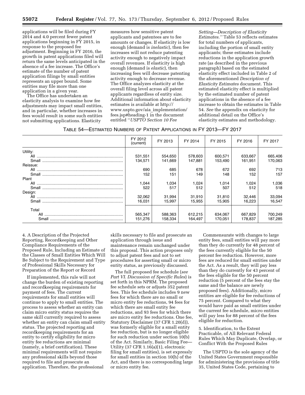applications will be filed during FY 2014 and 4.0 percent fewer patent applications beginning in FY 2015, in response to the proposed fee adjustment. Beginning in FY 2016, the growth in patent applications filed will return the same levels anticipated in the absence of a fee increase. The Office's estimate of the number of patent application filings by small entities represents an upper bound. Some entities may file more than one application in a given year.

The Office has undertaken an elasticity analysis to examine how fee adjustments may impact small entities, and in particular, whether increases in fees would result in some such entities not submitting applications. Elasticity

measures how sensitive patent applicants and patentees are to fee amounts or changes. If elasticity is low enough (demand is *inelastic*), then fee increases will not reduce patenting activity enough to negatively impact overall revenues. If elasticity is high enough (demand is *elastic*), then increasing fees will decrease patenting activity enough to decrease revenue. The Office analyzes elasticity at the overall filing level across all patent applicants regardless of entity size. Additional information about elasticity estimates is available at [http://](http://www.uspto.gov/aia_implementation/fees.jsp#heading-1) [www.uspto.gov/aia](http://www.uspto.gov/aia_implementation/fees.jsp#heading-1)\_implementation/ [fees.jsp#heading-1](http://www.uspto.gov/aia_implementation/fees.jsp#heading-1) in the document entitled ''*USPTO Section 10 Fee* 

*Setting—Description of Elasticity Estimates.''* Table 53 reflects estimates for total numbers of applicants, including the portion of small entity applicants; these estimates include reductions in the application growth rate (as described in the previous paragraph) based on the estimated elasticity effect included in Table 2 of the aforementioned *Description of Elasticity Estimates* document. This estimated elasticity effect is multiplied by the estimated number of patent applications in the absence of a fee increase to obtain the estimates in Table 54. *See* the appendix on elasticity for additional detail on the Office's elasticity estimates and methodology.

| TABLE 54—ESTIMATED NUMBERS OF PATENT APPLICATIONS IN FY 2013—FY 2017 |  |
|----------------------------------------------------------------------|--|
|----------------------------------------------------------------------|--|

|          | FY 2012<br>(current) | FY 2013 | FY 2014 | FY 2015 | FY 2016 | FY 2017 |
|----------|----------------------|---------|---------|---------|---------|---------|
| Utility: |                      |         |         |         |         |         |
|          | 531,551              | 554,650 | 578,603 | 600,571 | 633,667 | 665,406 |
|          | 134.571              | 141,669 | 147,881 | 153,490 | 161,951 | 170,063 |
| Reissue: |                      |         |         |         |         |         |
|          | 690                  | 685     | 678     | 672     | 692     | 713     |
|          | 152                  | 151     | 149     | 148     | 152     | 157     |
| Plant    |                      |         |         |         |         |         |
|          | 1,044                | 1,034   | 1,024   | 1,014   | 1,024   | 1,036   |
|          | 522                  | 517     | 512     | 507     | 512     | 518     |
| Design:  |                      |         |         |         |         |         |
|          | 32.062               | 31,994  | 31,910  | 31,810  | 32,446  | 33,094  |
|          | 16.031               | 15.997  | 15.955  | 15.905  | 16.223  | 16,547  |
| Total    |                      |         |         |         |         |         |
|          | 565,347              | 588,363 | 612,215 | 634,067 | 667,829 | 700,249 |
| Small    | 151,276              | 158,334 | 164,497 | 170,051 | 178,837 | 187,285 |

4. A Description of the Projected Reporting, Recordkeeping and Other Compliance Requirements of the Proposed Rule, Including an Estimate of the Classes of Small Entities Which Will Be Subject to the Requirement and Type of Professional Skills Necessary for Preparation of the Report or Record

If implemented, this rule will not change the burden of existing reporting and recordkeeping requirements for payment of fees. The current requirements for small entities will continue to apply to small entities. The process to assess whether an entity can claim micro entity status requires the same skill currently required to assess whether an entity can claim small entity status. The projected reporting and recordkeeping requirements for an entity to certify eligibility for micro entity fee reductions are minimal (namely, a brief certification). These minimal requirements will not require any professional skills beyond those required to file and prosecute an application. Therefore, the professional

skills necessary to file and prosecute an application through issue and maintenance remain unchanged under this proposal. This action proposes only to adjust patent fees and not to set procedures for asserting small or micro entity status, as previously discussed.

The full proposed fee schedule (*see Part VI. Discussion of Specific Rules*) is set forth in this NPRM. The proposed fee schedule sets or adjusts 352 patent fees. This fee schedule includes 9 new fees for which there are no small or micro entity fee reductions, 94 fees for which there are small entity fee reductions, and 93 fees for which there are micro entity fee reductions. One fee, Statutory Disclaimer (37 CFR 1.20(d)), was formerly eligible for a small entity fee reduction, but is no longer eligible for such reduction under section 10(b) of the Act. Similarly, Basic Filing Fee— Utility (37 CFR 1.16(a)(1), electronic filing for small entities), is set expressly for small entities in section 10(h) of the Act, and there is no corresponding large or micro entity fee.

Commensurate with changes to large entity fees, small entities will pay more than they do currently for 48 percent of the fees currently eligible for the 50 percent fee reduction. However, more fees are reduced for small entities under the Act. As a result, they will pay less than they do currently for 43 percent of the fees eligible for the 50 percent reduction (5 percent of the fees stay the same and the balance are newly proposed fees). Additionally, micro entities are eligible for fee reductions of 75 percent. Compared to what they would have paid as small entities under the current fee schedule, micro entities will pay less for 88 percent of the fees eligible for reduction.

5. Identification, to the Extent Practicable, of All Relevant Federal Rules Which May Duplicate, Overlap, or Conflict With the Proposed Rules

The USPTO is the sole agency of the United States Government responsible for administering the provisions of title 35, United States Code, pertaining to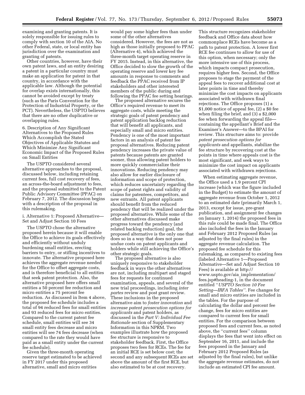examining and granting patents. It is solely responsible for issuing rules to comply with section 10 of the AIA. No other Federal, state, or local entity has jurisdiction over the examination and granting of patents.

Other countries, however, have their own patent laws, and an entity desiring a patent in a particular country must make an application for patent in that country, in accordance with the applicable law. Although the potential for overlap exists internationally, this cannot be avoided except by treaty (such as the Paris Convention for the Protection of Industrial Property, or the PCT). Nevertheless, the USPTO believes that there are no other duplicative or overlapping rules.

6. Description of Any Significant Alternatives to the Proposed Rules Which Accomplish the Stated Objectives of Applicable Statutes and Which Minimize Any Significant Economic Impact of the Proposed Rules on Small Entities

The USPTO considered several alternative approaches to the proposal, discussed below, including retaining current fees, full cost recovery of fees, an across-the-board adjustment to fees, and the proposal submitted to the Patent Public Advisory Committee (PPAC) on February 7, 2012. The discussion begins with a description of the proposal in this rulemaking.

i. Alternative 1: Proposed Alternative— Set and Adjust Section 10 Fees

The USPTO chose the alternative proposed herein because it will enable the Office to achieve its goals effectively and efficiently without unduly burdening small entities, erecting barriers to entry, or stifling incentives to innovate. The alternative proposed here achieves the aggregate revenue needed for the Office to offset aggregate costs, and is therefore beneficial to all entities that seek patent protection. Also, the alternative proposed here offers small entities a 50 percent fee reduction and micro entities a 75 percent fee reduction. As discussed in Item 4 above, the proposed fee schedule includes a total of 94 reduced fees for small entities and 93 reduced fees for micro entities. Compared to the current patent fee schedule, small entities will see 34 small entity fees decrease and micro entities will see 74 fees decrease (when compared to the rate they would have paid as a small entity under the current fee schedule).

Given the three-month operating reserve target estimated to be achieved in FY 2017 under this proposed alternative, small and micro entities

would pay some higher fees than under some of the other alternatives considered. However, the fees are not as high as those initially proposed to PPAC (Alternative 4), which achieved the three-month target operating reserve in FY 2015. Instead, in this alternative, the Office decided to slow the growth of the operating reserve and lower key fee amounts in response to comments and feedback the PPAC received from IP stakeholders and other interested members of the public during and following the PPAC fee setting hearings.

The proposed alternative secures the Office's required revenue to meet its aggregate costs, while meeting the strategic goals of patent pendency and patent application backlog reduction that will benefit all applicants, and especially small and micro entities. Pendency is one of the most important factors in an analysis of patent fee proposal alternatives. Reducing patent pendency increases the private value of patents because patents are granted sooner, thus allowing patent holders to more quickly commercialize their innovations. Reducing pendency may also allow for earlier disclosure of information and scope of protection, which reduces uncertainty regarding the scope of patent rights and validity of claims for patentees, competitors, and new entrants. All patent applicants should benefit from the reduced pendency that will be realized under the proposed alternative. While some of the other alternatives discussed make progress toward the pendency (and related backlog reduction) goal, the proposed alternative is the only one that does so in a way that does not pose undue costs on patent applicants and holders while still achieving the Office's other strategic goals.

The proposed alternative is also uniquely responsive to stakeholder feedback in ways the other alternatives are not, including multipart and staged fees for requests for continued examination, appeals, and several of the new trial proceedings, including *inter partes* review and post grant review. These inclusions in the proposed alternative aim to *foster innovation* and *increase patent prosecution options for applicants* and patent holders, as discussed in the *Part V: Individual Fee Rationale* section of Supplementary Information in this NPRM. Two examples illustrate how the proposed fee structure is responsive to stakeholder feedback. First, the Office proposes two fees for RCEs. The fee for an initial RCE is set below cost; the second and any subsequent RCEs are set above the amount of the first RCE, but also estimated to be at cost recovery.

This structure recognizes stakeholder feedback and Office data about how commonplace RCEs have become as a path to patent protection. A lower first RCE fee continues to allow for use of this option, when necessary; only the more intensive use of this process, which impacts compact prosecution, requires higher fees. Second, the Office proposes to stage the payment of the appeal fees to recover additional cost at later points in time and thereby minimize the cost impacts on applicants associated with withdrawn final rejections. The Office proposes (1) a \$1,000 notice of appeal fee, (2) a \$0 fee when filing the brief, and (3) a \$2,000 fee when forwarding the appeal file containing the appellant's Brief and the Examiner's Answer—to the BPAI for review. This structure aims to: provide *patent prosecution options for applicants* and appellants, stabilize the fee structure by recovering cost at the points in time where appeals cost is the most significant, and seek ways to minimize the cost impact on applicants associated with withdrawn rejections.

When estimating aggregate revenue, the Office used a 1.9 percent CPI increase (which was the figure included in the Budget) to estimate the amount of aggregate revenue from October 1, 2012 to an estimated date (primarily March 1, 2013, except for issue, pre-grant publication, and assignment fee changes on January 1, 2014) the proposed fees in this rule could be made final. The Office also included the fees in the January and February 2012 Proposed Rules (as adjusted by the final rules) in the aggregate revenue calculation. The proposed fee schedule for this rulemaking, as compared to existing fees (labeled Alternative 1—Proposed Alternative—Set and Adjust Section 10 Fees) is available at [http://](http://www.uspto.gov/aia_implementation/fees.jsp#heading-1) [www.uspto.gov/aia](http://www.uspto.gov/aia_implementation/fees.jsp#heading-1)\_implementation/ [fees.jsp#heading-1,](http://www.uspto.gov/aia_implementation/fees.jsp#heading-1) in the document entitled ''*USPTO Section 10 Fee Setting—IRFA Tables''.* Fee changes for small and micro entities are included in the tables. For the purpose of calculating the dollar and percent fee change, fees for micro entities are compared to current fees for small entities. For the comparison between proposed fees and current fees, as noted above, the ''current fees'' column displays the fees that went into effect on September 16, 2011, and include the fees proposed in the January and February 2012 Proposed Rules (as adjusted by the final rules), but unlike the aggregate revenue estimates, do not include an estimated CPI fee amount.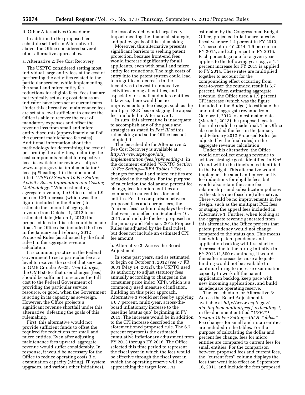**55074 Federal Register** / Vol. 77, No. 173 / Thursday, September 6, 2012 / Proposed Rules

#### ii. Other Alternatives Considered

In addition to the proposed fee schedule set forth in Alternative 1, above, the Office considered several other alternative approaches.

#### a. Alternative 2: Fee Cost Recovery

The USPTO considered setting most individual large entity fees at the cost of performing the activities related to the particular service, while implementing the small and micro entity fee reductions for eligible fees. Fees that are not typically set using cost data as an indicator have been set at current rates. Under this alternative, maintenance fees are set at a level sufficient to ensure the Office is able to recover the cost of mandatory expenses and offset the revenue loss from small and micro entity discounts (approximately half of the current maintenance fee rates). Additional information about the methodology for determining the cost of performing the activities, including the cost components related to respective fees, is available for review at [http://](http://www.uspto.gov/aia_implementation/fees.jsp#heading-1)  [www.uspto.gov/aia](http://www.uspto.gov/aia_implementation/fees.jsp#heading-1)\_implementation/ [fees.jsp#heading-1](http://www.uspto.gov/aia_implementation/fees.jsp#heading-1) in the document titled ''*USPTO Section 10 Fee Setting— Activity-Based Information and Costing Methodology.''* When estimating aggregate revenue, the Office used a 1.9 percent CPI increase (which was the figure included in the Budget) to estimate the amount of aggregate revenue from October 1, 2012 to an estimated date (March 1, 2013) the proposed fees in this rule could be made final. The Office also included the fees in the January and February 2012 Proposed Rules (as adjusted by the final rules) in the aggregate revenue calculation.

It is common practice in the Federal Government to set a particular fee at a level to recover the cost of that service. In OMB Circular A–25: *User Charges,*  the OMB states that user charges (fees) should be sufficient to recover the full cost to the Federal Government of providing the particular service, resource, or good, when the Government is acting in its capacity as sovereign. However, the Office projects a significant revenue shortfall under this alternative, defeating the goals of this rulemaking.

First, this alternative would not provide sufficient funds to offset the required fee reductions for small and micro entities. Even after adjusting maintenance fees upward, aggregate revenue would suffer considerably. In response, it would be necessary for the Office to reduce operating costs (i.e., examination capacity (hiring), IT system upgrades, and various other initiatives),

the loss of which would negatively impact meeting the financial, strategic, and policy goals of this rulemaking.

Moreover, this alternative presents significant barriers to seeking patent protection, because front-end fees would increase significantly for all applicants, even with small and micro entity fee reductions. The high costs of entry into the patent system could lead to a significant decrease in the incentives to invest in innovative activities among all entities, and especially for small and micro entities. Likewise, there would be no improvements in fee design, such as the multipart RCE fees or staging the appeal fees included in Alternative 1.

In sum, this alternative is inadequate to accomplish any of the goals and strategies as stated in *Part III* of this rulemaking and so the Office has not adopted it.

The fee schedule for Alternative 2: Fee Cost Recovery is available at *[http://www.uspto.gov/aia](http://www.uspto.gov/aia_implementation/fees.jsp#heading-1)*\_ *[implementation/fees.jsp#heading-1,](http://www.uspto.gov/aia_implementation/fees.jsp#heading-1)* in the document entitled *''USPTO Section 10 Fee Setting—IRFA Tables.''* Fee changes for small and micro entities are included in the tables. For the purpose of calculation the dollar and percent fee change, fees for micro entities are compared to current fees for small entities. For the comparison between proposed fees and current fees, the ''current fees'' column displays the fees that went into effect on September 16, 2011, and include the fees proposed in the January and February 2012 Proposed Rules (as adjusted by the final rules), but does not include an estimated CPI fee amount.

#### b. Alternative 3: Across-the-Board Adjustment

In some past years, and as estimated to begin on October 1, 2012 (*see* 77 FR 8831 (May 14, 2012)), the USPTO used its authority to adjust statutory fees annually according to changes in the consumer price index (CPI), which is a commonly used measure of inflation. Building on this prior approach, Alternative 3 would set fees by applying a 6.7 percent, multi-year, across-theboard inflationary increase to the baseline (status quo) beginning in FY 2013. The increase would be in addition to the CPI increase described in the aforementioned proposed rule. The 6.7 percent represents the estimated cumulative inflationary adjustment from FY 2013 through FY 2016. The Office selected this time period to represent the fiscal year in which the fees would be effective through the fiscal year in which the operating reserve will be approaching the target level. As

estimated by the Congressional Budget Office, projected inflationary rates by fiscal year are: 1.4 percent in FY 2013, 1.5 percent in FY 2014, 1.6 percent in FY 2015, and 2.0 percent in FY 2016. Each percentage rate for a given year applies to the following year, e.g., a 1.4 percent increase for FY 2013 is applied to FY 2014. These rates are multiplied together to account for the compounding effect occurring from year-to-year; the rounded result is 6.7 percent. When estimating aggregate revenue, the Office used a 1.9 percent CPI increase (which was the figure included in the Budget) to estimate the amount of aggregate revenue from October 1, 2012 to an estimated date (March 1, 2013) the proposed fees in this rule could be made final. The Office also included the fees in the January and February 2012 Proposed Rules (as adjusted by the final rules) in the aggregate revenue calculation.

Under this alternative, the Office would not collect enough revenue to achieve strategic goals identified in *Part III* and within the timeframes identified in the Budget. This alternative would implement the small and micro entity fee reductions for eligible fees, but would also retain the same fee relationships and subsidization policies as the status quo (baseline) alternative. There would be no improvements in fee design, such as the multipart RCE fees or staging the appeal fees included in Alternative 1. Further, when looking at the aggregate revenue generated from this alternative, the Office projects that patent pendency would not change compared to the status quo. This means that while patent pendency and application backlog will first start to decrease due to the hiring initiative in FY 2012 (1,500 examiners), it would thereafter increase because adequate funding would not be available to continue hiring to increase examination capacity to work off the patent application backlog, keep pace with new incoming applications, and build an adequate operating reserve.

The fee schedule for Alternative 3: Across-the-Board Adjustment is available at *[http://www.uspto.gov/](http://www.uspto.gov/aia_implementation/fees.jsp#heading-1) aia*\_*[implementation/fees.jsp#heading-1,](http://www.uspto.gov/aia_implementation/fees.jsp#heading-1)*  in the document entitled ''*USPTO Section 10 Fee Setting—IRFA Tables.''*  Fee changes for small and micro entities are included in the tables. For the purpose of calculating the dollar and percent fee change, fees for micro entities are compared to current fees for small entities. For the comparison between proposed fees and current fees, the ''current fees'' column displays the fees that went into effect on September 16, 2011, and include the fees proposed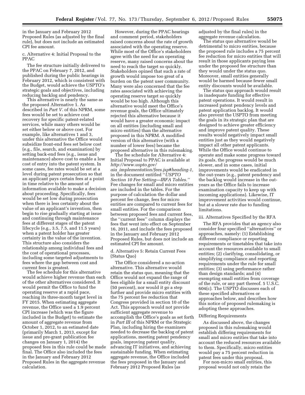in the January and February 2012 Proposed Rules (as adjusted by the final rule), but does not include an estimated CPI fee amount.

c. Alternative 4: Initial Proposal to the PPAC

The fee structure initially delivered to the PPAC on February 7, 2012, and published during the public hearings in February 2012, which is consistent with the Budget, would achieve the USPTO's strategic goals and objectives, including reducing backlog and pendency.

This alternative is nearly the same as the proposed Alternative 1. As described in *Part V.* of this NPRM, some fees would be set to achieve cost recovery for specific patent-related services, while many others would be set either below or above cost. For example, like alternatives 1 and 3, under this alternative the Office would subsidize front-end fees set below cost (e.g., file, search, and examination) by setting back-end fees (e.g., issue and maintenance) above cost to enable a low cost of entry into the patent system. In some cases, fee rates would be set at a level during patent prosecution so that an applicant pays certain fees at a point in time relative to the amount of information available to make a decision about proceeding. Specifically, fees would be set low during prosecution when there is less certainty about the value of an applicant's invention, then begin to rise gradually starting at issue and continuing through maintenance fees at different stages of the patent lifecycle (e.g., 3.5, 7.5, and 11.5 years) when a patent holder has greater certainty in the value of the invention. This structure also considers the relationship among individual fees and the cost of operational processes, including some targeted adjustments to fees where the gap between cost and current fees is greatest.

The fee schedule for this alternative would achieve higher revenue than each of the other alternatives considered. It would permit the Office to fund the operating reserve at a rapid pace, reaching its three-month target level in FY 2015. When estimating aggregate revenue, the Office used a 1.9 percent CPI increase (which was the figure included in the Budget) to estimate the amount of aggregate revenue from October 1, 2012, to an estimated date (primarily March 1, 2013, except for issue and pre-grant publication fee changes on January 1, 2014) the proposed fees in this rule could be made final. The Office also included the fees in the January and February 2012 Proposed Rules in the aggregate revenue calculation.

However, during the PPAC hearings and comment period, stakeholders raised concerns about the rate of growth associated with the operating reserve. While most of the Office's stakeholders agree with the need for an operating reserve, many raised concerns about the need to reach the target so quickly. Stakeholders opined that such a rate of growth would impose too great of a burden on the patent user community. Many were also concerned that the fee rates associated with achieving the operating reserve target so quickly would be too high. Although this alternative would meet the Office's revenue goals, the Office ultimately rejected this alternative because it would have a greater economic impact on all entities (including small and micro entities) than the alternative proposed in this NPRM. A modified version of this alternative (with a number of lower fees) became the proposed alternative in this rulemaking.

The fee schedule for Alternative 4: Initial Proposal to PPAC is available at *[http://www.uspto.gov/](http://www.uspto.gov/aia_implementation/fees.jsp#heading-1)  aia*\_*[implementation/fees.jsp#heading-1,](http://www.uspto.gov/aia_implementation/fees.jsp#heading-1)*  in the document entitled ''*USPTO Section 10 Fee Setting—IRFA Tables.''*  Fee changes for small and micro entities are included in the tables. For the purpose of calculation the dollar and percent fee change, fees for micro entities are compared to current fees for small entities. For the comparison between proposed fees and current fees, the ''current fees'' column displays the fees that went into effect on September 16, 2011, and include the fees proposed in the January and February 2012 Proposed Rules, but does not include an estimated CPI fee amount.

d. Alternative 5: Retain Current Fees (Status Quo)

The Office considered a no-action alternative. This alternative would retain the status quo, meaning that the Office would not expand the range of fees eligible for a small entity discount (50 percent), nor would it go a step further and provide micro entities with the 75 percent fee reduction that Congress provided in section 10 of the Act. This approach would not provide sufficient aggregate revenue to accomplish the Office's goals as set forth in *Part III* of this NPRM or the Strategic Plan, including hiring the examiners needed to decrease the backlog of patent applications, meeting patent pendency goals, improving patent quality, advancing IT initiatives, and achieving sustainable funding. When estimating aggregate revenue, the Office included the fees proposed in the January and February 2012 Proposed Rules (as

adjusted by the final rules) in the aggregate revenue calculation.

The status quo alternative would be detrimental to micro entities, because the proposed rule includes a 75 percent fee reduction for micro entities that will result in those applicants paying less under the proposed fee structure than they would under the status quo. Moreover, small entities generally would be harmed because fewer small entity discounts would be available.

The status quo approach would result in inadequate funding for effective patent operations. It would result in increased patent pendency levels and patent application backlog. It would also prevent the USPTO from meeting the goals in its strategic plan that are designed to achieve greater efficiency and improve patent quality. These results would negatively impact small entities just as they would negatively impact all other patent applicants. While the Office would continue to operate and make some progress toward its goals, the progress would be much slower, and in some cases, initial improvements would be eradicated in the out-years (e.g., patent pendency and the backlog would increase in the outyears as the Office fails to increase examination capacity to keep up with incoming applications). Likewise, IT improvement activities would continue, but at a slower rate due to funding limitations.

#### iii. Alternatives Specified by the RFA

The RFA provides that an agency also consider four specified ''alternatives'' or approaches, namely: (1) Establishing different compliance or reporting requirements or timetables that take into account the resources available to small entities; (2) clarifying, consolidating, or simplifying compliance and reporting requirements under the rule for small entities; (3) using performance rather than design standards; and (4) exempting small entities from coverage of the rule, or any part thereof. 5 U.S.C. 604(c). The USPTO discusses each of these specified alternatives or approaches below, and describes how this notice of proposed rulemaking is adopting these approaches.

#### Differing Requirements

As discussed above, the changes proposed in this rulemaking would establish differing requirements for small and micro entities that take into account the reduced resources available to them. Specifically, micro entities would pay a 75 percent reduction in patent fees under this proposal.

For non-micro small entities, this proposal would not only retain the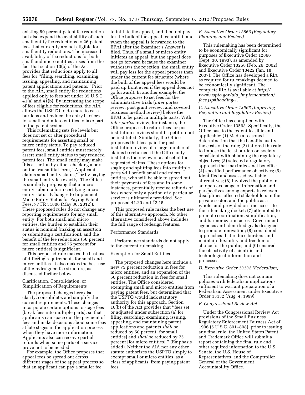existing 50 percent patent fee reduction but also expand the availability of such small entity fee reductions to 26 patent fees that currently are not eligible for small entity reductions. The increased availability of fee reductions for both small and micro entities arises from the fact that section 10(b) of the Act provides that reductions apply to all fees for ''filing, searching, examining, issuing, appealing, and maintaining patent applications and patents.'' Prior to the AIA, small entity fee reductions applied only to fees set under 35 U.S.C. 41(a) and 41(b). By increasing the scope of fees eligible for reductions, the AIA allows the USPTO to do more to ease burdens and reduce the entry barriers for small and micro entities to take part in the patent system.

This rulemaking sets fee levels but does not set or alter procedural requirements for asserting small or micro entity status. To pay reduced patent fees, small entities must merely assert small entity status to pay reduced patent fees. The small entity may make this assertion by either checking a box on the transmittal form, ''Applicant claims small entity status,'' or by paying the small entity fee exactly. The Office is similarly proposing that a micro entity submit a form certifying micro entity status. (Changes to Implement Micro Entity Status for Paying Patent Fees, 77 FR 31806 (May 30, 2012)). These proposed rules do not change any reporting requirements for any small entity. For both small and micro entities, the burden to establish their status is nominal (making an assertion or submitting a certification), and the benefit of the fee reductions (50 percent for small entities and 75 percent for micro entities) is significant.

This proposed rule makes the best use of differing requirements for small and micro entities. It also makes the best use of the redesigned fee structure, as discussed further below.

Clarification, Consolidation, or Simplification of Requirements

The proposed changes here also clarify, consolidate, and simplify the current requirements. These changes incorporate certain options to stage fees (break fees into multiple parts), so that applicants can space out the payment of fees and make decisions about some fees at late stages in the application process when they have more information. Applicants also can receive partial refunds when some parts of a service prove not to be needed.

For example, the Office proposes that appeal fees be spread out across different stages of the appeal process so that an applicant can pay a smaller fee

to initiate the appeal, and then not pay for the bulk of the appeal fee until if and when the appeal is forwarded to the BPAI after the Examiner's Answer is filed. Thus, if a small or micro entity initiates an appeal, but the appeal does not go forward because the examiner withdraws the rejection, the small entity will pay less for the appeal process than under the current fee structure (where the bulk of the appeal fees would be paid up front even if the appeal does not go forward). In another example, the Office proposes to set fees for the administrative trials (*inter partes*  review, post grant review, and covered business method review) before the BPAI to be paid in multiple parts. With *inter partes* review, for instance, the Office proposes to return fees for postinstitution services should a petition not be instituted. Similarly, the Office proposes that fees paid for postinstitution review of a large number of claims be returned if the Office only institutes the review of a subset of the requested claims. These options for staging and splitting fees into multiple parts will benefit small and micro entities, who will be able to spread out their payments of fees and in some instances, potentially receive refunds of fees where only a portion of a particular service is ultimately provided. *See*  proposed 41.20 and 42.15.

This proposed rule makes the best use of this alternative approach. No other alternative considered above includes the full range of redesign features.

#### Performance Standards

Performance standards do not apply to the current rulemaking.

#### Exemption for Small Entities

The proposed changes here include a new 75 percent reduction in fees for micro entities, and an expansion of the 50 percent reduction in fees for small entities. The Office considered exempting small and micro entities from paying patent fees, but determined that the USPTO would lack statutory authority for this approach. Section 10(b) of the Act provides that ''fees set or adjusted under subsection (a) for filing, searching, examining, issuing, appealing, and maintaining patent applications and patents *shall* be reduced by 50 percent [for small entities] and *shall* be reduced by 75 percent [for micro entities].'' (Emphasis added). Neither the AIA nor any other statute authorizes the USPTO simply to exempt small or micro entities, as a class of applicants, from paying patent fees.

#### *B. Executive Order 12866 (Regulatory Planning and Review)*

This rulemaking has been determined to be economically significant for purposes of Executive Order 12866 (Sept. 30, 1993), as amended by Executive Order 13258 (Feb. 26, 2002) and Executive Order 13422 (Jan. 18, 2007). The Office has developed a RIA as required for rulemakings deemed to be economically significant. The complete RIA is available at *[http://](http://www.uspto.gov/aia_implementation/fees.jsp#heading-1) [www.uspto.gov/aia](http://www.uspto.gov/aia_implementation/fees.jsp#heading-1)*\_*implementation/ [fees.jsp#heading-1.](http://www.uspto.gov/aia_implementation/fees.jsp#heading-1)* 

#### *C. Executive Order 13563 (Improving Regulation and Regulatory Review)*

The Office has complied with Executive Order 13563. Specifically, the Office has, to the extent feasible and applicable: (1) Made a reasoned determination that the benefits justify the costs of the rule; (2) tailored the rule to impose the least burden on society consistent with obtaining the regulatory objectives; (3) selected a regulatory approach that maximizes net benefits; (4) specified performance objectives; (5) identified and assessed available alternatives; (6) involved the public in an open exchange of information and perspectives among experts in relevant disciplines, affected stakeholders in the private sector, and the public as a whole, and provided on-line access to the rulemaking docket; (7) attempted to promote coordination, simplification, and harmonization across Government agencies and identified goals designed to promote innovation; (8) considered approaches that reduce burdens and maintain flexibility and freedom of choice for the public; and (9) ensured the objectivity of scientific and technological information and processes.

#### *D. Executive Order 13132 (Federalism)*

This rulemaking does not contain policies with federalism implications sufficient to warrant preparation of a Federalism Assessment under Executive Order 13132 (Aug. 4, 1999).

#### *E. Congressional Review Act*

Under the Congressional Review Act provisions of the Small Business Regulatory Enforcement Fairness Act of 1996 (5 U.S.C. 801–808), prior to issuing any final rule, the United States Patent and Trademark Office will submit a report containing the final rule and other required information to the U.S. Senate, the U.S. House of Representatives, and the Comptroller General of the Government Accountability Office.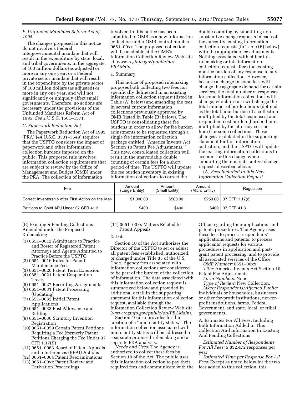#### *F. Unfunded Mandates Reform Act of 1995*

The changes proposed in this notice do not involve a Federal intergovernmental mandate that will result in the expenditure by state, local, and tribal governments, in the aggregate, of 100 million dollars (as adjusted) or more in any one year, or a Federal private sector mandate that will result in the expenditure by the private sector of 100 million dollars (as adjusted) or more in any one year, and will not significantly or uniquely affect small governments. Therefore, no actions are necessary under the provisions of the Unfunded Mandates Reform Act of 1995. *See* 2 U.S.C. 1501–1571.

#### *G. Paperwork Reduction Act*

The Paperwork Reduction Act of 1995 (PRA) (44 U.S.C. 3501–3549) requires that the USPTO considers the impact of paperwork and other information collection burdens imposed on the public. This proposed rule involves information collection requirements that are subject to review by the Office of Management and Budget (OMB) under the PRA. The collection of information

involved in this notice has been submitted to OMB as a new information collection under OMB control number 0651–00xx. The proposed collection will be available at the OMB's Information Collection Review Web site at: *[www.reginfo.gov/public/do/](http://www.reginfo.gov/public/do/PRAMain) [PRAMain.](http://www.reginfo.gov/public/do/PRAMain)* 

#### 1. Summary

This notice of proposed rulemaking proposes both collecting two fees not specifically delineated in an existing information collection request (listed in Table (A) below) and amending the fees in several current information collections previously approved by OMB (listed in Table (B) below). The USPTO is consolidating these fee burdens in order to allow for fee burden adjustments to be requested through a single fee information collection package entitled ''America Invents Act Section 10 Patent Fee Adjustments.'' This new, consolidated collection will result in the unavoidable double counting of certain fees for a short period of time. The USPTO will update the fee burden inventory in existing information collections to correct the

double counting by submitting nonsubstantive change requests in each of the currently existing information collection requests (in Table (B) below) with the appropriate fee adjustments. Nothing associated with either this rulemaking or this information collection request alters the existing non-fee burden of any response to any information collection. However, because a change in some fees will change the aggregate demand for certain services, the total number of responses for some information collections will change, which in turn will change the total number of burden hours (defined as the total hour burden of a collection multiplied by the total responses) and respondent cost burden (burden hours multiplied by the attorney cost per hour) for some collections. These changes are detailed in the supporting statement for this information collection, and the USPTO will update the existing information collections to account for this change when submitting the non-substantive change requests described above.

(A) *Fees Included in this New Information Collection Request* 

| Fee                                                         | Amount<br>(Large Entity) | Amount<br>(Small Entity) | Amount<br>(Micro Entity) | Regulation                                      |
|-------------------------------------------------------------|--------------------------|--------------------------|--------------------------|-------------------------------------------------|
| Correct Inventorship after First Action on the Mer-<br>its. | \$1,000.00               | \$500.00                 |                          | $$250.00 \mid 37 \text{ CFR } 1.17 \text{ (d)}$ |
| Petitions to Chief APJ Under 37 CFR 41.3                    | \$400                    | \$400                    |                          | $$400 \mid 37$ CFR 41.3                         |

(B) Existing & Pending Collections Amended under the Proposed Rulemaking

- (1) 0651–0012 Admittance to Practice and Roster of Registered Patent Attorneys and Agents Admitted to Practice Before the USPTO
- (2) 0651–0016 Rules for Patent Maintenance Fees
- (3) 0651–0020 Patent Term Extension
- (4) 0651–0021 Patent Cooperation Treaty
- (5) 0651–0027 Recording Assignments
- (6) 0651–0031 Patent Processing (Updating)
- (7) 0651–0032 Initial Patent Applications
- (8) 0651–0033 Post Allowance and Refiling
- (9) 0651–0036 Statutory Invention Registration
- (10) 0651–0059 Certain Patent Petitions Requiring a Fee (formerly Patent Petitions Charging the Fee Under 37 CFR 1.17(f))
- (11) 0651–0063 Board of Patent Appeals and Interferences (BPAI) Actions
- (12) 0651–0064 Patent Reexaminations
- (13) 0651–00xx Patent Review and Derivation Proceedings

(14) 0651–00xx Matters Related to Patent Appeals

#### 2. Data

Section 10 of the Act authorizes the Director of the USPTO to set or adjust all patent fees established, authorized, or charged under Title 35 of the U.S. Code. Agency fees associated with information collections are considered to be part of the burden of the collection of information. The data associated with this information collection request is summarized below and provided in additional detail in the supporting statement for this information collection request, available through the Information Collection Review Web site (*[www.reginfo.gov/public/do/PRAMain](http://www.reginfo.gov/public/do/PRAMain)*).

Section 10 also provides for the creation of a ''micro entity status.'' The information collection associated with micro entity status will be addressed in a separate proposed rulemaking and a separate PRA analysis.

*Needs and Uses:* The Agency is authorized to collect these fees by Section 10 of the Act. The public uses this information collection to pay their required fees and communicate with the

Office regarding their applications and patents procedures. The Agency uses these fees to process respondents' applications and patents, to process applicants' requests for various procedures in application and postgrant patent processing, and to provide all associated services of the Office.

*OMB Number:* 0651–00xx.

*Title:* America Invents Act Section 10 Patent Fee Adjustments.

*Form Numbers:* None.

*Type of Review:* New Collection. *Likely Respondents/Affected Public:*  Individuals or households, businesses or other for-profit institutions, not-forprofit institutions, farms, Federal

Government, and state, local, or tribal governments.

A. Estimates For All Fees, Including Both Information Added In This Collection And Information In Existing And Pending Collections

*Estimated Number of Respondents For All Fees:* 5,832,472 responses per year.

*Estimated Time per Response For All Fees:* Except as noted below for the two fees added to this collection, this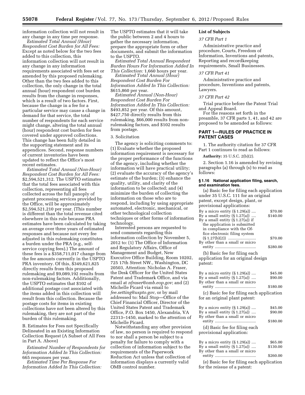information collection will not result in any change in any time per response.

*Estimated Total Annual (Hour) Respondent Cost Burden for All Fees:*  Except as noted below for the two fees added to this collection, this information collection will not result in any change in any information requirements associated with fees set or amended by this proposed rulemaking. Other than the two fees added to this collection, the only change in the total annual (hour) respondent cost burden results from the change in responses, which is a result of two factors. First, because the change in a fee for a particular service may cause a change in demand for that service, the total number of respondents for each service might change, altering the total annual (hour) respondent cost burden for fees covered under approved collections. This change has been fully detailed in the supporting statement and its appendices. Second, response numbers of current inventories have been updated to reflect the Office's most recent estimates.

*Estimated Total Annual (Non-Hour) Respondent Cost Burden for All Fees:*  \$2,594,521,312. The USPTO estimates that the total fees associated with this collection, representing all fees collected across the full panoply of patent processing services provided by the Office, will be approximately \$2,594,521,210 per year. (This number is different than the total revenue cited elsewhere in this rule because PRA estimates have been calculated by taking an average over three years of estimated responses and because not every fee adjusted in this rulemaking constitutes a burden under the PRA (e.g., selfservice copying fees).) The amount of these fees is a \$358,711,017 change from the fee amounts currently in the USPTO PRA inventory. Of this, \$349,621,825 directly results from this proposed rulemaking and \$9,089,192 results from non-rulemaking factors. Additionally, the USPTO estimates that \$102 of additional postage cost associated with the items added in this collection will result from this collection. Because the postage costs for items in existing collections have not been altered by this rulemaking, they are not part of the burden of this rulemaking.

B. Estimates for Fees not Specifically Delineated in an Existing Information Collection Request (A Subset of All Fees in Part A. Above)

*Estimated Number of Respondents for Information Added In This Collection:*  665 responses per year.

*Estimated Time Per Response For Information Added In This Collection:*  The USPTO estimates that it will take the public between 2 and 4 hours to gather the necessary information, prepare the appropriate form or other documents, and submit the information to the USPTO.

*Estimated Total Annual Respondent Burden Hours For Information Added In This Collection:* 1,660 hours per year.

*Estimated Total Annual (Hour) Respondent Cost Burden For Information Added In This Collection:*  \$615,860 per year.

*Estimated Annual (Non-Hour) Respondent Cost Burden For Information Added In This Collection:*  \$493,852 per year. Of this amount, \$427,750 directly results from this rulemaking, \$66,000 results from nonrulemaking factors, and \$102 results from postage.

#### 3. Solicitation

The agency is soliciting comments to: (1) Evaluate whether the proposed information requirement is necessary for the proper performance of the functions of the agency, including whether the information will have practical utility; (2) evaluate the accuracy of the agency's estimate of the burden; (3) enhance the quality, utility, and clarity of the information to be collected; and (4) minimize the burden of collecting the information on those who are to respond, including by using appropriate automated, electronic, mechanical, or other technological collection techniques or other forms of information technology.

Interested persons are requested to send comments regarding this information collection by November 5, 2012 to: (1) The Office of Information and Regulatory Affairs, Office of Management and Budget, New Executive Office Building, Room 10202, 725 17th Street NW., Washington, DC 20503, Attention: Nicholas A. Fraser, the Desk Officer for the United States Patent and Trademark Office, and via email at *[nfraser@omb.eop.gov](mailto:nfraser@omb.eop.gov)*; and (2) Michelle Picard via email to *[fee.setting@uspto.gov](mailto:fee.setting@uspto.gov)*, or by mail addressed to: Mail Stop—Office of the Chief Financial Officer, Director of the United States Patent and Trademark Office, P.O. Box 1450, Alexandria, VA 22313–1450, marked to the attention of Michelle Picard.

Notwithstanding any other provision of law, no person is required to respond to nor shall a person be subject to a penalty for failure to comply with a collection of information subject to the requirements of the Paperwork Reduction Act unless that collection of information displays a currently valid OMB control number.

#### **List of Subjects**

#### *37 CFR Part 1*

Administrative practice and procedure, Courts, Freedom of Information, Inventions and patents, Reporting and recordkeeping requirements, Small Businesses.

#### *37 CFR Part 41*

Administrative practice and procedure, Inventions and patents, Lawyers.

#### *37 CFR Part 42*

Trial practice before the Patent Trial and Appeal Board.

For the reasons set forth in the preamble, 37 CFR parts 1, 41, and 42 are proposed to be amended as follows:

#### **PART 1—RULES OF PRACTICE IN PATENT CASES**

1. The authority citation for 37 CFR Part 1 continues to read as follows:

**Authority:** 35 U.S.C. 2(b)(2).

2. Section 1.16 is amended by revising paragraphs (a) through (s) to read as follows:

#### **§ 1.16 National application filing, search, and examination fees.**

(a) Basic fee for filing each application under 35 U.S.C. 111 for an original patent, except design, plant, or provisional applications: By a micro entity (§ 1.29(a)) .... \$70.00 By a small entity (§ 1.27(a)) .... \$140.00 By a small entity  $(S 1.27(a))$  if the application is submitted in compliance with the Office electronic filing system (§ 1.27(b)(2)) ......................... \$70.00 By other than a small or micro entity ..................................... \$280.00

(b) Basic fee for filing each application for an original design patent:

| By a micro entity $(\S 1.29(a))$<br>By a small entity $(\S 1.27(a))$                                   | \$45.00<br>\$90.00 |
|--------------------------------------------------------------------------------------------------------|--------------------|
| By other than a small or micro                                                                         | \$180.00           |
| (c) Basic fee for filing each application<br>for an original plant patent:                             |                    |
| By a micro entity $(\S 1.29(a))$<br>By a small entity $(\S 1.27(a))$<br>By other than a small or micro | \$45.00<br>\$90.00 |
| (d) Basic fee for filing each<br>provisional application:                                              | \$180.00           |
| By a micro entity $(\S 1.29(a))$                                                                       | \$65.00            |
| By a small entity $(\S 1.27(a))$<br>By other than a small or micro                                     | \$130.00           |
| $(1)$ D $(2)$ $(2)$ $(3)$ $(4)$ $(5)$ $(6)$ $(7)$ $(8)$ $(8)$ $(9)$ $(1)$ $(1)$ $(1)$ $(1)$ $(1)$      | \$260.00           |

(e) Basic fee for filing each application for the reissue of a patent: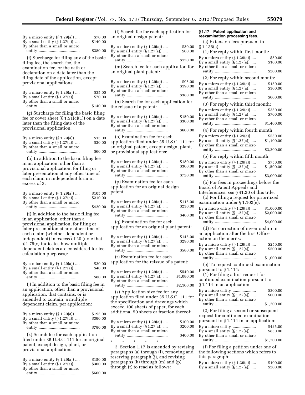|                                                                                             |                     | (1) pearch lee to.                           |
|---------------------------------------------------------------------------------------------|---------------------|----------------------------------------------|
| By a micro entity $(\S 1.29(a))$<br>By a small entity $(\S 1.27(a))$                        | \$70.00<br>\$140.00 | an original design                           |
| By other than a small or micro                                                              |                     | By a micro entity (§                         |
|                                                                                             | \$280.00            | By a small entity (§<br>By other than a sma  |
| (f) Surcharge for filing any of the basic                                                   |                     | entity                                       |
| filing fee, the search fee, the<br>examination fee, or the oath or                          |                     | (m) Search fee f                             |
| declaration on a date later than the                                                        |                     | an original plant p                          |
| filing date of the application, except                                                      |                     |                                              |
| provisional applications:                                                                   |                     | By a micro entity (§<br>By a small entity (§ |
| By a micro entity $(\S 1.29(a))$                                                            | \$35.00             | By other than a sma                          |
| By a small entity $(\S 1.27(a))$                                                            | \$70.00             | entity                                       |
| By other than a small or micro                                                              | \$140.00            | (n) Search fee fo                            |
|                                                                                             |                     | the reissue of a pa                          |
| (g) Surcharge for filing the basic filing<br>fee or cover sheet $(\S 1.51(c)(1))$ on a date |                     | By a micro entity (§                         |
| later than the filing date of the                                                           |                     | By a small entity (§                         |
| provisional application:                                                                    |                     | By other than a sma<br>entity                |
| By a micro entity $(\S 1.29(a))$                                                            |                     | (o) Examination                              |
| By a small entity $(\S 1.27(a))$                                                            | \$15.00<br>\$30.00  | application filed u                          |
| By other than a small or micro                                                              |                     | an original patent,                          |
|                                                                                             | \$60.00             | or provisional app                           |
| (h) In addition to the basic filing fee                                                     |                     | By a micro entity (§                         |
| in an application, other than a<br>provisional application, for filing or                   |                     | By a small entity (§                         |
| later presentation at any other time of                                                     |                     | By other than a sma<br>entity                |
| each claim in independent form in                                                           |                     | (p) Examination                              |
| excess of 3:                                                                                |                     | application for an                           |
| By a micro entity $(\S 1.29(a))$                                                            | \$105.00            | patent:                                      |
| By a small entity $(\S 1.27(a))$                                                            | \$210.00            | By a micro entity (§                         |
| By other than a small or micro                                                              | \$420.00            | By a small entity (§                         |
| (i) In addition to the basic filing fee                                                     |                     | By other than a sma                          |
| in an application, other than a                                                             |                     | entity                                       |
| provisional application, for filing or                                                      |                     | (q) Examination<br>application for an        |
| later presentation at any other time of<br>each claim (whether dependent or                 |                     |                                              |
| independent) in excess of 20 (note that                                                     |                     | By a micro entity (§                         |
| § 1.75(c) indicates how multiple                                                            |                     | By a small entity (§<br>By other than a sma  |
| dependent claims are considered for fee                                                     |                     | entity                                       |
| calculation purposes):                                                                      |                     | (r) Examination                              |
| By a micro entity $(\S 1.29(a))$                                                            | \$20.00             | application for the                          |
| By a small entity $(\S 1.27(a))$<br>By other than a small or micro                          | \$40.00             | By a micro entity (§                         |
|                                                                                             | \$80.00             | By a small entity (§                         |
| (j) In addition to the basic filing fee in                                                  |                     | By other than a sma                          |
| an application, other than a provisional                                                    |                     | entity                                       |
| application, that contains, or is                                                           |                     | (s) Application<br>application filed u       |
| amended to contain, a multiple<br>dependent claim, per application:                         |                     | the specification a                          |
|                                                                                             |                     | exceed 100 sheets                            |
| By a micro entity $(\S 1.29(a))$                                                            | \$195.00            | additional 50 shee                           |
| By a small entity $(\S 1.27(a))$                                                            | \$390.00            | By a micro entity (§                         |
| By other than a small or micro                                                              | \$780.00            | By a small entity (§                         |
| (k) Search fee for each application                                                         |                     | By other than a sma<br>entity ………………         |
| filed under 35 U.S.C. 111 for an original                                                   |                     | $\ast$<br>÷<br>$\star$                       |
| patent, except design, plant, or                                                            |                     | 3. Section 1.17 i                            |
| provisional applications:                                                                   |                     | naragranhe (a) thr                           |

| By a micro entity $(\S 1.29(a))$ | \$150.00 |
|----------------------------------|----------|
| By a small entity $(\S 1.27(a))$ | \$300.00 |
| By other than a small or micro   |          |
|                                  | \$600.00 |

(l) Search fee for each application for patent:  $\begin{array}{c} 1.29(a) \dots \\ 1.27(a) \dots \end{array}$  \$30.00  $1.27(a)$  .... all or micro entity ..................................... \$120.00

for each application for batent:

| By a micro entity $(\S 1.29(a))$<br>By a small entity $(\S 1.27(a))$                                                                                   | \$95.00<br>\$190.00    |
|--------------------------------------------------------------------------------------------------------------------------------------------------------|------------------------|
| By other than a small or micro                                                                                                                         | \$380.00               |
| (n) Search fee for each application for<br>the reissue of a patent:                                                                                    |                        |
| By a micro entity $(\S 1.29(a))$<br>By a small entity $(\S 1.27(a))$<br>By other than a small or micro                                                 | \$150.00<br>\$300.00   |
|                                                                                                                                                        | \$600.00               |
| (o) Examination fee for each<br>application filed under 35 U.S.C. 111 for<br>an original patent, except design, plant,<br>or provisional applications: |                        |
| By a micro entity $(\S 1.29(a))$<br>By a small entity $(\S 1.27(a))$<br>By other than a small or micro                                                 | \$180.00<br>\$360.00   |
|                                                                                                                                                        | \$720.00               |
| (p) Examination fee for each<br>application for an original design<br>patent:                                                                          |                        |
| By a micro entity $(\S 1.29(a))$                                                                                                                       | \$115.00               |
| By a small entity $(\S 1.27(a))$<br>By other than a small or micro                                                                                     | \$230.00<br>\$460.00   |
| (q) Examination fee for each<br>application for an original plant patent:                                                                              |                        |
| By a micro entity $(\S 1.29(a))$<br>By a small entity $(\S 1.27(a))$<br>By other than a small or micro                                                 | \$145.00<br>\$290.00   |
| (r) Examination fee for each                                                                                                                           | \$580.00               |
| application for the reissue of a patent:                                                                                                               |                        |
| By a micro entity $(\S 1.29(a))$<br>By a small entity $(\S 1.27(a))$<br>By other than a small or micro                                                 | \$540.00<br>\$1,080.00 |
|                                                                                                                                                        | \$2,160.00             |
| (s) Application size fee for any<br>application filed under 35 U.S.C. 111 for<br>the specification and drawings which                                  |                        |
| exceed 100 sheets of paper, for each<br>additional 50 sheets or fraction thereof:                                                                      |                        |
| By a micro entity $(\S 1.29(a))$<br>By a small entity $(\S 1.27(a))$                                                                                   | \$100.00<br>\$200.00   |
| By other than a small or micro                                                                                                                         | \$400.00               |
| $\star$<br>$\star$<br>$\star$<br>$\star$<br>$\star$<br>3. Section 1.17 is amended by revising<br>paragraphs (a) through (i), removing and              |                        |

paragraphs (a) through (i), removing and reserving paragraph (j), and revising paragraphs (k) through (m) and (p) through (t) to read as follows:

#### By a micro entity (§ 1.29(a)) .... \$150.00<br>By a small entity (§ 1.27(a)) .... \$300.00 By a small entity  $(\S 1.27(a))$  .... By other than a small or micro entity ..................................... \$600.00 (3) For reply within third month: By a micro entity (§ 1.29(a)) .... \$350.00<br>By a small entity (§ 1.27(a)) .... \$700.00 By a small entity  $(\S 1.27(a))$  .... By other than a small or micro entity ..................................... \$1,400.00 (4) For reply within fourth month: By a micro entity  $(\S 1.29(a))$  ....  $\S 550.00$ <br>By a small entity  $(\S 1.27(a))$  ....  $\S 1,100.00$ By a small entity  $(\S 1.27(a))$  .... By other than a small or micro entity ..................................... \$2,200.00 (5) For reply within fifth month: By a micro entity (§ 1.29(a)) .... \$750.00<br>By a small entity (§ 1.27(a)) .... \$1,500.00 By a small entity  $(\S 1.27(a))$  ....

**§ 1.17 Patent application and reexamination processing fees.**  (a) Extension fees pursuant to

By a small entity  $(\S 1.27(a))$  .... By other than a small or micro

(1) For reply within first month: By a micro entity (§ 1.29(a)) .... \$50.00<br>By a small entity (§ 1.27(a)) .... \$100.00

entity ..................................... \$200.00 (2) For reply within second month:

§ 1.136(a):

By other than a small or micro entity ..................................... \$3,000.00

(b) For fees in proceedings before the Board of Patent Appeals and

Interferences, *see* § 41.20 of this title. (c) For filing a request for prioritized examination under § 1.102(e):

| By a micro entity $(\S 1.29(a))$<br>By a small entity $(\S 1.27(a))$<br>By other than a small or micro                                                                    | \$1,000.00<br>\$2,000.00<br>\$4,000.00 |
|---------------------------------------------------------------------------------------------------------------------------------------------------------------------------|----------------------------------------|
| (d) For correction of inventorship in<br>an application after the first Office<br>action on the merits:                                                                   |                                        |
| By a micro entity $(\S 1.29(a))$<br>By a small entity $(\S 1.27(a))$<br>By other than a small or micro                                                                    | \$250.00<br>\$500.00                   |
| (e) To request continued examination<br>pursuant to $\S 1.114$ :<br>(1) For filing a first request for<br>continued examination pursuant to<br>§ 1.114 in an application: | \$1,000.00                             |
| By a micro entity<br>By a small entity $(\S 1.27(a))$<br>By other than a small or micro                                                                                   | \$300.00<br>\$600.00<br>\$1,200.00     |
| (2) For filing a second or subsequent<br>request for continued examination<br>pursuant to §1.114 in an application:                                                       |                                        |
| By a micro entity<br>By a small entity $(\S 1.27(a))$<br>By other than a small or micro                                                                                   | \$425.00<br>\$850.00                   |

entity ..................................... \$1,700.00

(f) For filing a petition under one of the following sections which refers to this paragraph:

|  | By a micro entity (§ 1.29(a))    | \$100.00 |
|--|----------------------------------|----------|
|  | By a small entity (§ 1.27(a)) …. | \$200.00 |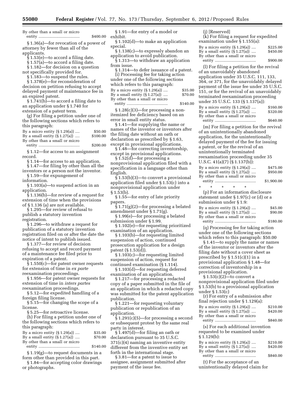By other than a small or micro entity ..................................... \$400.00

§ 1.36(a)—for revocation of a power of attorney by fewer than all of the applicants.

§ 1.53(e)—to accord a filing date.

§ 1.57(a)—to accord a filing date.

§ 1.182—for decision on a question not specifically provided for.

§ 1.183—to suspend the rules.

§ 1.378(e)—for reconsideration of decision on petition refusing to accept delayed payment of maintenance fee in an expired patent.

§ 1.741(b)—to accord a filing date to an application under § 1.740 for extension of a patent term.

(g) For filing a petition under one of the following sections which refers to this paragraph:

| By a micro entity $(\S 1.29(a))$ | \$50.00  |
|----------------------------------|----------|
| By a small entity $(\S 1.27(a))$ | \$100.00 |
| By other than a small or micro   |          |
|                                  | \$200.00 |

§ 1.12—for access to an assignment

record. § 1.14—for access to an application.

§ 1.47—for filing by other than all the inventors or a person not the inventor. § 1.59—for expungement of

information.

§ 1.103(a)—to suspend action in an application.

§ 1.136(b)—for review of a request for extension of time when the provisions of § 1.136 (a) are not available.

§ 1.295—for review of refusal to publish a statutory invention

registration. § 1.296—to withdraw a request for publication of a statutory invention

registration filed on or after the date the notice of intent to publish issued.

§ 1.377—for review of decision refusing to accept and record payment of a maintenance fee filed prior to expiration of a patent.

§ 1.550(c)—for patent owner requests for extension of time in *ex parte*  reexamination proceedings.

§ 1.956—for patent owner requests for extension of time in *inters partes*  reexamination proceedings.

§ 5.12—for expedited handling of a foreign filing license.

§ 5.15—for changing the scope of a license.

§ 5.25—for retroactive license.

(h) For filing a petition under one of the following sections which refers to this paragraph:

| By a micro entity $(\S 1.29(a))$ | \$35.00  |
|----------------------------------|----------|
| By a small entity $(\S 1.27(a))$ | \$70.00  |
| By other than a small or micro   |          |
|                                  | \$140.00 |

§ 1.19(g)—to request documents in a form other than provided in this part.

§ 1.84—for accepting color drawings or photographs.

§ 1.91—for entry of a model or exhibit.

§ 1.102(d)—to make an application special.

§ 1.138(c)—to expressly abandon an application to avoid publication.

§ 1.313—to withdraw an application from issue.

§ 1.314—to defer issuance of a patent. (i) Processing fee for taking action under one of the following sections

| under one of the following sections |          |
|-------------------------------------|----------|
| which refers to this paragraph:     |          |
| By a micro entity $(\S 1.29(a))$    | \$35.00  |
| By a small entity $(\S 1.27(a))$    | \$70.00  |
| By other than a small or micro      |          |
|                                     | \$140.00 |

§ 1.28(c)(3)—for processing a nonitemized fee deficiency based on an error in small entity status.

§ 1.41—for supplying the name or names of the inventor or inventors after the filing date without an oath or declaration as prescribed by § 1.63, except in provisional applications.

§ 1.48—for correcting inventorship, except in provisional applications.

§ 1.52(d)—for processing a nonprovisional application filed with a specification in a language other than English.

 $\overline{\S}$  1.53(b)(3)—to convert a provisional application filed under § 1.53(c) into a nonprovisional application under  $§ 1.53(b).$ 

§ 1.55—for entry of late priority papers.

 $\frac{2}{3}$  1.71(g)(2)—for processing a belated amendment under § 1.71(g).

§ 1.99(e)—for processing a belated submission under § 1.99.

§ 1.102(e)—for requesting prioritized examination of an application.

§ 1.103(b)—for requesting limited suspension of action, continued prosecution application for a design patent (§ 1.53(d)).

§ 1.103(c)—for requesting limited suspension of action, request for continued examination (§ 1.114).

§ 1.103(d)—for requesting deferred examination of an application.

§ 1.217—for processing a redacted copy of a paper submitted in the file of an application in which a redacted copy was submitted for the patent application publication.

§ 1.221—for requesting voluntary publication or republication of an application.

 $\S$  1.291(c)(5)—for processing a second or subsequent protest by the same real party in interest.

§ 1.497(d)—for filing an oath or declaration pursuant to 35 U.S.C. 371(c)(4) naming an inventive entity different from the inventive entity set forth in the international stage.

§ 3.81—for a patent to issue to assignee, assignment submitted after payment of the issue fee.

(j) [Reserved]

(k) For filing a request for expedited examination under § 1.155(a):

| By a micro entity (§ 1.29(a))    | \$225.00 |
|----------------------------------|----------|
| By a small entity $(\S 1.27(a))$ | \$450.00 |
| By other than a small or micro   |          |
|                                  | \$900.00 |

(l) For filing a petition for the revival of an unavoidably abandoned application under 35 U.S.C. 111, 133, 364, or 371, for the unavoidably delayed payment of the issue fee under 35 U.S.C. 151, or for the revival of an unavoidably terminated reexamination proceeding under 35 U.S.C. 133 (§ 1.137(a)): By a micro entity  $(\S 1.29(a))$  ....  $\S 160.00$ <br>By a small entity  $(\S 1.27(a))$  ....  $\S 320.00$ By a small entity  $(\S 1.27(a))$  .... By other than a small or micro entity ..................................... \$640.00

(m) For filing a petition for the revival of an unintentionally abandoned application, for the unintentionally delayed payment of the fee for issuing a patent, or for the revival of an unintentionally terminated reexamination proceeding under 35 U.S.C. 41(a)(7) (§ 1.137(b)): By a micro entity (§ 1.29(a)) .... \$475.00

| By a small entity $(\S 1.27(a))$ | \$950.00   |
|----------------------------------|------------|
| By other than a small or micro   |            |
|                                  | \$1,900.00 |

\* \* \* \* \*

(p) For an information disclosure statement under § 1.97(c) or (d) or a submission under § 1.9: By a micro entity (§ 1.29(a)) .... \$45.00<br>By a small entity (§ 1.27(a)) .... \$90.00 By a small entity  $(\S 1.27(a))$  .... By other than a small or micro entity ..................................... \$180.00

(q) Processing fee for taking action under one of the following sections which refers to this paragraph: \$50.00

§ 1.41—to supply the name or names of the inventor or inventors after the filing date without a cover sheet as prescribed by § 1.51(c)(1) in a provisional application § 1.48—for correction of inventorship in a provisional application.

§ 1.53(c)(2)—to convert a nonprovisional application filed under § 1.53(b) to a provisional application under § 1.53(c)

| (r) For entry of a submission after   |          |
|---------------------------------------|----------|
| final rejection under $\S 1.129(a)$ : |          |
| By a micro entity $(\S 1.29(a))$      | \$210.00 |
| By a small entity $(\S 1.27(a))$      | \$420.00 |
| By other than a small or micro        |          |
|                                       | \$840.00 |
| (s) For each additional invention     |          |

requested to be examined under § 1.129(b):

| By a micro entity $(\S 1.29(a))$ | \$210.00 |
|----------------------------------|----------|
| By a small entity $(\S 1.27(a))$ | \$420.00 |
| By other than a small or micro   |          |
|                                  | \$840.00 |
|                                  |          |

(t) For the acceptance of an unintentionally delayed claim for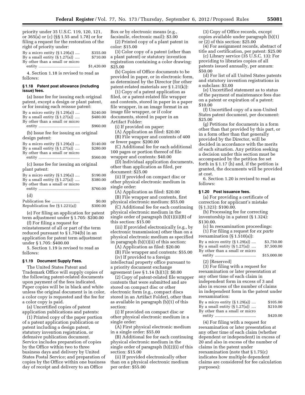priority under 35 U.S.C. 119, 120, 121, or 365(a) or (c) (§§ 1.55 and 1.78) or for filing a request for the restoration of the right of priority under:

| By a micro entity $(\S 1.29(a))$ | \$355.00   |
|----------------------------------|------------|
| By a small entity $(\S 1.27(a))$ | \$710.00   |
| By other than a small or micro   |            |
|                                  | \$1,420.00 |

4. Section 1.18 is revised to read as follows:

#### **§ 1.18 Patent post allowance (including issue) fees.**

(a) Issue fee for issuing each original patent, except a design or plant patent, or for issuing each reissue patent:

| By a micro entity $(\S 1.29(a))$ | \$240.00 |
|----------------------------------|----------|
| By a small entity $(\S 1.27(a))$ | \$480.00 |
| By other than a small or micro   |          |
|                                  | \$960.00 |
|                                  |          |

(b) Issue fee for issuing an original design patent:

| By a micro entity $(\S 1.29(a))$      | \$140.00 |
|---------------------------------------|----------|
| By a small entity $(\S 1.27(a))$      | \$280.00 |
| By other than a small or micro        |          |
|                                       | \$560.00 |
| (c) Issue fee for issuing an original |          |
| plant patent:                         |          |
| By a micro entity $(\S 1.29(a))$      | \$190.00 |
| By a small entity $(\S 1.27(a))$      | \$380.00 |
| By other than a small or micro        |          |
|                                       | \$760.00 |
| (d)                                   |          |
| Publication fee                       | \$0.00   |
| Republication fee (§ 1.221(a))        | \$300.00 |

(e) For filing an application for patent term adjustment under § 1.705: \$200.00 (f) For filing a request for

reinstatement of all or part of the term reduced pursuant to § 1.704(b) in an application for patent term adjustment under § 1.705: \$400.00

5. Section 1.19 is revised to read as follows:

#### **§ 1.19 Document Supply Fees.**

The United States Patent and Trademark Office will supply copies of the following patent-related documents upon payment of the fees indicated. Paper copies will be in black and white unless the original document is in color, a color copy is requested and the fee for a color copy is paid.

(a) Uncertified copies of patent application publications and patents:

(1) Printed copy of the paper portion of a patent application publication or patent including a design patent, statutory invention registration, or defensive publication document. Service includes preparation of copies by the Office within two to three business days and delivery by United States Postal Service; and preparation of copies by the Office within one business day of receipt and delivery to an Office

Box or by electronic means (e.g., facsimile, electronic mail): \$3.00 (2) Printed copy of a plant patent in

color: \$15.00

(3) Color copy of a patent (other than a plant patent) or statutory invention registration containing a color drawing: \$25.00

(b) Copies of Office documents to be provided in paper, or in electronic form, as determined by the Director (for other patent-related materials *see* § 1.21(k)):

(1) Copy of a patent application as filed, or a patent-related file wrapper and contents, stored in paper in a paper file wrapper, in an image format in an image file wrapper, or if color documents, stored in paper in an Artifact Folder:

(i) If provided on paper:

(A) Application as filed: \$20.00

(B) File wrapper and contents of 400 or fewer pages: \$200.00

(C) Additional fee for each additional 100 pages or portion thereof of file

wrapper and contents: \$40.00 (D) Individual application documents, other than application as filed, per document: \$25.00

(ii) If provided on compact disc or other physical electronic medium in single order:

(A) Application as filed: \$20.00 (B) File wrapper and contents, first physical electronic medium: \$55.00

(C) Additional fee for each continuing physical electronic medium in the single order of paragraph (b)(1)(ii)(B) of this section: \$15.00

(iii) If provided electronically (e.g., by electronic transmission) other than on a physical electronic medium as specified in paragraph (b)(1)(ii) of this section:

(A) Application as filed: \$20.00

(B) File wrapper and contents: \$55.00 (iv) If provided to a foreign

intellectual property office pursuant to a priority document exchange agreement (*see* § 1.14 (h)(1)): \$0.00

(2) Copy of patent-related file wrapper contents that were submitted and are stored on compact disc or other electronic form (e.g., compact discs stored in an Artifact Folder), other than as available in paragraph (b)(1) of this section:

(i) If provided on compact disc or other physical electronic medium in a single order:

(A) First physical electronic medium in a single order: \$55.00

(B) Additional fee for each continuing physical electronic medium in the single order of paragraph (b)(2)(i) of this section: \$15.00

(ii) If provided electronically other than on a physical electronic medium per order: \$55.00

(3) Copy of Office records, except copies available under paragraph (b)(1) or (2) of this section: \$25.00

(4) For assignment records, abstract of title and certification, per patent: \$25.00

(c) Library service (35 U.S.C. 13): For providing to libraries copies of all patents issued annually, per annum: \$50.00

(d) For list of all United States patents and statutory invention registrations in a subclass: \$3.00

(e) Uncertified statement as to status of the payment of maintenance fees due on a patent or expiration of a patent: \$10.00

(f) Uncertified copy of a non-United States patent document, per document: \$25.00

(g) Petitions for documents in a form other than that provided by this part, or in a form other than that generally provided by the Director, will be decided in accordance with the merits of each situation. Any petition seeking a decision under this section must be accompanied by the petition fee set forth in § 1.17 (h) and, if the petition is granted, the documents will be provided at cost.

6. Section 1.20 is revised to read as follows:

#### **§ 1.20 Post issuance fees.**

(a) For providing a certificate of correction for applicant's mistake (§ 1.323): \$100.00.

(b) Processing fee for correcting inventorship in a patent (§ 1.324): \$130.00.

(c) In reexamination proceedings:

(1) For filing a request for *ex parte*  reexamination  $(\S 1.510(a))$ :<br>Presuming ontity  $(\S 1.20(a))$ 

| $100$ Xummuubii $\binom{3}{1}$   |             |
|----------------------------------|-------------|
| By a micro entity $(\S 1.29(a))$ | \$3,750.00  |
| By a small entity $(\S 1.27(a))$ | \$7,500.00  |
| By other than a small or micro   |             |
|                                  | \$15,000.00 |

(2) [Reserved]

(3) For filing with a request for reexamination or later presentation at any other time of each claim in independent form in excess of 3 and also in excess of the number of claims in independent form in the patent under reexamination:

| By a micro entity $(\S 1.29(a))$ | \$105.00 |
|----------------------------------|----------|
| By a small entity $(\S 1.27(a))$ | \$210.00 |
| By other than a small or micro   |          |
|                                  | \$420.00 |

(4) For filing with a request for reexamination or later presentation at any other time of each claim (whether dependent or independent) in excess of 20 and also in excess of the number of claims in the patent under reexamination (note that § 1.75(c) indicates how multiple dependent claims are considered for fee calculation purposes):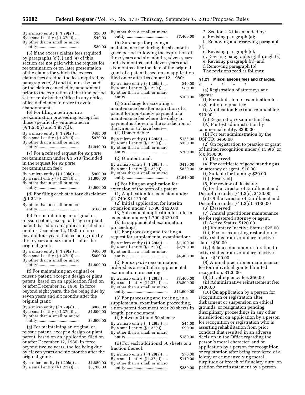| By a micro entity $(\S 1.29(a))$ | \$20.00 |
|----------------------------------|---------|
| By a small entity $(\S 1.27(a))$ | \$40.00 |
| By other than a small or micro   |         |
|                                  | \$80.00 |

(5) If the excess claims fees required by paragraphs (c)(3) and (4) of this section are not paid with the request for reexamination or on later presentation of the claims for which the excess claims fees are due, the fees required by paragraphs (c)(3) and (4) must be paid or the claims canceled by amendment prior to the expiration of the time period set for reply by the Office in any notice of fee deficiency in order to avoid abandonment.

(6) For filing a petition in a reexamination proceeding, except for those specifically enumerated in §§ 1.550(i) and 1.937(d): By a micro entity  $(\S 1.29(a))$  ....  $\$485.00$ By a small entity (§ 1.27(a)) .... \$970.00 By other than a small or micro entity ..................................... \$1,940.00

(7) For a refused request for *ex parte*  reexamination under § 1.510 (included in the request for *ex parte*  reexamination fee):

| By a micro entity $(\S 1.29(a))$ | \$900.00   |
|----------------------------------|------------|
| By a small entity $(\S 1.27(a))$ | \$1,800.00 |
| By other than a small or micro   |            |
|                                  | \$3,600.00 |

(d) For filing each statutory disclaimer (§ 1.321):

By other than a small or micro

entity ..................................... \$160.00 (e) For maintaining an original or reissue patent, except a design or plant patent, based on an application filed on or after December 12, 1980, in force beyond four years, the fee being due by three years and six months after the original grant:

| By a micro entity $(\S 1.29(a))$ | \$400.00   |
|----------------------------------|------------|
| By a small entity $(\S 1.27(a))$ | \$800.00   |
| By other than a small or micro   |            |
|                                  | \$1,600.00 |

(f) For maintaining an original or reissue patent, except a design or plant patent, based on an application filed on or after December 12, 1980, in force beyond eight years, the fee being due by seven years and six months after the original grant:

| By a micro entity $(\S 1.29(a))$ | \$900.00   |
|----------------------------------|------------|
| By a small entity $(\S 1.27(a))$ | \$1,800.00 |
| By other than a small or micro   |            |
|                                  | \$3,600.00 |

(g) For maintaining an original or reissue patent, except a design or plant patent, based on an application filed on or after December 12, 1980, in force beyond twelve years, the fee being due by eleven years and six months after the original grant:

| By a micro entity $(\S 1.29(a))$ | \$1,850.00 |
|----------------------------------|------------|
| By a small entity $(\S 1.27(a))$ | \$3,700.00 |

By other than a small or micro entity ..................................... \$7,400.00

(h) Surcharge for paying a maintenance fee during the six-month grace period following the expiration of three years and six months, seven years and six months, and eleven years and six months after the date of the original grant of a patent based on an application filed on or after December 12, 1980: By a micro entity  $(\S 1.29(a))$  ....  $\$40.00$ By a small entity  $(\S 1.27(a))$  ....  $$80.00$ By other than a small or micro entity ..................................... \$160.00

(i) Surcharge for accepting a maintenance fee after expiration of a patent for non-timely payment of a maintenance fee where the delay in payment is shown to the satisfaction of the Director to have been— (1) Unavoidable:

By a micro entity (§ 1.29(a)) .... \$175.00<br>By a small entity (§ 1.27(a)) .... \$350.00 By a small entity  $(\S 1.27(a))$  .... By other than a small or micro entity ..................................... \$700.00

(2) Unintentional:

| By a micro entity $(\S~1.29(a))$ | \$410.00 |
|----------------------------------|----------|
| By a small entity $(\S~1.27(a))$ | \$820.00 |
| By other than a small or micro   |          |

entity ..................................... \$1,640.00 (j) For filing an application for

extension of the term of a patent (1) Application for extension under § 1.740: \$1,120.00

- (2) Initial application for interim extension under § 1.790: \$420.00
- (3) Subsequent application for interim extension under § 1.790: \$220.00 (k) In supplemental examination

proceedings:

(1) For processing and treating a request for supplemental examination: By a micro entity (§ 1.29(a)) .... \$1,100.00

By a small entity (§ 1.27(a)) .... \$2,200.00 By other than a small or micro entity ..................................... \$4,400.00

(2) For *ex parte* reexamination ordered as a result of a supplemental examination proceeding:

| By a micro entity $(\S 1.29(a))$ | \$3,400.00  |
|----------------------------------|-------------|
| By a small entity $(\S 1.27(a))$ | \$6,800.00  |
| By other than a small or micro   |             |
|                                  | \$13,600.00 |

(3) For processing and treating, in a supplemental examination proceeding, a non-patent document over 20 sheets in length, per document:

(i) Between 21 and 50 sheets: By a micro entity (§ 1.29(a)) .... \$45.00 By a small entity  $(S1.27(a))$  .... \$90.00 By other than a small or micro entity ..................................... \$180.00 (ii) For each additional 50 sheets or a fraction thereof: By a micro entity (§ 1.29(a)) .... \$70.00

By a small entity (§ 1.27(a)) .... \$140.00 By other than a small or micro entity ..................................... \$280.00

- 7. Section 1.21 is amended by:
- a. Revising paragraph (a);
- b. Removing and reserving paragraph (d);
	-
	- c. Revising paragraph (e);
	- d. Revising paragraphs (g) through (k);
- e. Revising paragraph (n); and f. Removing paragraph (o).

The revisions read as follows:

#### **§ 1.21 Miscellaneous fees and charges.**

- \* \* \* \* \* (a) Registration of attorneys and agents:
- (l) For admission to examination for registration to practice:
- (i) Application Fee (non-refundable): \$40.00
	- (ii) Registration examination fee.
	- (A) For test administration by
- commercial entity: \$200.00

(B) For test administration by the USPTO: \$450.00

- (2) On registration to practice or grant
- of limited recognition under § 11.9(b) or (c): \$100.00
	- (3) [Reserved]
- (4) For certificate of good standing as an attorney or agent: \$10.00
	- (i) Suitable for framing: \$20.00
	- (ii) [Reserved]
	- (5) For review of decision:
- (i) By the Director of Enrollment and Discipline under § 11.2(c): \$130.00
- (ii) Of the Director of Enrollment and Discipline under § 11.2(d): \$130.00
- (6) [Reserved]
- (7) Annual practitioner maintenance fee for registered attorney or agent.
	- (i) Active Status: \$120.00
- (ii) Voluntary Inactive Status: \$25.00
- (iii) Fee for requesting restoration to active status from voluntary inactive
- status: \$50.00 (iv) Balance due upon restoration to active status from voluntary inactive status: \$100.00

(8) Annual practitioner maintenance fee for individual granted limited recognition: \$120.00

- (9)(i) Delinquency fee: \$50.00
- (ii) Administrative reinstatement fee: \$100.00

(10) On application by a person for recognition or registration after disbarment or suspension on ethical grounds, or resignation pending disciplinary proceedings in any other jurisdiction; on application by a person for recognition or registration who is asserting rehabilitation from prior conduct that resulted in an adverse decision in the Office regarding the person's moral character; and on application by a person for recognition or registration after being convicted of a felony or crime involving moral turpitude or breach of fiduciary duty; on petition for reinstatement by a person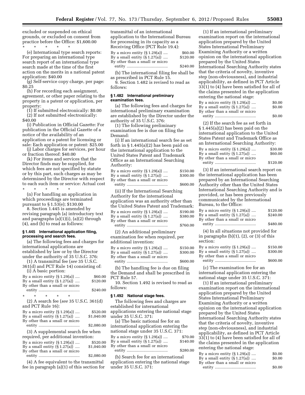excluded or suspended on ethical grounds, or excluded on consent from practice before the Office: \$1,600.00

\* \* \* \* \* (e) International type search reports: For preparing an international type search report of an international type search made at the time of the first action on the merits in a national patent application: \$40.00

(g) Self-service copy charge, per page: \$0.25

(h) For recording each assignment, agreement, or other paper relating to the property in a patent or application, per property:

(1) If submitted electronically: \$0.00 (2) If not submitted electronically: \$40.00

(i) Publication in Official Gazette: For publication in the Official Gazette of a notice of the availability of an application or a patent for licensing or sale: Each application or patent: \$25.00

(j) Labor charges for services, per hour or fraction thereof: \$40.00

(k) For items and services that the Director finds may be supplied, for which fees are not specified by statute or by this part, such charges as may be determined by the Director with respect to each such item or service: Actual cost

\* \* \* \* \* (n) For handling an application in which proceedings are terminated pursuant to § 1.53(e); \$130.00

8. Section 1.445 is amended by revising paragraph (a) introductory text and paragraphs (a)(1)(i), (a)(2) through (4), and (b) to read as follows:

#### **§ 1.445 International application filing, processing and search fees.**

(a) The following fees and charges for international applications are established by law or by the Director under the authority of 35 U.S.C. 376:

(1) A transmittal fee (*see* 35 U.S.C. 361(d) and PCT Rule 14) consisting of:

| (i) A basic portion:                                               |            |
|--------------------------------------------------------------------|------------|
| By a micro entity $(\S 1.29(a))$                                   | \$60.00    |
| By a small entity $(\S 1.27(a))$                                   | \$120.00   |
| By other than a small or micro                                     |            |
|                                                                    | \$240.00   |
| $\star$<br>$\star$<br>$\ast$<br>$\star$<br>÷                       |            |
| $(2)$ A search fee (see 35 U.S.C. 361(d)<br>and PCT Rule 16):      |            |
| By a micro entity $(\S 1.29(a))$                                   | \$520.00   |
| By a small entity $(\S 1.27(a))$<br>By other than a small or micro | \$1,040.00 |
|                                                                    | \$2,080.00 |
| (3) A supplemental search fee when                                 |            |
| required, per additional invention:                                |            |
| $\mathbf{D}$ is $\mathbf{D}$ in $\mathbf{D}$ and $\mathbf{D}$      |            |

By a micro entity (§ 1.29(a)) .... \$520.00 By a small entity (§ 1.27(a)) .... \$1,040.00 By other than a small or micro entity ..................................... \$2,080.00

(4) A fee equivalent to the transmittal fee in paragraph (a)(1) of this section for transmittal of an international application to the International Bureau for processing in its capacity as a Receiving Office (PCT Rule 19.4):

By a micro entity (§ 1.29(a)) .... \$60.00 By a small entity (§ 1.27(a)) .... \$120.00 By other than a small or micro entity ..................................... \$240.00

(b) The international filing fee shall be as prescribed in PCT Rule 15.

9. Section 1.482 is revised to read as follows:

#### **§ 1.482 International preliminary examination fees.**

(a) The following fees and charges for international preliminary examination are established by the Director under the authority of 35 U.S.C. 376:

(1) The following preliminary examination fee is due on filing the Demand:

(i) If an international search fee as set forth in § 1.445(a)(2) has been paid on the international application to the United States Patent and Trademark Office as an International Searching Authority:

| By a micro entity $(\S 1.29(a))$ | \$150.00 |
|----------------------------------|----------|
| By a small entity $(\S 1.27(a))$ | \$300.00 |
| By other than a small or micro   |          |
|                                  | \$600.00 |

(ii) If the International Searching

Authority for the international application was an authority other than the United States Patent and Trademark:

| By a micro entity $(\S 1.29(a))$ | \$190.00 |
|----------------------------------|----------|
|                                  |          |
| By a small entity $(\S 1.27(a))$ | \$380.00 |
| By other than a small or micro   |          |
|                                  | \$760.00 |
|                                  |          |

(2) An additional preliminary examination fee when required, per additional invention:

| By a micro entity (§ 1.29(a))    | \$150.00 |
|----------------------------------|----------|
| By a small entity $(\S 1.27(a))$ | \$300.00 |
| By other than a small or micro   |          |
|                                  | \$600.00 |

(b) The handling fee is due on filing the Demand and shall be prescribed in PCT Rule 57.

10. Section 1.492 is revised to read as follows:

#### **§ 1.492 National stage fees.**

The following fees and charges are established for international applications entering the national stage under 35 U.S.C. 371:

(a) The basic national fee for an international application entering the national stage under 35 U.S.C. 371:

| By a micro entity $(\S 1.29(a))$ | \$70.00  |
|----------------------------------|----------|
| By a small entity $(\S 1.27(a))$ | \$140.00 |
| By other than a small or micro   |          |
|                                  | \$280.00 |

(b) Search fee for an international application entering the national stage under 35 U.S.C. 371:

(1) If an international preliminary examination report on the international application prepared by the United States International Preliminary Examining Authority or a written opinion on the international application prepared by the United States International Searching Authority states that the criteria of novelty, inventive step (non-obviousness), and industrial applicability, as defined in PCT Article 33(1) to (4) have been satisfied for all of the claims presented in the application entering the national stage:

| By a micro entity $(\S 1.29(a))$ | \$0.00 |
|----------------------------------|--------|
| By a small entity $(\S 1.27(a))$ | \$0.00 |
| By other than a small or micro   |        |
|                                  | \$0.00 |

(2) If the search fee as set forth in § 1.445(a)(2) has been paid on the international application to the United States Patent and Trademark Office as an International Searching Authority: By a micro entity  $(\S 1.29(a))$  .... \$30.00 By a small entity  $(\S 1.27(a))$  .... \$60.00 By other than a small or micro entity ..................................... \$120.00

(3) If an international search report on the international application has been prepared by an International Searching Authority other than the United States International Searching Authority and is provided, or has been previously communicated by the International Bureau, to the Office:

| By a micro entity $(\S 1.29(a))$ | \$120.00 |
|----------------------------------|----------|
| By a small entity $(\S 1.27(a))$ | \$240.00 |
| By other than a small or micro   |          |
|                                  | \$480.00 |

(4) In all situations not provided for in paragraphs  $(b)(1)$ ,  $(2)$ , or  $(3)$  of this section:

| By a micro entity $(\S 1.29(a))$ | \$150.00 |
|----------------------------------|----------|
| By a small entity $(\S 1.27(a))$ | \$300.00 |
| By other than a small or micro   |          |
|                                  | \$600.00 |

(c) The examination fee for an international application entering the national stage under 35 U.S.C. 371:

(1) If an international preliminary examination report on the international application prepared by the United States International Preliminary Examining Authority or a written opinion on the international application prepared by the United States International Searching Authority states that the criteria of novelty, inventive step (non-obviousness), and industrial applicability, as defined in PCT Article 33(1) to (4) have been satisfied for all of the claims presented in the application entering the national stage:

| By a micro entity $(\S 1.29(a))$ | \$0.00 |
|----------------------------------|--------|
| By a small entity $(\S 1.27(a))$ | \$0.00 |
| By other than a small or micro   |        |
|                                  | \$0.00 |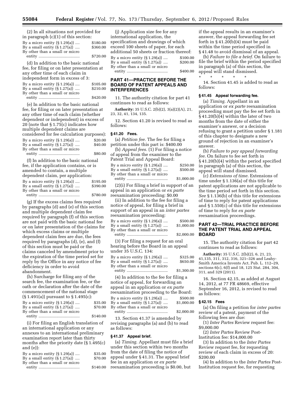| (2) In all situations not provided for |          |
|----------------------------------------|----------|
| in paragraph $(c)(1)$ of this section: |          |
| By a micro entity $(\S 1.29(a))$       | \$180.00 |
| By a small entity $(\S 1.27(a))$       | \$360.00 |
| By other than a small or micro         |          |
|                                        | \$720.00 |

(d) In addition to the basic national fee, for filing or on later presentation at any other time of each claim in independent form in excess of 3: By a micro entity (§ 1.29(a)) .... \$105.00 By a small entity (§ 1.27(a)) .... \$210.00 By other than a small or micro entity ..................................... \$420.00

(e) In addition to the basic national fee, for filing or on later presentation at any other time of each claim (whether dependent or independent) in excess of 20 (note that § 1.75(c) indicates how multiple dependent claims are considered for fee calculation purposes): By a micro entity  $(\$1.29(a))$  .... \$20.00<br>By a small entity  $(\$1.27(a))$  .... \$40.00 By a small entity  $(\S 1.27(a))$  .... By other than a small or micro entity ..................................... \$80.00

(f) In addition to the basic national fee, if the application contains, or is amended to contain, a multiple dependent claim, per application: By a micro entity (§ 1.29(a)) .... \$195.00 By a small entity (§ 1.27(a)) .... \$390.00 By other than a small or micro

entity ..................................... \$780.00

(g) If the excess claims fees required by paragraphs (d) and (e) of this section and multiple dependent claim fee required by paragraph (f) of this section are not paid with the basic national fee or on later presentation of the claims for which excess claims or multiple dependent claim fees are due, the fees required by paragraphs (d), (e), and (f) of this section must be paid or the claims canceled by amendment prior to the expiration of the time period set for reply by the Office in any notice of fee deficiency in order to avoid abandonment.

(h) Surcharge for filing any of the search fee, the examination fee, or the oath or declaration after the date of the commencement of the national stage (§ 1.491(a)) pursuant to § 1.495(c): By a micro entity  $(\S 1.29(a))$  .... \$35.00 By a small entity  $(\S 1.27(a))$  ....  $$70.00$ By other than a small or micro entity ..................................... \$140.00

(i) For filing an English translation of an international application or any annexes to an international preliminary examination report later than thirty months after the priority date (§ 1.495(c) and (e)):

| By a micro entity $(\S 1.29(a))$ | \$35.00  |
|----------------------------------|----------|
| By a small entity $(\S 1.27(a))$ | \$70.00  |
| By other than a small or micro   |          |
|                                  | \$140.00 |

(j) Application size fee for any international application, the specification and drawings of which exceed 100 sheets of paper, for each additional 50 sheets or fraction thereof: By a micro entity (§ 1.29(a)) .... \$100.00 By a small entity  $(S(1.27(a))$  .... \$200.00 By other than a small or micro entity ..................................... \$400.00

#### **PART 41—PRACTICE BEFORE THE BOARD OF PATENT APPEALS AND INTERFERENCES**

11. The authority citation for part 41 continues to read as follows:

**Authority:** 35 U.S.C. 2(b)(2), 3(a)(2)(A), 21, 23, 32, 41, 134, 135.

12. Section 41.20 is revised to read as follows:

#### **§ 41.20 Fees.**

(a) *Petition fee.* The fee for filing a petition under this part is: \$400.00

(b) *Appeal fees.* (1) For filing a notice of appeal from the examiner to the Patent Trial and Appeal Board:

| By a micro entity $(\S 1.29(a))$ | \$250.00   |
|----------------------------------|------------|
| By a small entity $(\S 1.27(a))$ | \$500.00   |
| By other than a small or micro   |            |
|                                  | \$1,000.00 |

(2)(i) For filing a brief in support of an appeal in an application or *ex parte*  reexamination proceeding: \$0.00

(ii) In addition to the fee for filing a notice of appeal, for filing a brief in support of an appeal in an *inter partes*  reexamination proceeding:

| By a micro entity (§ 1.29(a))    | \$500.00   |
|----------------------------------|------------|
| By a small entity $(\S 1.27(a))$ | \$1,000.00 |
| By other than a small or micro   |            |
|                                  | \$2,000.00 |

(3) For filing a request for an oral hearing before the Board in an appeal under 35 U.S.C. 134: By a micro entity (§ 1.29(a)) .... \$325.00

| By a small entity $(\S 1.27(a))$ | \$650.00   |
|----------------------------------|------------|
| By other than a small or micro   |            |
|                                  | \$1,300.00 |

(4) In addition to the fee for filing a notice of appeal, for forwarding an appeal in an application or *ex parte*  reexamination proceeding to the Board: By a micro entity (§ 1.29(a)) .... \$500.00 By a small entity  $(\S 1.27(a))$  ....  $\$1,000.00$ By other than a small or micro

entity ..................................... \$2,000.00

13. Section 41.37 is amended by revising paragraphs (a) and (b) to read as follows:

#### **§ 41.37 Appeal brief.**

(a) *Timing.* Appellant must file a brief under this section within two months from the date of filing the notice of appeal under § 41.31. The appeal brief fee in an application or *ex parte*  reexamination proceeding is \$0.00, but

if the appeal results in an examiner's answer, the appeal forwarding fee set forth in  $\S 41.20(b)(4)$  must be paid within the time period specified in § 41.48 to avoid dismissal of an appeal.

(b) *Failure to file a brief.* On failure to file the brief within the period specified in paragraph (a) of this section, the appeal will stand dismissed.

14. Section 41.45 is added to read as follows:

#### **§ 41.45 Appeal forwarding fee.**

\* \* \* \* \*

(a) *Timing.* Appellant in an application or *ex parte* reexamination proceeding must pay the fee set forth in § 41.20(b)(4) within the later of two months from the date of either the examiner's answer, or a decision refusing to grant a petition under § 1.181 of this chapter to designate a new ground of rejection in an examiner's answer.

(b) *Failure to pay appeal forwarding fee.* On failure to fee set forth in § 41.20(b)(4) within the period specified in paragraph (a) of this section, the appeal will stand dismissed.

(c) *Extensions of time.* Extensions of time under § 1.136(a) of this title for patent applications are not applicable to the time period set forth in this section. *See* § 1.136(b) of this title for extensions of time to reply for patent applications and § 1.550(c) of this title for extensions of time to reply for *ex parte*  reexamination proceedings.

#### **PART 42—TRIAL PRACTICE BEFORE THE PATENT TRIAL AND APPEAL BOARD**

15. The authority citation for part 42 continues to read as follows:

**Authority:** 35 U.S.C. 2(b)(2), 6, 21, 23, 41,135, 311, 312, 316, 321–326 and Leahy-Smith America Invents Act, Pub. L. 112–29, sections 6(c), 6(f) and 18, 125 Stat. 284, 304, 311, and 329 (2011).

16. Section 42.15, as added at August 14, 2012, at 77 FR 48669, effective September 16, 2012, is revised to read as follows:

#### **§ 42.15 Fees**

(a) On filing a petition for *inter partes*  review of a patent, payment of the following fees are due:

(1) *Inter Partes* Review request fee: \$9,000.00

(2) *Inter Partes* Review Post-Institution fee: \$14,000.00

(3) In addition to the *Inter Partes*  Review request fee, for requesting review of each claim in excess of 20: \$200.00

(4) In addition to the *Inter Partes* Post-Institution request fee, for requesting